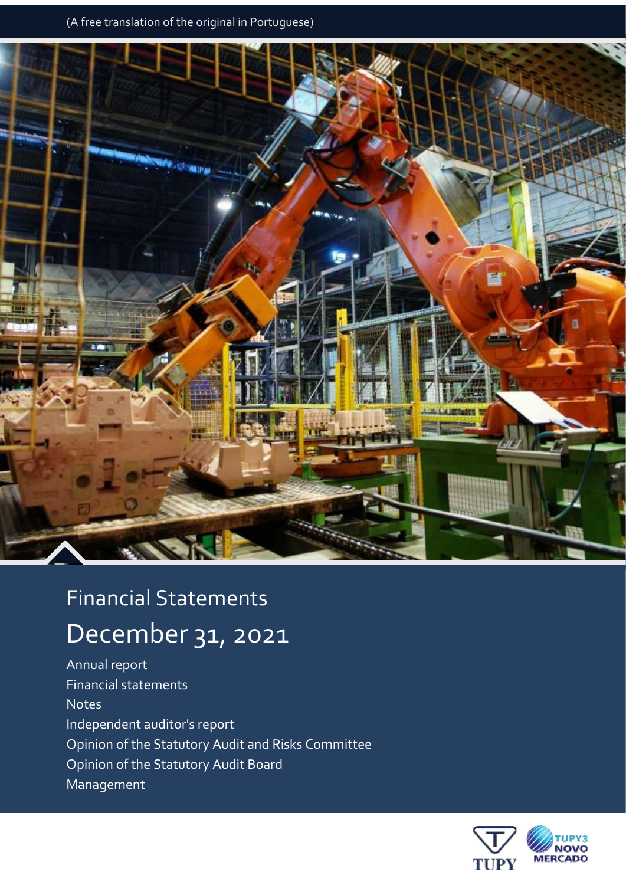

# Financial Statements

# December 31, 2021

Annual report Financial statements **Notes** Independent auditor's report Opinion of the Statutory Audit and Risks Committee Opinion of the Statutory Audit Board Management

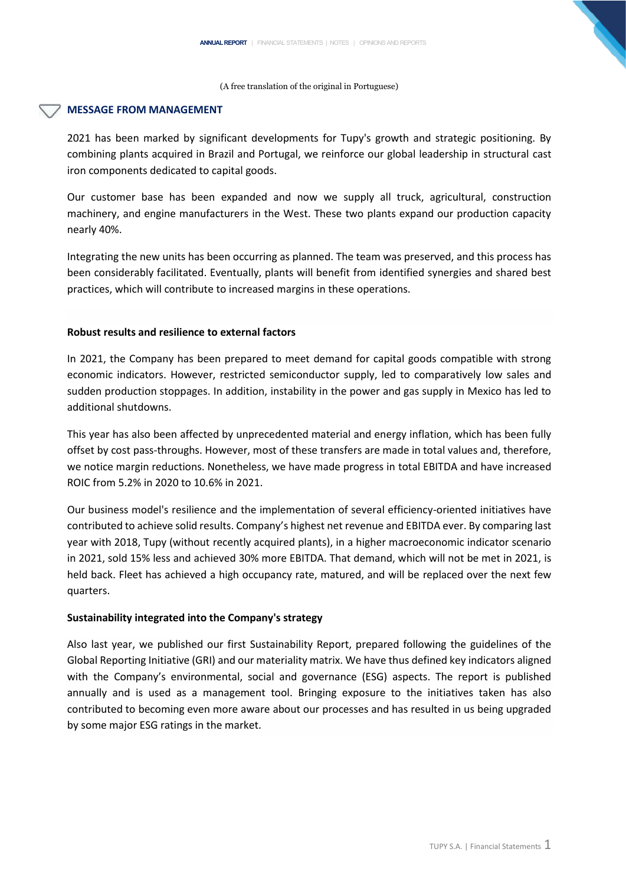## **MESSAGE FROM MANAGEMENT**

2021 has been marked by significant developments for Tupy's growth and strategic positioning. By combining plants acquired in Brazil and Portugal, we reinforce our global leadership in structural cast iron components dedicated to capital goods.

Our customer base has been expanded and now we supply all truck, agricultural, construction machinery, and engine manufacturers in the West. These two plants expand our production capacity nearly 40%.

Integrating the new units has been occurring as planned. The team was preserved, and this process has been considerably facilitated. Eventually, plants will benefit from identified synergies and shared best practices, which will contribute to increased margins in these operations.

# **Robust results and resilience to external factors**

In 2021, the Company has been prepared to meet demand for capital goods compatible with strong economic indicators. However, restricted semiconductor supply, led to comparatively low sales and sudden production stoppages. In addition, instability in the power and gas supply in Mexico has led to additional shutdowns.

This year has also been affected by unprecedented material and energy inflation, which has been fully offset by cost pass-throughs. However, most of these transfers are made in total values and, therefore, we notice margin reductions. Nonetheless, we have made progress in total EBITDA and have increased ROIC from 5.2% in 2020 to 10.6% in 2021.

Our business model's resilience and the implementation of several efficiency-oriented initiatives have contributed to achieve solid results. Company's highest net revenue and EBITDA ever. By comparing last year with 2018, Tupy (without recently acquired plants), in a higher macroeconomic indicator scenario in 2021, sold 15% less and achieved 30% more EBITDA. That demand, which will not be met in 2021, is held back. Fleet has achieved a high occupancy rate, matured, and will be replaced over the next few quarters.

# **Sustainability integrated into the Company's strategy**

Also last year, we published our first Sustainability Report, prepared following the guidelines of the Global Reporting Initiative (GRI) and our materiality matrix. We have thus defined key indicators aligned with the Company's environmental, social and governance (ESG) aspects. The report is published annually and is used as a management tool. Bringing exposure to the initiatives taken has also contributed to becoming even more aware about our processes and has resulted in us being upgraded by some major ESG ratings in the market.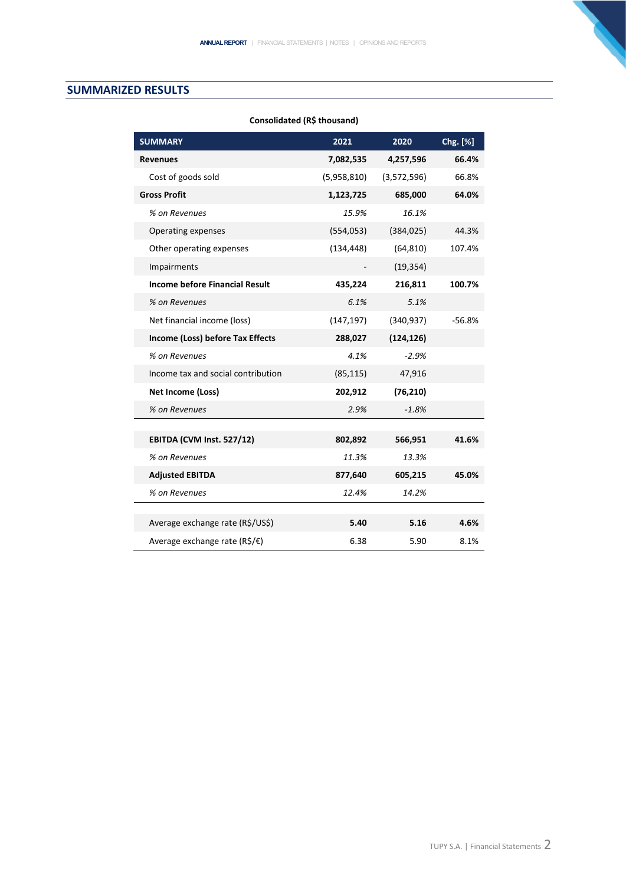# **SUMMARIZED RESULTS**

| <b>SUMMARY</b>                          | 2021        | 2020        | Chg. [%] |
|-----------------------------------------|-------------|-------------|----------|
| <b>Revenues</b>                         | 7,082,535   | 4,257,596   | 66.4%    |
| Cost of goods sold                      | (5,958,810) | (3,572,596) | 66.8%    |
| <b>Gross Profit</b>                     | 1,123,725   | 685,000     | 64.0%    |
| % on Revenues                           | 15.9%       | 16.1%       |          |
| Operating expenses                      | (554, 053)  | (384, 025)  | 44.3%    |
| Other operating expenses                | (134, 448)  | (64, 810)   | 107.4%   |
| Impairments                             |             | (19, 354)   |          |
| <b>Income before Financial Result</b>   | 435,224     | 216,811     | 100.7%   |
| % on Revenues                           | 6.1%        | 5.1%        |          |
| Net financial income (loss)             | (147, 197)  | (340, 937)  | $-56.8%$ |
| Income (Loss) before Tax Effects        | 288,027     | (124, 126)  |          |
| % on Revenues                           | 4.1%        | $-2.9%$     |          |
| Income tax and social contribution      | (85, 115)   | 47,916      |          |
| <b>Net Income (Loss)</b>                | 202,912     | (76, 210)   |          |
| % on Revenues                           | 2.9%        | $-1.8%$     |          |
|                                         |             |             |          |
| EBITDA (CVM Inst. 527/12)               | 802,892     | 566,951     | 41.6%    |
| % on Revenues                           | 11.3%       | 13.3%       |          |
| <b>Adjusted EBITDA</b>                  | 877,640     | 605,215     | 45.0%    |
| % on Revenues                           | 12.4%       | 14.2%       |          |
|                                         |             |             |          |
| Average exchange rate (R\$/US\$)        | 5.40        | 5.16        | 4.6%     |
| Average exchange rate ( $R\sin\theta$ ) | 6.38        | 5.90        | 8.1%     |

# **Consolidated (R\$ thousand)**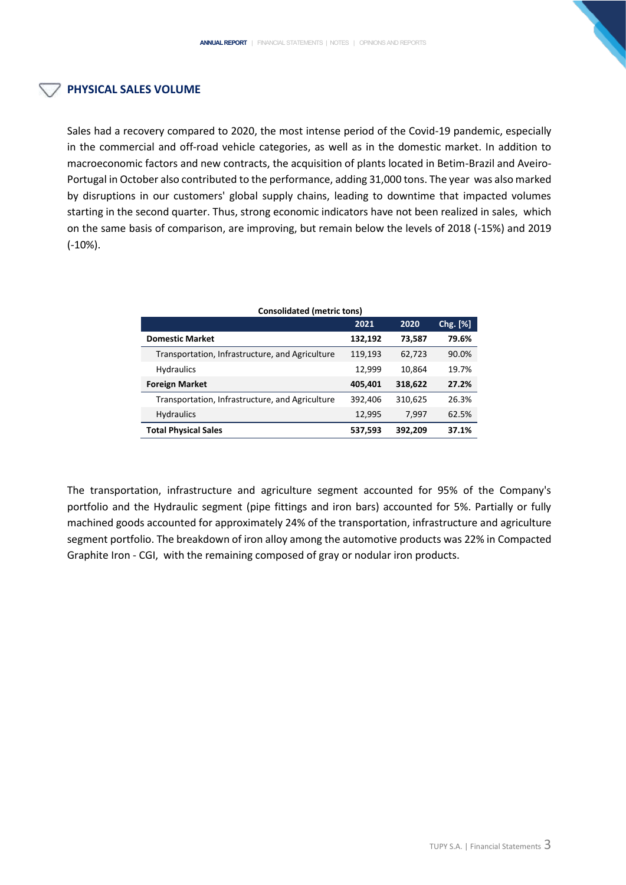# **PHYSICAL SALES VOLUME**

Sales had a recovery compared to 2020, the most intense period of the Covid-19 pandemic, especially in the commercial and off-road vehicle categories, as well as in the domestic market. In addition to macroeconomic factors and new contracts, the acquisition of plants located in Betim-Brazil and Aveiro-Portugal in October also contributed to the performance, adding 31,000 tons. The year was also marked by disruptions in our customers' global supply chains, leading to downtime that impacted volumes starting in the second quarter. Thus, strong economic indicators have not been realized in sales, which on the same basis of comparison, are improving, but remain below the levels of 2018 (-15%) and 2019 (-10%).

| <b>Consolidated (metric tons)</b>               |         |         |          |
|-------------------------------------------------|---------|---------|----------|
|                                                 | 2021    | 2020    | Chg. [%] |
| <b>Domestic Market</b>                          | 132,192 | 73,587  | 79.6%    |
| Transportation, Infrastructure, and Agriculture | 119,193 | 62,723  | 90.0%    |
| <b>Hydraulics</b>                               | 12,999  | 10,864  | 19.7%    |
| <b>Foreign Market</b>                           | 405,401 | 318,622 | 27.2%    |
| Transportation, Infrastructure, and Agriculture | 392,406 | 310,625 | 26.3%    |
| <b>Hydraulics</b>                               | 12,995  | 7.997   | 62.5%    |
| <b>Total Physical Sales</b>                     | 537,593 | 392,209 | 37.1%    |

# The transportation, infrastructure and agriculture segment accounted for 95% of the Company's portfolio and the Hydraulic segment (pipe fittings and iron bars) accounted for 5%. Partially or fully machined goods accounted for approximately 24% of the transportation, infrastructure and agriculture segment portfolio. The breakdown of iron alloy among the automotive products was 22% in Compacted Graphite Iron - CGI, with the remaining composed of gray or nodular iron products.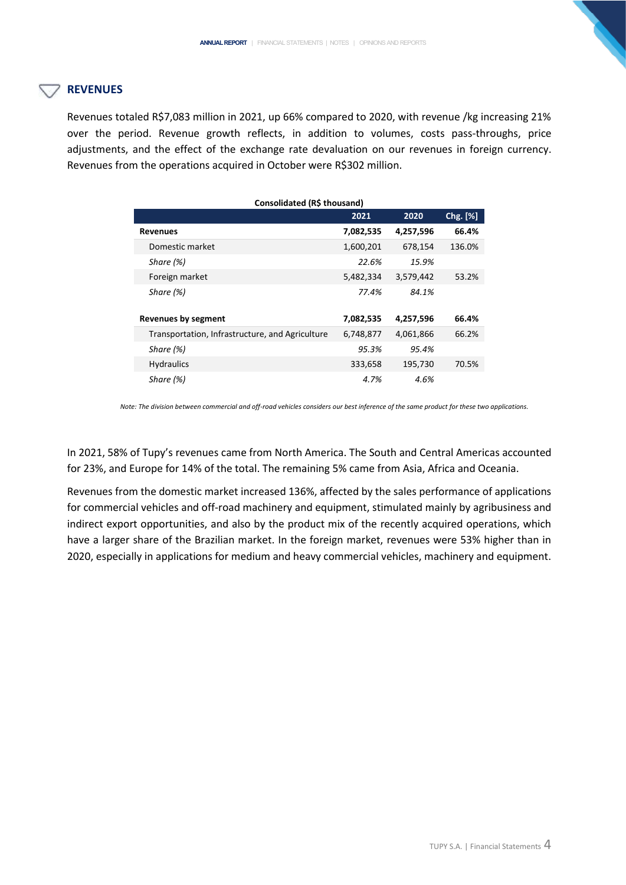# **REVENUES**

Revenues totaled R\$7,083 million in 2021, up 66% compared to 2020, with revenue /kg increasing 21% over the period. Revenue growth reflects, in addition to volumes, costs pass-throughs, price adjustments, and the effect of the exchange rate devaluation on our revenues in foreign currency. Revenues from the operations acquired in October were R\$302 million.

| Consolidated (R\$ thousand)                     |           |           |          |
|-------------------------------------------------|-----------|-----------|----------|
|                                                 | 2021      | 2020      | Chg. [%] |
| <b>Revenues</b>                                 | 7,082,535 | 4,257,596 | 66.4%    |
| Domestic market                                 | 1,600,201 | 678,154   | 136.0%   |
| Share (%)                                       | 22.6%     | 15.9%     |          |
| Foreign market                                  | 5,482,334 | 3,579,442 | 53.2%    |
| Share (%)                                       | 77.4%     | 84.1%     |          |
|                                                 |           |           |          |
| <b>Revenues by segment</b>                      | 7,082,535 | 4,257,596 | 66.4%    |
| Transportation, Infrastructure, and Agriculture | 6,748,877 | 4,061,866 | 66.2%    |
| Share (%)                                       | 95.3%     | 95.4%     |          |
| <b>Hydraulics</b>                               | 333,658   | 195,730   | 70.5%    |
| Share (%)                                       | 4.7%      | 4.6%      |          |

 *Note: The division between commercial and off-road vehicles considers our best inference of the same product for these two applications.*

In 2021, 58% of Tupy's revenues came from North America. The South and Central Americas accounted for 23%, and Europe for 14% of the total. The remaining 5% came from Asia, Africa and Oceania.

Revenues from the domestic market increased 136%, affected by the sales performance of applications for commercial vehicles and off-road machinery and equipment, stimulated mainly by agribusiness and indirect export opportunities, and also by the product mix of the recently acquired operations, which have a larger share of the Brazilian market. In the foreign market, revenues were 53% higher than in 2020, especially in applications for medium and heavy commercial vehicles, machinery and equipment.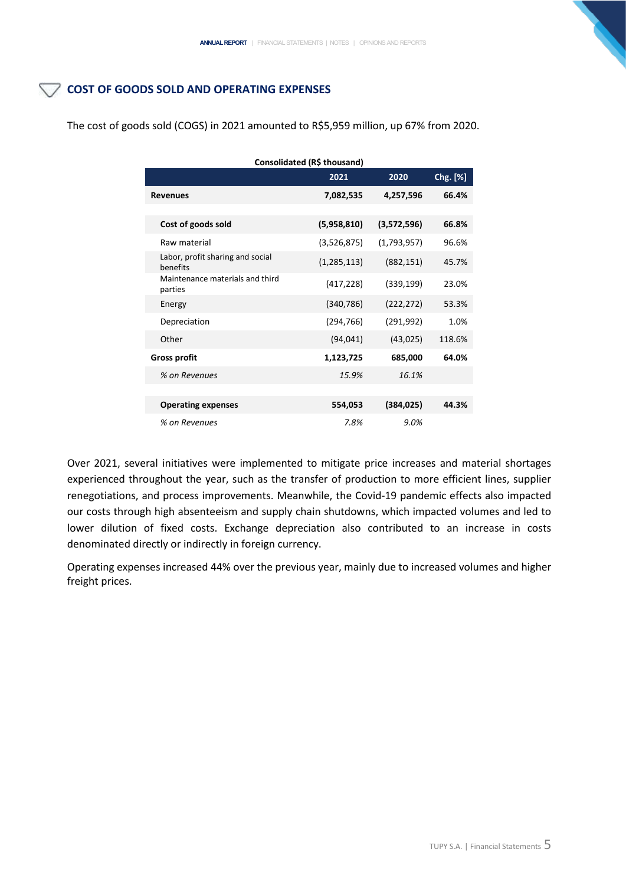# COST OF GOODS SOLD AND OPERATING EXPENSES

| Consolidated (R\$ thousand)                  |               |             |          |
|----------------------------------------------|---------------|-------------|----------|
|                                              | 2021          | 2020        | Chg. [%] |
| <b>Revenues</b>                              | 7,082,535     | 4,257,596   | 66.4%    |
|                                              |               |             |          |
| Cost of goods sold                           | (5,958,810)   | (3,572,596) | 66.8%    |
| Raw material                                 | (3,526,875)   | (1,793,957) | 96.6%    |
| Labor, profit sharing and social<br>benefits | (1, 285, 113) | (882, 151)  | 45.7%    |
| Maintenance materials and third<br>parties   | (417, 228)    | (339, 199)  | 23.0%    |
| Energy                                       | (340, 786)    | (222, 272)  | 53.3%    |
| Depreciation                                 | (294, 766)    | (291, 992)  | 1.0%     |
| Other                                        | (94, 041)     | (43, 025)   | 118.6%   |
| <b>Gross profit</b>                          | 1,123,725     | 685,000     | 64.0%    |
| % on Revenues                                | 15.9%         | 16.1%       |          |
|                                              |               |             |          |
| <b>Operating expenses</b>                    | 554,053       | (384, 025)  | 44.3%    |
| % on Revenues                                | 7.8%          | 9.0%        |          |

The cost of goods sold (COGS) in 2021 amounted to R\$5,959 million, up 67% from 2020.

Over 2021, several initiatives were implemented to mitigate price increases and material shortages experienced throughout the year, such as the transfer of production to more efficient lines, supplier renegotiations, and process improvements. Meanwhile, the Covid-19 pandemic effects also impacted our costs through high absenteeism and supply chain shutdowns, which impacted volumes and led to lower dilution of fixed costs. Exchange depreciation also contributed to an increase in costs denominated directly or indirectly in foreign currency.

Operating expenses increased 44% over the previous year, mainly due to increased volumes and higher freight prices.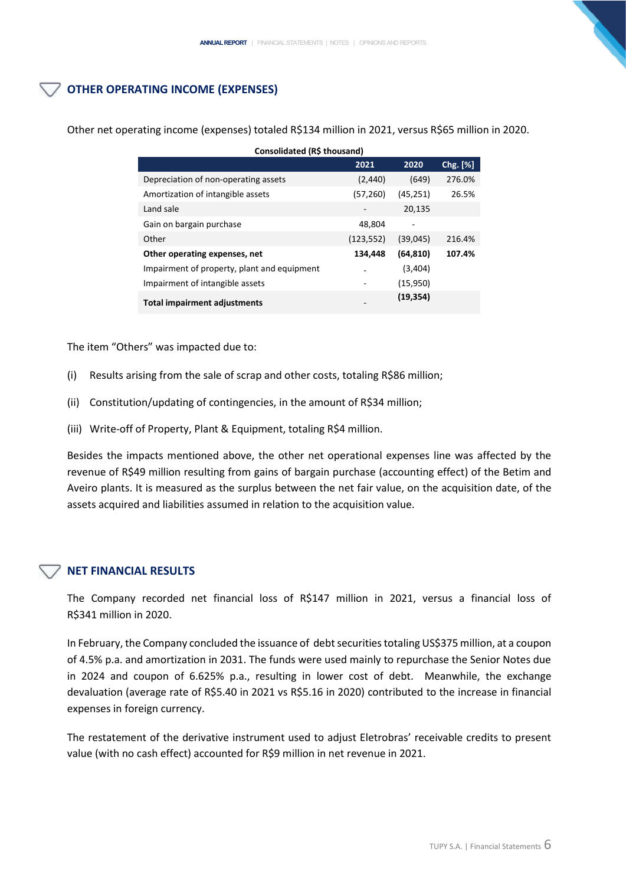# **OTHER OPERATING INCOME (EXPENSES)**

| Consolidated (R\$ thousand)                 |            |           |          |  |
|---------------------------------------------|------------|-----------|----------|--|
|                                             | 2021       | 2020      | Chg. [%] |  |
| Depreciation of non-operating assets        | (2, 440)   | (649)     | 276.0%   |  |
| Amortization of intangible assets           | (57, 260)  | (45, 251) | 26.5%    |  |
| Land sale                                   |            | 20,135    |          |  |
| Gain on bargain purchase                    | 48,804     |           |          |  |
| Other                                       | (123, 552) | (39,045)  | 216.4%   |  |
| Other operating expenses, net               | 134,448    | (64, 810) | 107.4%   |  |
| Impairment of property, plant and equipment |            | (3,404)   |          |  |
| Impairment of intangible assets             |            | (15,950)  |          |  |
| Total impairment adjustments                |            | (19, 354) |          |  |

Other net operating income (expenses) totaled R\$134 million in 2021, versus R\$65 million in 2020.

The item "Others" was impacted due to:

- (i) Results arising from the sale of scrap and other costs, totaling R\$86 million;
- (ii) Constitution/updating of contingencies, in the amount of R\$34 million;
- (iii) Write-off of Property, Plant & Equipment, totaling R\$4 million.

Besides the impacts mentioned above, the other net operational expenses line was affected by the revenue of R\$49 million resulting from gains of bargain purchase (accounting effect) of the Betim and Aveiro plants. It is measured as the surplus between the net fair value, on the acquisition date, of the assets acquired and liabilities assumed in relation to the acquisition value.

# **NET FINANCIAL RESULTS**

The Company recorded net financial loss of R\$147 million in 2021, versus a financial loss of R\$341 million in 2020.

In February, the Company concluded the issuance of debt securities totaling US\$375 million, at a coupon of 4.5% p.a. and amortization in 2031. The funds were used mainly to repurchase the Senior Notes due in 2024 and coupon of 6.625% p.a., resulting in lower cost of debt. Meanwhile, the exchange devaluation (average rate of R\$5.40 in 2021 vs R\$5.16 in 2020) contributed to the increase in financial expenses in foreign currency.

The restatement of the derivative instrument used to adjust Eletrobras' receivable credits to present value (with no cash effect) accounted for R\$9 million in net revenue in 2021.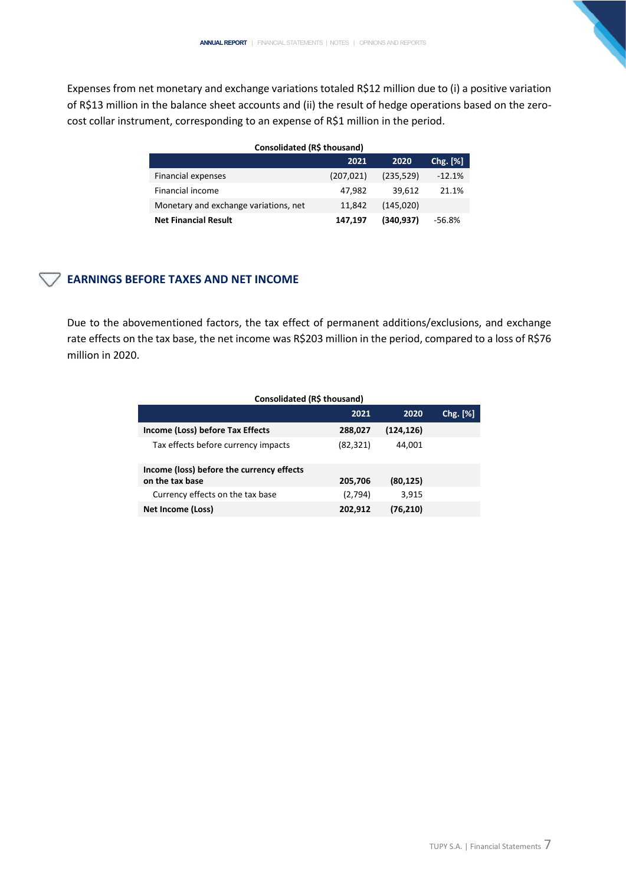Expenses from net monetary and exchange variations totaled R\$12 million due to (i) a positive variation of R\$13 million in the balance sheet accounts and (ii) the result of hedge operations based on the zerocost collar instrument, corresponding to an expense of R\$1 million in the period.

| Consolidated (R\$ thousand)           |            |            |          |  |
|---------------------------------------|------------|------------|----------|--|
|                                       | 2021       | 2020       | Chg. [%] |  |
| Financial expenses                    | (207, 021) | (235, 529) | $-12.1%$ |  |
| Financial income                      | 47.982     | 39.612     | 21.1%    |  |
| Monetary and exchange variations, net | 11.842     | (145, 020) |          |  |
| <b>Net Financial Result</b>           | 147,197    | (340,937)  | -56.8%   |  |

# **EARNINGS BEFORE TAXES AND NET INCOME**

Due to the abovementioned factors, the tax effect of permanent additions/exclusions, and exchange rate effects on the tax base, the net income was R\$203 million in the period, compared to a loss of R\$76 million in 2020.

| Consolidated (R\$ thousand)               |           |           |               |  |
|-------------------------------------------|-----------|-----------|---------------|--|
|                                           | 2021      | 2020      | $Chg.$ $[\%]$ |  |
| Income (Loss) before Tax Effects          | 288,027   | (124,126) |               |  |
| Tax effects before currency impacts       | (82, 321) | 44,001    |               |  |
| Income (loss) before the currency effects |           |           |               |  |
| on the tax base                           | 205,706   | (80, 125) |               |  |
| Currency effects on the tax base          | (2,794)   | 3,915     |               |  |
| Net Income (Loss)                         | 202,912   | (76,210)  |               |  |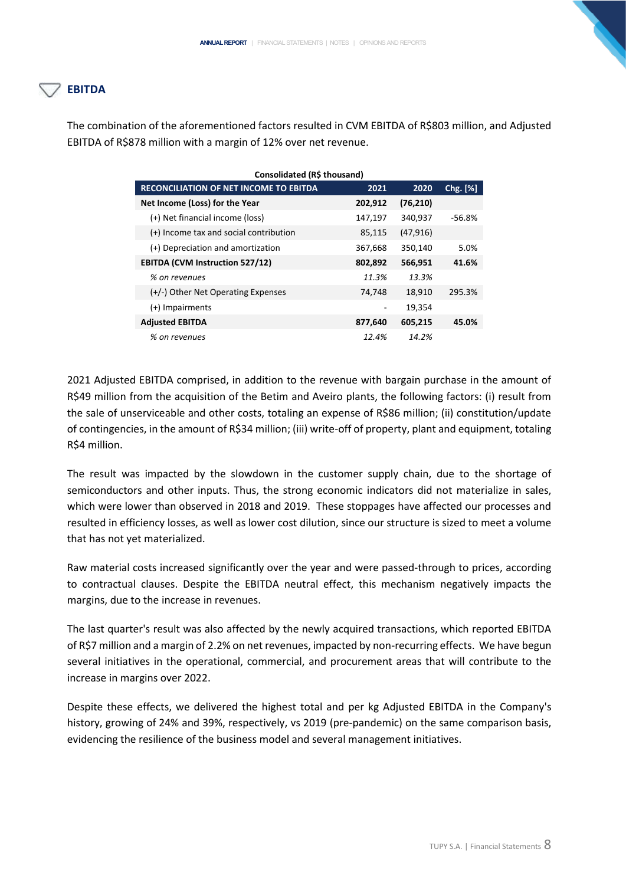# **EBITDA**

The combination of the aforementioned factors resulted in CVM EBITDA of R\$803 million, and Adjusted EBITDA of R\$878 million with a margin of 12% over net revenue.

| <b>RECONCILIATION OF NET INCOME TO EBITDA</b> | 2021    | 2020      | $Chg.$ [%] |
|-----------------------------------------------|---------|-----------|------------|
| Net Income (Loss) for the Year                | 202,912 | (76, 210) |            |
| (+) Net financial income (loss)               | 147,197 | 340,937   | -56.8%     |
| (+) Income tax and social contribution        | 85,115  | (47, 916) |            |
| (+) Depreciation and amortization             | 367,668 | 350,140   | 5.0%       |
| <b>EBITDA (CVM Instruction 527/12)</b>        | 802,892 | 566,951   | 41.6%      |
| % on revenues                                 | 11.3%   | 13.3%     |            |
| (+/-) Other Net Operating Expenses            | 74,748  | 18,910    | 295.3%     |
| $(+)$ Impairments                             |         | 19,354    |            |
| <b>Adjusted EBITDA</b>                        | 877,640 | 605,215   | 45.0%      |
| % on revenues                                 | 12.4%   | 14.2%     |            |

2021 Adjusted EBITDA comprised, in addition to the revenue with bargain purchase in the amount of R\$49 million from the acquisition of the Betim and Aveiro plants, the following factors: (i) result from the sale of unserviceable and other costs, totaling an expense of R\$86 million; (ii) constitution/update of contingencies, in the amount of R\$34 million; (iii) write-off of property, plant and equipment, totaling R\$4 million.

The result was impacted by the slowdown in the customer supply chain, due to the shortage of semiconductors and other inputs. Thus, the strong economic indicators did not materialize in sales, which were lower than observed in 2018 and 2019. These stoppages have affected our processes and resulted in efficiency losses, as well as lower cost dilution, since our structure is sized to meet a volume that has not yet materialized.

Raw material costs increased significantly over the year and were passed-through to prices, according to contractual clauses. Despite the EBITDA neutral effect, this mechanism negatively impacts the margins, due to the increase in revenues.

The last quarter's result was also affected by the newly acquired transactions, which reported EBITDA of R\$7 million and a margin of 2.2% on net revenues, impacted by non-recurring effects. We have begun several initiatives in the operational, commercial, and procurement areas that will contribute to the increase in margins over 2022.

Despite these effects, we delivered the highest total and per kg Adjusted EBITDA in the Company's history, growing of 24% and 39%, respectively, vs 2019 (pre-pandemic) on the same comparison basis, evidencing the resilience of the business model and several management initiatives.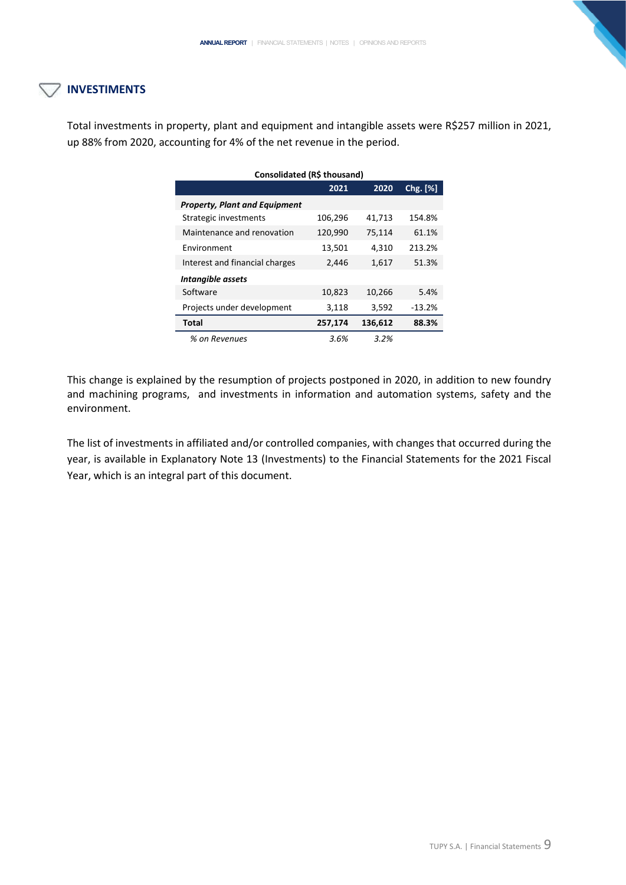# **INVESTIMENTS**

Total investments in property, plant and equipment and intangible assets were R\$257 million in 2021, up 88% from 2020, accounting for 4% of the net revenue in the period.

| Consolidated (R\$ thousand)          |         |         |          |  |
|--------------------------------------|---------|---------|----------|--|
|                                      | 2021    | 2020    | Chg. [%] |  |
| <b>Property, Plant and Equipment</b> |         |         |          |  |
| Strategic investments                | 106,296 | 41,713  | 154.8%   |  |
| Maintenance and renovation           | 120,990 | 75,114  | 61.1%    |  |
| Environment                          | 13,501  | 4,310   | 213.2%   |  |
| Interest and financial charges       | 2,446   | 1,617   | 51.3%    |  |
| Intangible assets                    |         |         |          |  |
| Software                             | 10,823  | 10,266  | 5.4%     |  |
| Projects under development           | 3,118   | 3,592   | $-13.2%$ |  |
| Total                                | 257,174 | 136,612 | 88.3%    |  |
| % on Revenues                        | 3.6%    | 3.2%    |          |  |

This change is explained by the resumption of projects postponed in 2020, in addition to new foundry and machining programs, and investments in information and automation systems, safety and the environment.

The list of investments in affiliated and/or controlled companies, with changes that occurred during the year, is available in Explanatory Note 13 (Investments) to the Financial Statements for the 2021 Fiscal Year, which is an integral part of this document.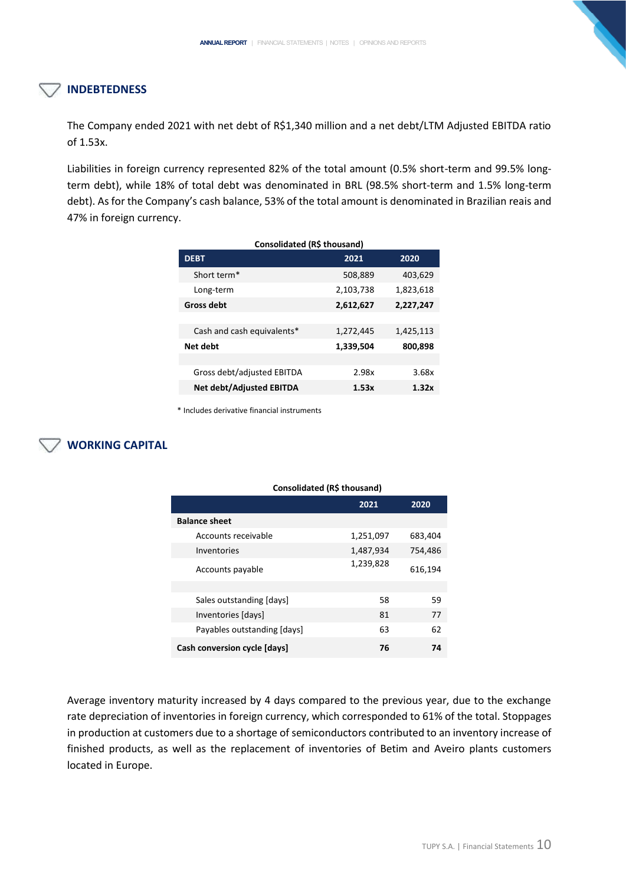# **INDEBTEDNESS**

The Company ended 2021 with net debt of R\$1,340 million and a net debt/LTM Adjusted EBITDA ratio of 1.53x.

Liabilities in foreign currency represented 82% of the total amount (0.5% short-term and 99.5% longterm debt), while 18% of total debt was denominated in BRL (98.5% short-term and 1.5% long-term debt). As for the Company's cash balance, 53% of the total amount is denominated in Brazilian reais and 47% in foreign currency.

| Consolidated (R\$ thousand)     |           |           |  |  |
|---------------------------------|-----------|-----------|--|--|
| <b>DEBT</b>                     | 2021      | 2020      |  |  |
| Short term*                     | 508,889   | 403,629   |  |  |
| Long-term                       | 2,103,738 | 1,823,618 |  |  |
| <b>Gross debt</b>               | 2,612,627 | 2,227,247 |  |  |
|                                 |           |           |  |  |
| Cash and cash equivalents*      | 1,272,445 | 1,425,113 |  |  |
| Net debt                        | 1,339,504 | 800,898   |  |  |
|                                 |           |           |  |  |
| Gross debt/adjusted EBITDA      | 2.98x     | 3.68x     |  |  |
| <b>Net debt/Adjusted EBITDA</b> | 1.53x     | 1.32x     |  |  |

\* Includes derivative financial instruments

# **WORKING CAPITAL**

| Consolidated (R\$ thousand)  |           |         |  |  |
|------------------------------|-----------|---------|--|--|
|                              | 2021      | 2020    |  |  |
| <b>Balance sheet</b>         |           |         |  |  |
| Accounts receivable          | 1,251,097 | 683,404 |  |  |
| Inventories                  | 1,487,934 | 754,486 |  |  |
| Accounts payable             | 1,239,828 | 616,194 |  |  |
|                              |           |         |  |  |
| Sales outstanding [days]     | 58        | 59      |  |  |
| Inventories [days]           | 81        | 77      |  |  |
| Payables outstanding [days]  | 63        | 62      |  |  |
| Cash conversion cycle [days] | 76        | 74      |  |  |

Average inventory maturity increased by 4 days compared to the previous year, due to the exchange rate depreciation of inventories in foreign currency, which corresponded to 61% of the total. Stoppages in production at customers due to a shortage of semiconductors contributed to an inventory increase of finished products, as well as the replacement of inventories of Betim and Aveiro plants customers located in Europe.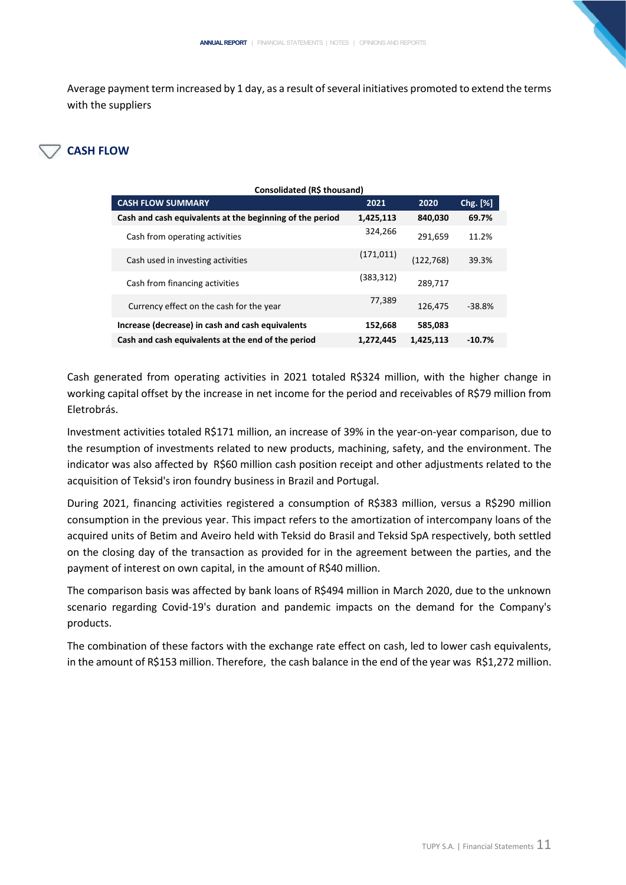Average payment term increased by 1 day, as a result of several initiatives promoted to extend the terms with the suppliers

# **CASH FLOW**

| Consolidated (R\$ thousand)                              |            |            |          |
|----------------------------------------------------------|------------|------------|----------|
| <b>CASH FLOW SUMMARY</b>                                 | 2021       | 2020       | Chg. [%] |
| Cash and cash equivalents at the beginning of the period | 1,425,113  | 840,030    | 69.7%    |
| Cash from operating activities                           | 324,266    | 291,659    | 11.2%    |
| Cash used in investing activities                        | (171, 011) | (122, 768) | 39.3%    |
| Cash from financing activities                           | (383,312)  | 289,717    |          |
| Currency effect on the cash for the year                 | 77,389     | 126,475    | $-38.8%$ |
| Increase (decrease) in cash and cash equivalents         | 152,668    | 585,083    |          |
| Cash and cash equivalents at the end of the period       | 1,272,445  | 1,425,113  | $-10.7%$ |

Cash generated from operating activities in 2021 totaled R\$324 million, with the higher change in working capital offset by the increase in net income for the period and receivables of R\$79 million from Eletrobrás.

Investment activities totaled R\$171 million, an increase of 39% in the year-on-year comparison, due to the resumption of investments related to new products, machining, safety, and the environment. The indicator was also affected by R\$60 million cash position receipt and other adjustments related to the acquisition of Teksid's iron foundry business in Brazil and Portugal.

During 2021, financing activities registered a consumption of R\$383 million, versus a R\$290 million consumption in the previous year. This impact refers to the amortization of intercompany loans of the acquired units of Betim and Aveiro held with Teksid do Brasil and Teksid SpA respectively, both settled on the closing day of the transaction as provided for in the agreement between the parties, and the payment of interest on own capital, in the amount of R\$40 million.

The comparison basis was affected by bank loans of R\$494 million in March 2020, due to the unknown scenario regarding Covid-19's duration and pandemic impacts on the demand for the Company's products.

The combination of these factors with the exchange rate effect on cash, led to lower cash equivalents, in the amount of R\$153 million. Therefore, the cash balance in the end of the year was R\$1,272 million.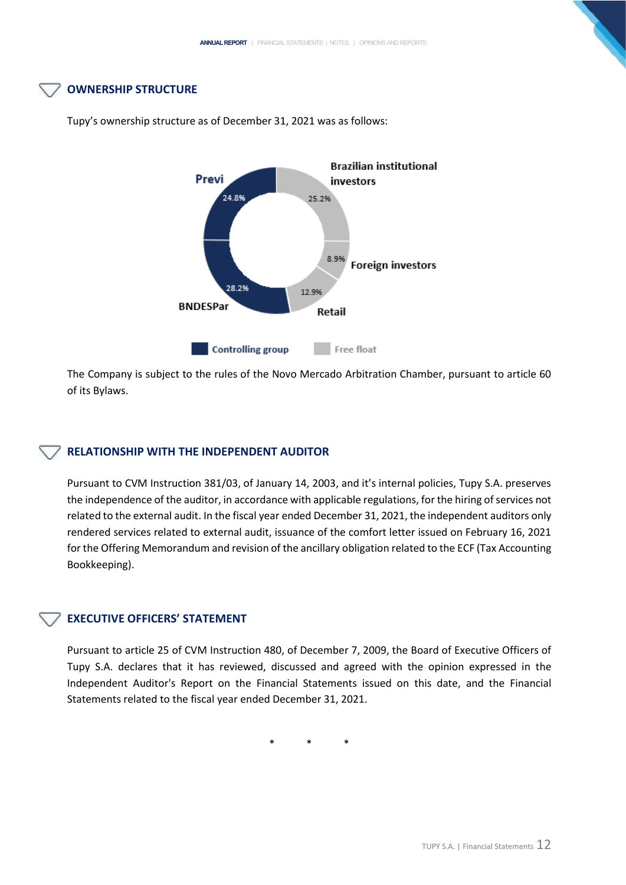# **OWNERSHIP STRUCTURE**



Tupy's ownership structure as of December 31, 2021 was as follows:

The Company is subject to the rules of the Novo Mercado Arbitration Chamber, pursuant to article 60 of its Bylaws.

## **RELATIONSHIP WITH THE INDEPENDENT AUDITOR**

Pursuant to CVM Instruction 381/03, of January 14, 2003, and it's internal policies, Tupy S.A. preserves the independence of the auditor, in accordance with applicable regulations, for the hiring of services not related to the external audit. In the fiscal year ended December 31, 2021, the independent auditors only rendered services related to external audit, issuance of the comfort letter issued on February 16, 2021 for the Offering Memorandum and revision of the ancillary obligation related to the ECF (Tax Accounting Bookkeeping).

# **EXECUTIVE OFFICERS' STATEMENT**

Pursuant to article 25 of CVM Instruction 480, of December 7, 2009, the Board of Executive Officers of Tupy S.A. declares that it has reviewed, discussed and agreed with the opinion expressed in the Independent Auditor's Report on the Financial Statements issued on this date, and the Financial Statements related to the fiscal year ended December 31, 2021.

\* \* \*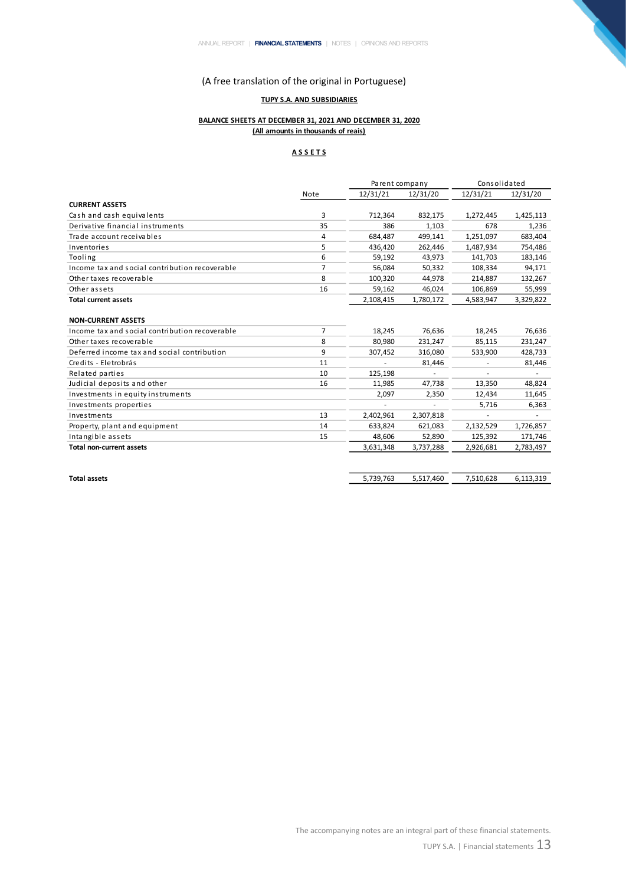## **TUPY S.A. AND SUBSIDIARIES**

## **BALANCE SHEETS AT DECEMBER 31, 2021 AND DECEMBER 31, 2020 (All amounts in thousands of reais)**

#### **A S S E T S**

|                                                |                | Parent company |           | Consolidated |           |
|------------------------------------------------|----------------|----------------|-----------|--------------|-----------|
|                                                | Note           | 12/31/21       | 12/31/20  | 12/31/21     | 12/31/20  |
| <b>CURRENT ASSETS</b>                          |                |                |           |              |           |
| Cash and cash equivalents                      | 3              | 712,364        | 832,175   | 1,272,445    | 1,425,113 |
| Derivative financial instruments               | 35             | 386            | 1,103     | 678          | 1,236     |
| Trade account receivables                      | 4              | 684,487        | 499.141   | 1,251,097    | 683,404   |
| Inventories                                    | 5              | 436,420        | 262,446   | 1,487,934    | 754,486   |
| Tooling                                        | 6              | 59,192         | 43,973    | 141,703      | 183,146   |
| Income tax and social contribution recoverable | $\overline{7}$ | 56,084         | 50,332    | 108,334      | 94,171    |
| Other taxes recoverable                        | 8              | 100,320        | 44,978    | 214,887      | 132,267   |
| Other assets                                   | 16             | 59,162         | 46,024    | 106,869      | 55,999    |
| <b>Total current assets</b>                    |                | 2,108,415      | 1,780,172 | 4,583,947    | 3,329,822 |
|                                                |                |                |           |              |           |
| <b>NON-CURRENT ASSETS</b>                      |                |                |           |              |           |
| Income tax and social contribution recoverable | 7              | 18,245         | 76,636    | 18,245       | 76,636    |
| Other taxes recoverable                        | 8              | 80,980         | 231,247   | 85,115       | 231,247   |
| Deferred income tax and social contribution    | 9              | 307,452        | 316,080   | 533,900      | 428,733   |
| Credits - Eletrobrás                           | 11             |                | 81,446    |              | 81,446    |
| Related parties                                | 10             | 125,198        |           |              |           |
| Judicial deposits and other                    | 16             | 11,985         | 47,738    | 13,350       | 48,824    |
| Investments in equity instruments              |                | 2,097          | 2,350     | 12,434       | 11,645    |
| Investments properties                         |                |                |           | 5,716        | 6,363     |
| Investments                                    | 13             | 2,402,961      | 2,307,818 |              |           |
| Property, plant and equipment                  | 14             | 633,824        | 621,083   | 2,132,529    | 1,726,857 |
| Intangible assets                              | 15             | 48,606         | 52,890    | 125,392      | 171,746   |
| <b>Total non-current assets</b>                |                | 3,631,348      | 3,737,288 | 2,926,681    | 2,783,497 |
|                                                |                |                |           |              |           |
| <b>Total assets</b>                            |                | 5,739,763      | 5,517,460 | 7,510,628    | 6,113,319 |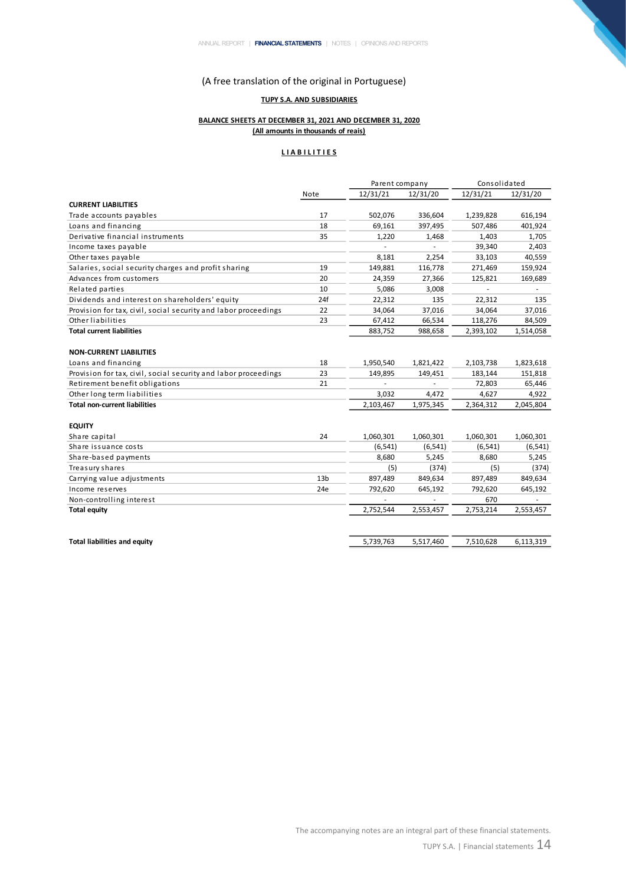# **TUPY S.A. AND SUBSIDIARIES**

## **BALANCE SHEETS AT DECEMBER 31, 2021 AND DECEMBER 31, 2020 (All amounts in thousands of reais)**

# **L I A B I L I T I E S**

|                                                                 |                 | Parent company |           | Consolidated |           |  |
|-----------------------------------------------------------------|-----------------|----------------|-----------|--------------|-----------|--|
|                                                                 | Note            | 12/31/21       | 12/31/20  | 12/31/21     | 12/31/20  |  |
| <b>CURRENT LIABILITIES</b>                                      |                 |                |           |              |           |  |
| Trade accounts payables                                         | 17              | 502,076        | 336,604   | 1,239,828    | 616,194   |  |
| Loans and financing                                             | 18              | 69,161         | 397,495   | 507,486      | 401,924   |  |
| Derivative financial instruments                                | 35              | 1,220          | 1,468     | 1,403        | 1,705     |  |
| Income taxes payable                                            |                 | ä,             |           | 39,340       | 2,403     |  |
| Other taxes payable                                             |                 | 8,181          | 2,254     | 33,103       | 40,559    |  |
| Salaries, social security charges and profit sharing            | 19              | 149,881        | 116,778   | 271,469      | 159,924   |  |
| Advances from customers                                         | 20              | 24,359         | 27,366    | 125,821      | 169,689   |  |
| Related parties                                                 | 10              | 5,086          | 3,008     |              |           |  |
| Dividends and interest on shareholders' equity                  | 24f             | 22,312         | 135       | 22,312       | 135       |  |
| Provision for tax, civil, social security and labor proceedings | 22              | 34,064         | 37,016    | 34,064       | 37,016    |  |
| Other liabilities                                               | 23              | 67,412         | 66,534    | 118,276      | 84,509    |  |
| <b>Total current liabilities</b>                                |                 | 883,752        | 988,658   | 2,393,102    | 1,514,058 |  |
|                                                                 |                 |                |           |              |           |  |
| <b>NON-CURRENT LIABILITIES</b>                                  |                 |                |           |              |           |  |
| Loans and financing                                             | 18              | 1,950,540      | 1,821,422 | 2,103,738    | 1,823,618 |  |
| Provision for tax, civil, social security and labor proceedings | 23              | 149,895        | 149,451   | 183,144      | 151,818   |  |
| Retirement benefit obligations                                  | 21              |                |           | 72,803       | 65,446    |  |
| Other long term liabilities                                     |                 | 3,032          | 4,472     | 4,627        | 4,922     |  |
| <b>Total non-current liabilities</b>                            |                 | 2,103,467      | 1,975,345 | 2,364,312    | 2,045,804 |  |
|                                                                 |                 |                |           |              |           |  |
| <b>EQUITY</b>                                                   |                 |                |           |              |           |  |
| Share capital                                                   | 24              | 1,060,301      | 1,060,301 | 1,060,301    | 1,060,301 |  |
| Share issuance costs                                            |                 | (6, 541)       | (6, 541)  | (6, 541)     | (6, 541)  |  |
| Share-based payments                                            |                 | 8,680          | 5,245     | 8,680        | 5,245     |  |
| Treasury shares                                                 |                 | (5)            | (374)     | (5)          | (374)     |  |
| Carrying value adjustments                                      | 13 <sub>b</sub> | 897,489        | 849,634   | 897,489      | 849,634   |  |
| Income reserves                                                 | 24e             | 792,620        | 645,192   | 792,620      | 645,192   |  |
| Non-controlling interest                                        |                 |                |           | 670          |           |  |
| <b>Total equity</b>                                             |                 | 2,752,544      | 2,553,457 | 2,753,214    | 2,553,457 |  |
|                                                                 |                 |                |           |              |           |  |
|                                                                 |                 |                |           |              |           |  |
| <b>Total liabilities and equity</b>                             |                 | 5,739,763      | 5,517,460 | 7,510,628    | 6,113,319 |  |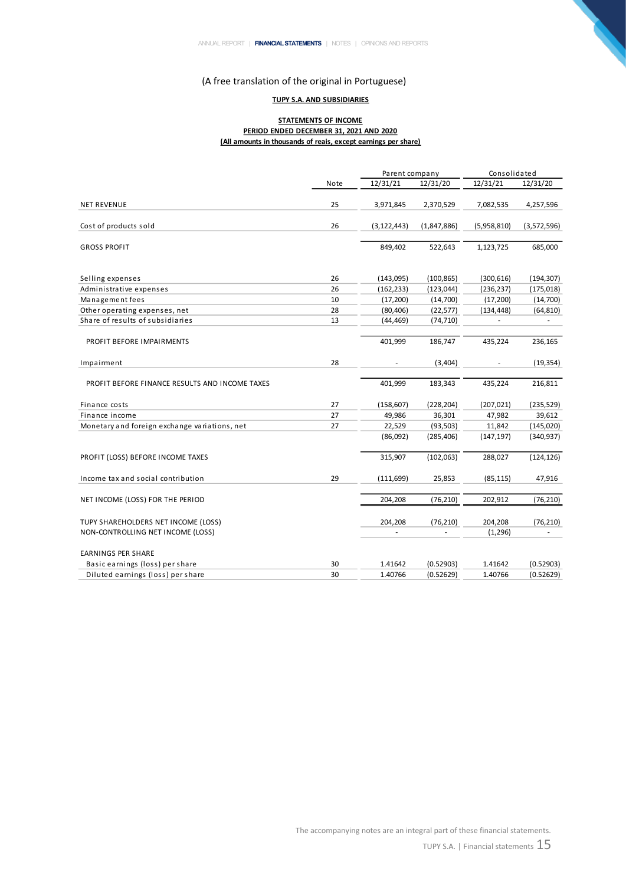## **TUPY S.A. AND SUBSIDIARIES**

#### **STATEMENTS OF INCOME PERIOD ENDED DECEMBER 31, 2021 AND 2020 (All amounts in thousands of reais, except earnings per share)**

|                                                |      | Parent company           |             | Consolidated |             |  |
|------------------------------------------------|------|--------------------------|-------------|--------------|-------------|--|
|                                                | Note | 12/31/21                 | 12/31/20    | 12/31/21     | 12/31/20    |  |
| <b>NET REVENUE</b>                             | 25   | 3,971,845                | 2,370,529   | 7,082,535    | 4,257,596   |  |
| Cost of products sold                          | 26   | (3, 122, 443)            | (1,847,886) | (5,958,810)  | (3,572,596) |  |
| <b>GROSS PROFIT</b>                            |      | 849,402                  | 522,643     | 1,123,725    | 685,000     |  |
| Selling expenses                               | 26   | (143,095)                | (100, 865)  | (300, 616)   | (194, 307)  |  |
| Administrative expenses                        | 26   | (162, 233)               | (123, 044)  | (236, 237)   | (175, 018)  |  |
| Management fees                                | 10   | (17, 200)                | (14, 700)   | (17,200)     | (14,700)    |  |
| Other operating expenses, net                  | 28   | (80, 406)                | (22, 577)   | (134, 448)   | (64, 810)   |  |
| Share of results of subsidiaries               | 13   | (44, 469)                | (74, 710)   |              |             |  |
| PROFIT BEFORE IMPAIRMENTS                      |      | 401,999                  | 186,747     | 435,224      | 236,165     |  |
| Impairment                                     | 28   |                          | (3,404)     |              | (19, 354)   |  |
| PROFIT BEFORE FINANCE RESULTS AND INCOME TAXES |      | 401,999                  | 183,343     | 435,224      | 216,811     |  |
| Finance costs                                  | 27   | (158, 607)               | (228, 204)  | (207, 021)   | (235, 529)  |  |
| Finance income                                 | 27   | 49,986                   | 36,301      | 47,982       | 39,612      |  |
| Monetary and foreign exchange variations, net  | 27   | 22,529                   | (93, 503)   | 11,842       | (145, 020)  |  |
|                                                |      | (86,092)                 | (285, 406)  | (147, 197)   | (340, 937)  |  |
| PROFIT (LOSS) BEFORE INCOME TAXES              |      | 315,907                  | (102,063)   | 288,027      | (124, 126)  |  |
| Income tax and social contribution             | 29   | (111, 699)               | 25,853      | (85, 115)    | 47,916      |  |
| NET INCOME (LOSS) FOR THE PERIOD               |      | 204,208                  | (76, 210)   | 202,912      | (76, 210)   |  |
| TUPY SHAREHOLDERS NET INCOME (LOSS)            |      | 204,208                  | (76, 210)   | 204,208      | (76, 210)   |  |
| NON-CONTROLLING NET INCOME (LOSS)              |      | $\overline{\phantom{a}}$ |             | (1, 296)     |             |  |
| <b>EARNINGS PER SHARE</b>                      |      |                          |             |              |             |  |
| Basic earnings (loss) per share                | 30   | 1.41642                  | (0.52903)   | 1.41642      | (0.52903)   |  |
| Diluted earnings (loss) per share              | 30   | 1.40766                  | (0.52629)   | 1.40766      | (0.52629)   |  |

N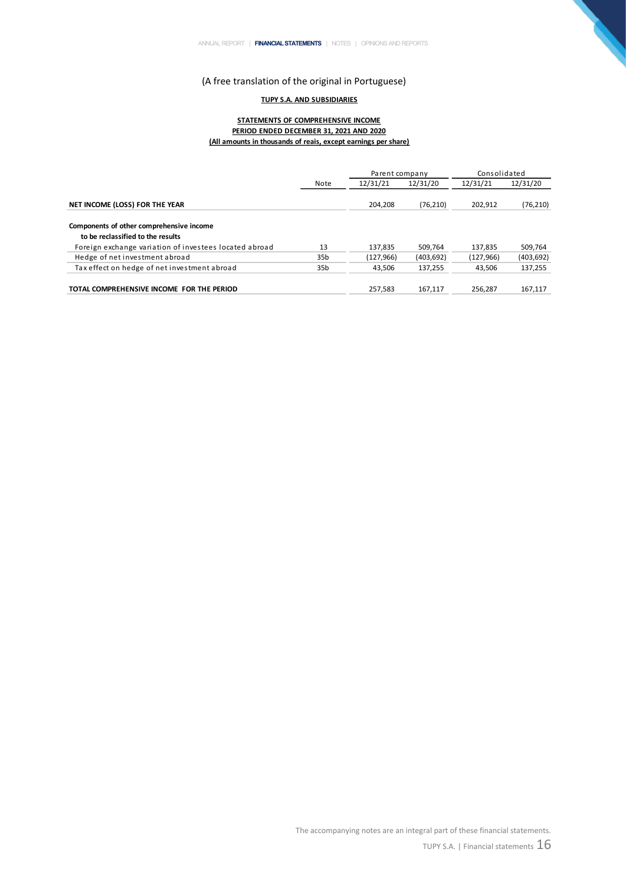#### **TUPY S.A. AND SUBSIDIARIES**

#### **STATEMENTS OF COMPREHENSIVE INCOME STATEMENTS OF COMPREHENSIVE INCOME PERIOD ENDED DECEMBER 31, 2021 AND 2020 (All amounts in thousands of reais, except earnings per share)**

|                                                                                             |                 | Parent company |            | Consolidated |            |
|---------------------------------------------------------------------------------------------|-----------------|----------------|------------|--------------|------------|
|                                                                                             | Note            | 12/31/21       | 12/31/20   | 12/31/21     | 12/31/20   |
| NET INCOME (LOSS) FOR THE YEAR                                                              |                 | 204.208        | (76, 210)  | 202.912      | (76, 210)  |
| Components of other comprehensive income                                                    |                 |                |            |              |            |
| to be reclassified to the results<br>Foreign exchange variation of investees located abroad | 13              | 137.835        | 509.764    | 137.835      | 509.764    |
| Hedge of net investment abroad                                                              | 35 <sub>b</sub> | (127, 966)     | (403, 692) | (127, 966)   | (403, 692) |
| Tax effect on hedge of net investment abroad                                                | 35 <sub>b</sub> | 43.506         | 137,255    | 43.506       | 137,255    |
| TOTAL COMPREHENSIVE INCOME FOR THE PERIOD                                                   |                 | 257.583        | 167.117    | 256.287      | 167.117    |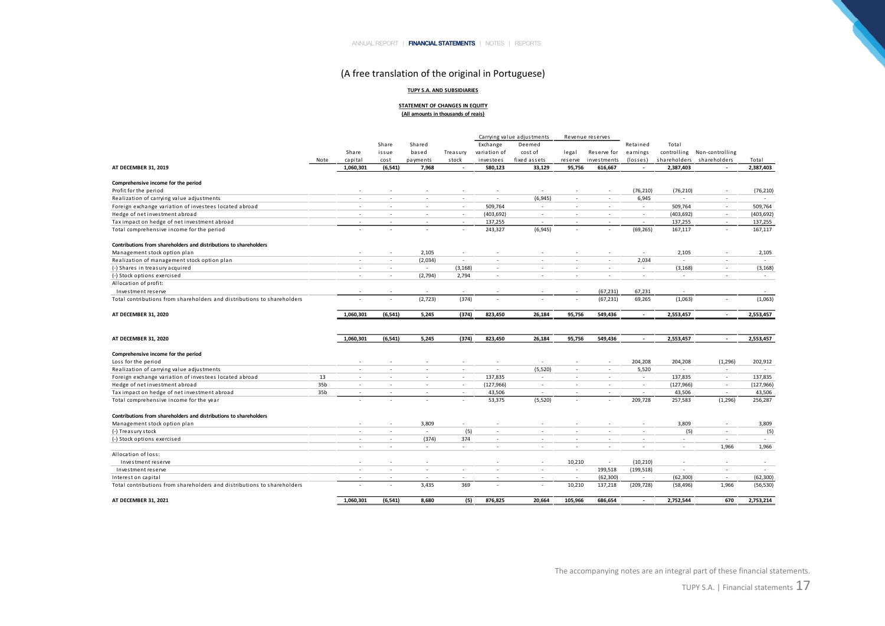#### **TUPY S.A. AND SUBSIDIARIES**

#### **STATEMENT OF CHANGES IN EQUITY (All amounts in thousands of reais)**

|                                                                         |                 |                          |                          |                          |                          |              | Carrying value adjustments |                          | Revenue reserves         |                          |                          |                             |                          |
|-------------------------------------------------------------------------|-----------------|--------------------------|--------------------------|--------------------------|--------------------------|--------------|----------------------------|--------------------------|--------------------------|--------------------------|--------------------------|-----------------------------|--------------------------|
|                                                                         |                 |                          | Share                    | Shared                   |                          | Exchange     | Deemed                     |                          |                          | Retained                 | Total                    |                             |                          |
|                                                                         |                 | Share                    | issue                    | based                    | Treasury                 | variation of | cost of                    | legal                    | Reserve for              | earnings                 |                          | controlling Non-controlling |                          |
|                                                                         | Note            | capital                  | cost                     | payments                 | stock                    | investees    | fixed assets               | reserve                  | investments              | (losses)                 | shareholders             | shareholders                | Total                    |
| AT DECEMBER 31, 2019                                                    |                 | 1,060,301                | (6, 541)                 | 7,968                    |                          | 580,123      | 33,129                     | 95,756                   | 616,667                  |                          | 2,387,403                |                             | 2,387,403                |
| Comprehensive income for the period                                     |                 |                          |                          |                          |                          |              |                            |                          |                          |                          |                          |                             |                          |
| Profit for the period                                                   |                 | $\overline{\phantom{a}}$ |                          |                          | $\overline{a}$           | $\sim$       | $\sim$                     | ٠                        | ٠                        | (76, 210)                | (76, 210)                | $\sim$                      | (76, 210)                |
| Realization of carrying value adjustments                               |                 |                          |                          | ÷                        | ÷                        | $\sim$       | (6, 945)                   | $\sim$                   | ٠                        | 6,945                    | $\sim$                   |                             | $\overline{\phantom{a}}$ |
| Foreign exchange variation of investees located abroad                  |                 | $\sim$                   |                          | $\overline{a}$           | $\overline{a}$           | 509,764      | $\sim$                     | $\sim$                   | $\overline{a}$           | $\sim$                   | 509,764                  | $\sim$                      | 509,764                  |
| Hedge of net investment abroad                                          |                 | $\sim$                   | $\overline{\phantom{a}}$ | ٠                        | ٠                        | (403, 692)   | $\sim$                     | $\sim$                   | ٠                        | $\sim$                   | (403, 692)               | $\sim$                      | (403, 692)               |
| Tax impact on hedge of net investment abroad                            |                 |                          |                          | ٠                        |                          | 137,255      | $\overline{\phantom{a}}$   | ٠                        |                          | $\overline{\phantom{a}}$ | 137,255                  |                             | 137,255                  |
| Total comprehensive income for the period                               |                 |                          |                          | ٠                        |                          | 243,327      | (6,945)                    | $\overline{\phantom{a}}$ | ٠                        | (69, 265)                | 167,117                  |                             | 167,117                  |
| Contributions from shareholders and distributions to shareholders       |                 |                          |                          |                          |                          |              |                            |                          |                          |                          |                          |                             |                          |
| Management stock option plan                                            |                 |                          |                          | 2,105                    | ٠                        |              |                            | ٠                        |                          | $\overline{\phantom{a}}$ | 2,105                    |                             | 2,105                    |
| Realization of management stock option plan                             |                 | $\sim$                   | $\overline{\phantom{a}}$ | (2,034)                  | $\sim$                   | $\sim$       | $\sim$                     | $\sim$                   | $\overline{\phantom{a}}$ | 2,034                    | $\sim$                   | $\sim$                      | $\sim$                   |
| (-) Shares in treasury acquired                                         |                 | $\overline{\phantom{a}}$ | $\overline{\phantom{a}}$ | $\sim$                   | (3, 168)                 | $\sim$       | $\sim$                     | $\sim$                   | ٠                        | $\sim$                   | (3, 168)                 | $\sim$                      | (3, 168)                 |
| (-) Stock options exercised                                             |                 |                          |                          | (2,794)                  | 2,794                    | $\sim$       | $\sim$                     | ÷,                       | ٠                        | $\sim$                   | $\sim$                   |                             | $\sim$                   |
| Allocation of profit:                                                   |                 |                          |                          |                          |                          |              |                            |                          |                          |                          |                          |                             |                          |
| Investment reserve                                                      |                 |                          |                          |                          |                          |              |                            |                          | (67, 231)                | 67,231                   | $\sim$                   |                             |                          |
| Total contributions from shareholders and distributions to shareholders |                 |                          |                          | (2,723)                  | (374)                    |              |                            |                          | (67, 231)                | 69,265                   | (1,063)                  |                             | (1,063)                  |
| AT DECEMBER 31, 2020                                                    |                 | 1,060,301                | (6, 541)                 | 5,245                    | (374)                    | 823,450      | 26,184                     | 95,756                   | 549,436                  | $\overline{\phantom{a}}$ | 2,553,457                | $\overline{a}$              | 2,553,457                |
|                                                                         |                 |                          |                          |                          |                          |              |                            |                          |                          |                          |                          |                             |                          |
| AT DECEMBER 31, 2020                                                    |                 | 1,060,301                | (6, 541)                 | 5,245                    | (374)                    | 823,450      | 26,184                     | 95,756                   | 549,436                  | $\sim$                   | 2,553,457                | $\sim$                      | 2,553,457                |
|                                                                         |                 |                          |                          |                          |                          |              |                            |                          |                          |                          |                          |                             |                          |
| Comprehensive income for the period                                     |                 |                          |                          |                          |                          |              |                            |                          |                          |                          |                          |                             |                          |
| Loss for the period                                                     |                 |                          |                          |                          |                          |              | $\overline{\phantom{a}}$   | ٠                        | $\overline{\phantom{a}}$ | 204,208                  | 204,208                  | (1, 296)                    | 202,912                  |
| Realization of carrying value adjustments                               |                 | $\sim$                   | $\overline{\phantom{a}}$ | $\sim$                   | $\sim$                   | $\sim$       | (5,520)                    | $\sim$                   | $\sim$                   | 5,520                    | $\sim$                   | $\sim$                      | $\overline{\phantom{a}}$ |
| Foreign exchange variation of investees located abroad                  | 13              | $\overline{\phantom{a}}$ |                          | ÷                        | ÷                        | 137,835      | $\sim$                     | ٠                        | ٠                        | $\sim$                   | 137,835                  | $\overline{\phantom{a}}$    | 137,835                  |
| Hedge of net investment abroad                                          | 35b             | $\sim$                   |                          | $\overline{a}$           | $\overline{a}$           | (127, 966)   | $\sim$                     | $\sim$                   | $\overline{a}$           | $\sim$                   | (127, 966)               | $\sim$                      | (127, 966)               |
| Tax impact on hedge of net investment abroad                            | 35 <sub>b</sub> | $\sim$                   |                          | $\overline{a}$           | $\overline{a}$           | 43,506       |                            | $\overline{\phantom{a}}$ | ٠                        | $\overline{\phantom{a}}$ | 43,506                   |                             | 43,506                   |
| Total comprehensive income for the year                                 |                 |                          |                          |                          |                          | 53,375       | (5,520)                    | ÷,                       | ٠                        | 209,728                  | 257,583                  | (1, 296)                    | 256,287                  |
| Contributions from shareholders and distributions to shareholders       |                 |                          |                          |                          |                          |              |                            |                          |                          |                          |                          |                             |                          |
| Management stock option plan                                            |                 | $\overline{\phantom{a}}$ | $\overline{\phantom{a}}$ | 3,809                    | $\overline{\phantom{a}}$ | $\sim$       | $\sim$                     | $\sim$                   | ٠                        | $\overline{\phantom{a}}$ | 3,809                    | $\sim$                      | 3,809                    |
| (-) Treasury stock                                                      |                 | $\overline{\phantom{a}}$ | $\overline{\phantom{a}}$ | $\sim$                   | (5)                      | $\sim$       | $\overline{\phantom{a}}$   | $\sim$                   | ٠                        | $\overline{\phantom{a}}$ | (5)                      | $\sim$                      | (5)                      |
| (-) Stock options exercised                                             |                 | $\sim$                   | $\overline{\phantom{a}}$ | (374)                    | 374                      | $\sim$       | $\sim$                     | $\sim$                   | ٠                        | $\sim$                   | $\sim$                   | $\sim$                      | $\sim$                   |
|                                                                         |                 | $\sim$                   |                          | $\sim$                   | ٠                        |              | $\overline{\phantom{a}}$   | ٠                        | ٠                        | $\overline{\phantom{a}}$ | $\sim$                   | 1,966                       | 1,966                    |
| Allocation of loss:                                                     |                 |                          |                          |                          |                          |              |                            |                          |                          |                          |                          |                             |                          |
| Investment reserve                                                      |                 |                          |                          | $\overline{\phantom{a}}$ |                          |              | $\sim$                     | 10,210                   | $\sim$                   | (10, 210)                | $\overline{\phantom{a}}$ |                             | $\overline{\phantom{a}}$ |
| Investment reserve                                                      |                 | $\overline{\phantom{a}}$ | $\overline{a}$           | $\sim$                   | ٠                        | $\sim$       | $\sim$                     | $\sim$                   | 199,518                  | (199, 518)               | $\sim$                   | $\sim$                      | $\sim$                   |
| Interest on capital                                                     |                 |                          |                          | ÷                        | ÷                        |              | ٠                          | $\sim$                   | (62, 300)                |                          | (62, 300)                | $\sim$                      | (62, 300)                |
| Total contributions from shareholders and distributions to shareholders |                 |                          |                          | 3,435                    | 369                      |              | ٠                          | 10,210                   | 137,218                  | (209, 728)               | (58, 496)                | 1,966                       | (56, 530)                |
| AT DECEMBER 31, 2021                                                    |                 | 1,060,301                | (6, 541)                 | 8,680                    | (5)                      | 876,825      | 20,664                     | 105,966                  | 686,654                  | $\overline{\phantom{a}}$ | 2,752,544                | 670                         | 2,753,214                |

The accompanying notes are an integral part of these financial statements.

TUPY S.A. | Financial statements  $17$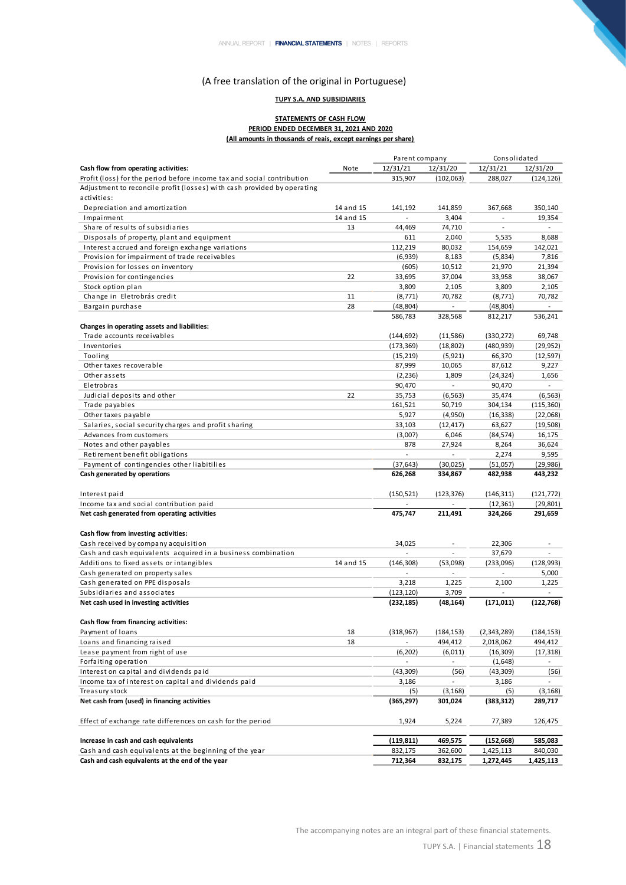## **TUPY S.A. AND SUBSIDIARIES**

#### **STATEMENTS OF CASH FLOW PERIOD ENDED DECEMBER 31, 2021 AND 2020 (All amounts in thousands of reais, except earnings per share)**

|                                                                         |           | Parent company           |                          | Consolidated             |                          |  |
|-------------------------------------------------------------------------|-----------|--------------------------|--------------------------|--------------------------|--------------------------|--|
| Cash flow from operating activities:                                    | Note      | 12/31/21                 | 12/31/20                 | 12/31/21                 | 12/31/20                 |  |
| Profit (loss) for the period before income tax and social contribution  |           | 315,907                  | (102,063)                | 288,027                  | (124, 126)               |  |
| Adjustment to reconcile profit (losses) with cash provided by operating |           |                          |                          |                          |                          |  |
| activities:                                                             |           |                          |                          |                          |                          |  |
| Depreciation and amortization                                           | 14 and 15 | 141.192                  | 141.859                  | 367,668                  | 350,140                  |  |
| Impairment                                                              | 14 and 15 |                          | 3,404                    | $\overline{\phantom{a}}$ | 19,354                   |  |
| Share of results of subsidiaries                                        | 13        | 44,469                   | 74,710                   | $\sim$                   | $\overline{a}$           |  |
| Disposals of property, plant and equipment                              |           | 611                      | 2,040                    | 5,535                    | 8,688                    |  |
| Interest accrued and foreign exchange variations                        |           | 112,219                  | 80,032                   | 154,659                  | 142,021                  |  |
| Provision for impairment of trade receivables                           |           | (6,939)                  | 8,183                    | (5,834)                  | 7,816                    |  |
| Provision for losses on inventory                                       |           | (605)                    | 10,512                   | 21,970                   | 21,394                   |  |
| Provision for contingencies                                             | 22        | 33,695                   | 37,004                   | 33,958                   | 38,067                   |  |
| Stock option plan                                                       |           | 3,809                    | 2,105                    | 3,809                    | 2,105                    |  |
| Change in Eletrobrás credit                                             | 11        | (8, 771)                 | 70,782                   | (8, 771)                 | 70,782                   |  |
| Bargain purchase                                                        | 28        | (48, 804)                |                          | (48, 804)                |                          |  |
|                                                                         |           | 586,783                  | 328,568                  | 812,217                  | 536,241                  |  |
| Changes in operating assets and liabilities:                            |           |                          |                          |                          |                          |  |
| Trade accounts receivables                                              |           | (144, 692)               | (11,586)                 | (330, 272)               | 69,748                   |  |
| Inventories                                                             |           | (173, 369)               | (18, 802)                | (480, 939)               |                          |  |
|                                                                         |           |                          |                          |                          | (29, 952)                |  |
| Tooling                                                                 |           | (15, 219)                | (5,921)                  | 66,370                   | (12, 597)                |  |
| Other taxes recoverable                                                 |           | 87,999                   | 10,065                   | 87,612                   | 9,227                    |  |
| Other assets                                                            |           | (2, 236)                 | 1,809                    | (24, 324)                | 1,656                    |  |
| Eletrobras                                                              |           | 90,470                   |                          | 90,470                   |                          |  |
| Judicial deposits and other                                             | 22        | 35,753                   | (6, 563)                 | 35,474                   | (6, 563)                 |  |
| Trade payables                                                          |           | 161,521                  | 50,719                   | 304,134                  | (115, 360)               |  |
| Other taxes payable                                                     |           | 5,927                    | (4,950)                  | (16, 338)                | (22,068)                 |  |
| Salaries, social security charges and profit sharing                    |           | 33,103                   | (12, 417)                | 63,627                   | (19,508)                 |  |
| Advances from customers                                                 |           | (3,007)                  | 6,046                    | (84, 574)                | 16,175                   |  |
| Notes and other payables                                                |           | 878                      | 27,924                   | 8,264                    | 36,624                   |  |
| Retirement benefit obligations                                          |           | $\frac{1}{2}$            | $\sim$                   | 2,274                    | 9,595                    |  |
| Payment of contingencies other liabitilies                              |           | (37, 643)                | (30,025)                 | (51,057)                 | (29, 986)                |  |
| Cash generated by operations                                            |           | 626,268                  | 334,867                  | 482,938                  | 443,232                  |  |
| Interest paid                                                           |           | (150, 521)               | (123, 376)               | (146, 311)               | (121, 772)               |  |
| Income tax and social contribution paid                                 |           | $\overline{a}$           | $\overline{a}$           | (12, 361)                | (29, 801)                |  |
| Net cash generated from operating activities                            |           | 475,747                  | 211,491                  | 324,266                  | 291,659                  |  |
|                                                                         |           |                          |                          |                          |                          |  |
| Cash flow from investing activities:                                    |           |                          |                          |                          |                          |  |
| Cash received by company acquisition                                    |           | 34,025                   |                          | 22,306                   |                          |  |
| Cash and cash equivalents acquired in a business combination            |           |                          |                          | 37,679                   |                          |  |
| Additions to fixed assets or intangibles                                | 14 and 15 | (146, 308)               | (53,098)                 | (233,096)                | (128, 993)               |  |
| Cash generated on property sales                                        |           |                          |                          | $\overline{\phantom{a}}$ | 5,000                    |  |
| Cash generated on PPE disposals                                         |           | 3,218                    | 1,225                    | 2,100                    | 1,225                    |  |
| Subsidiaries and associates                                             |           | (123, 120)               | 3,709                    | $\overline{\phantom{a}}$ | $\overline{a}$           |  |
| Net cash used in investing activities                                   |           | (232, 185)               | (48,164)                 | (171, 011)               | (122, 768)               |  |
| Cash flow from financing activities:                                    |           |                          |                          |                          |                          |  |
| Payment of loans                                                        | 18        | (318, 967)               | (184, 153)               | (2,343,289)              | (184, 153)               |  |
| Loans and financing raised                                              | 18        |                          | 494,412                  | 2,018,062                | 494,412                  |  |
| Lease payment from right of use                                         |           | (6, 202)                 | (6,011)                  | (16, 309)                | (17, 318)                |  |
| Forfaiting operation                                                    |           | $\overline{\phantom{a}}$ | $\overline{\phantom{a}}$ | (1,648)                  | $\overline{\phantom{a}}$ |  |
| Interest on capital and dividends paid                                  |           | (43, 309)                |                          | (43, 309)                |                          |  |
| Income tax of interest on capital and dividends paid                    |           | 3,186                    | (56)                     | 3,186                    | (56)                     |  |
|                                                                         |           |                          |                          |                          |                          |  |
| Treasury stock                                                          |           | (5)                      | (3, 168)                 | (5)                      | (3, 168)                 |  |
| Net cash from (used) in financing activities                            |           | (365, 297)               | 301,024                  | (383,312)                | 289,717                  |  |
| Effect of exchange rate differences on cash for the period              |           | 1,924                    | 5,224                    | 77,389                   | 126,475                  |  |
| Increase in cash and cash equivalents                                   |           | (119, 811)               | 469,575                  | (152, 668)               | 585,083                  |  |
| Cash and cash equivalents at the beginning of the year                  |           | 832,175                  | 362,600                  | 1,425,113                | 840,030                  |  |
| Cash and cash equivalents at the end of the year                        |           | 712,364                  | 832,175                  | 1,272,445                | 1,425,113                |  |

The accompanying notes are an integral part of these financial statements.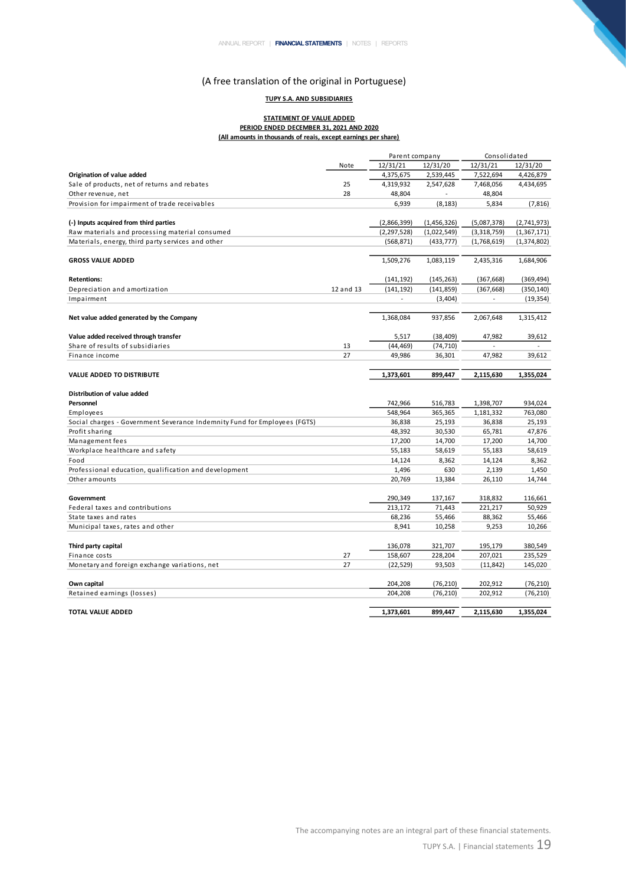## **TUPY S.A. AND SUBSIDIARIES**

#### **STATEMENT OF VALUE ADDED PERIOD ENDED DECEMBER 31, 2021 AND 2020 (All amounts in thousands of reais, except earnings per share)**

|                                                                           |           | Parent company  |              | Consolidated    |                 |  |
|---------------------------------------------------------------------------|-----------|-----------------|--------------|-----------------|-----------------|--|
|                                                                           | Note      | 12/31/21        | 12/31/20     | 12/31/21        | 12/31/20        |  |
| Origination of value added                                                |           | 4,375,675       | 2,539,445    | 7,522,694       | 4,426,879       |  |
| Sale of products, net of returns and rebates                              | 25        | 4,319,932       | 2,547,628    | 7,468,056       | 4,434,695       |  |
| Other revenue, net                                                        | 28        | 48,804          |              | 48,804          |                 |  |
| Provision for impairment of trade receivables                             |           | 6,939           | (8, 183)     | 5,834           | (7, 816)        |  |
|                                                                           |           |                 |              |                 |                 |  |
| (-) Inputs acquired from third parties                                    |           | (2,866,399)     | (1,456,326)  | (5,087,378)     | (2,741,973)     |  |
| Raw materials and processing material consumed                            |           | (2, 297, 528)   | (1,022,549)  | (3,318,759)     | (1,367,171)     |  |
| Materials, energy, third party services and other                         |           | (568, 871)      | (433, 777)   | (1,768,619)     | (1,374,802)     |  |
| <b>GROSS VALUE ADDED</b>                                                  |           | 1,509,276       | 1,083,119    | 2,435,316       | 1,684,906       |  |
|                                                                           |           |                 |              |                 |                 |  |
| <b>Retentions:</b>                                                        |           | (141, 192)      | (145, 263)   | (367, 668)      | (369, 494)      |  |
| Depreciation and amortization                                             | 12 and 13 | (141, 192)      | (141, 859)   | (367, 668)      | (350, 140)      |  |
| Impairment                                                                |           |                 | (3,404)      |                 | (19, 354)       |  |
| Net value added generated by the Company                                  |           | 1,368,084       | 937,856      | 2,067,648       | 1,315,412       |  |
| Value added received through transfer                                     |           | 5,517           | (38, 409)    | 47,982          | 39,612          |  |
| Share of results of subsidiaries                                          | 13        | (44, 469)       | (74, 710)    |                 |                 |  |
| Finance income                                                            | 27        | 49,986          | 36,301       | 47,982          | 39,612          |  |
|                                                                           |           |                 |              |                 |                 |  |
| <b>VALUE ADDED TO DISTRIBUTE</b>                                          |           | 1,373,601       | 899,447      | 2,115,630       | 1,355,024       |  |
| Distribution of value added                                               |           |                 |              |                 |                 |  |
| Personnel                                                                 |           | 742,966         | 516,783      | 1,398,707       | 934,024         |  |
| Employees                                                                 |           | 548,964         | 365,365      | 1,181,332       | 763,080         |  |
| Social charges - Government Severance Indemnity Fund for Employees (FGTS) |           | 36,838          | 25,193       | 36,838          | 25,193          |  |
| Profit sharing                                                            |           | 48,392          | 30,530       | 65,781          | 47,876          |  |
| Management fees                                                           |           | 17,200          | 14,700       | 17,200          | 14,700          |  |
| Workplace healthcare and safety                                           |           | 55,183          | 58,619       | 55,183          | 58,619          |  |
| Food                                                                      |           | 14,124          | 8,362<br>630 | 14,124          | 8,362           |  |
| Professional education, qualification and development<br>Other amounts    |           | 1,496<br>20,769 | 13,384       | 2,139<br>26,110 | 1,450<br>14,744 |  |
|                                                                           |           |                 |              |                 |                 |  |
| Government                                                                |           | 290,349         | 137,167      | 318,832         | 116,661         |  |
| Federal taxes and contributions                                           |           | 213,172         | 71,443       | 221,217         | 50,929          |  |
| State taxes and rates                                                     |           | 68,236          | 55,466       | 88,362          | 55,466          |  |
| Municipal taxes, rates and other                                          |           | 8,941           | 10,258       | 9,253           | 10,266          |  |
| Third party capital                                                       |           | 136,078         | 321,707      | 195,179         | 380,549         |  |
| Finance costs                                                             | 27        | 158,607         | 228,204      | 207,021         | 235,529         |  |
| Monetary and foreign exchange variations, net                             | 27        | (22, 529)       | 93,503       | (11, 842)       | 145,020         |  |
| Own capital                                                               |           | 204,208         | (76, 210)    | 202,912         | (76, 210)       |  |
| Retained earnings (losses)                                                |           | 204,208         | (76, 210)    | 202,912         | (76, 210)       |  |
| <b>TOTAL VALUE ADDED</b>                                                  |           | 1,373,601       | 899,447      | 2,115,630       | 1,355,024       |  |

N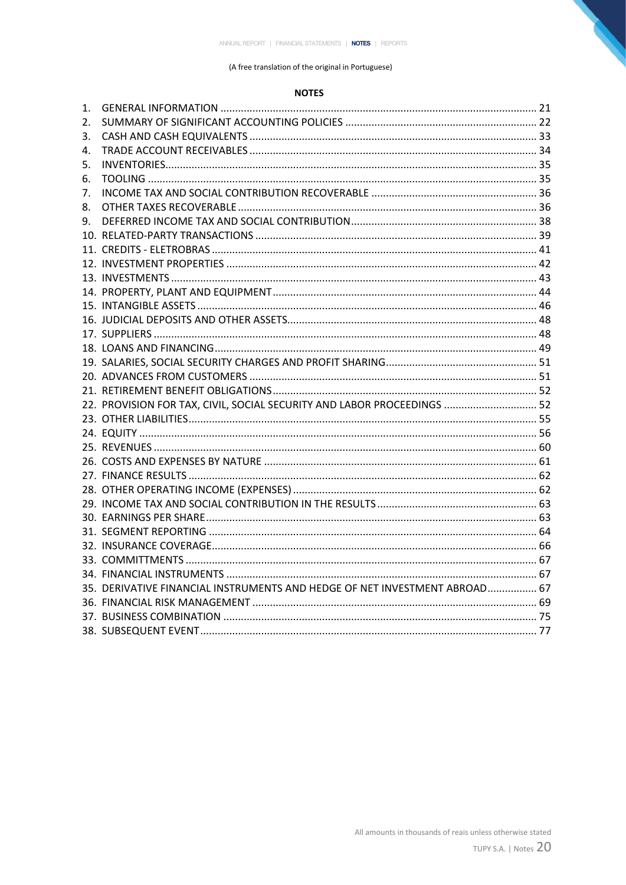## (A free translation of the original in Portuguese)

# **NOTES**

| 1. |                                                                            |  |
|----|----------------------------------------------------------------------------|--|
| 2. |                                                                            |  |
| 3. |                                                                            |  |
| 4. |                                                                            |  |
| 5. |                                                                            |  |
| 6. |                                                                            |  |
| 7. |                                                                            |  |
| 8. |                                                                            |  |
| 9. |                                                                            |  |
|    |                                                                            |  |
|    |                                                                            |  |
|    |                                                                            |  |
|    |                                                                            |  |
|    |                                                                            |  |
|    |                                                                            |  |
|    |                                                                            |  |
|    |                                                                            |  |
|    |                                                                            |  |
|    |                                                                            |  |
|    |                                                                            |  |
|    |                                                                            |  |
|    | 22. PROVISION FOR TAX, CIVIL, SOCIAL SECURITY AND LABOR PROCEEDINGS  52    |  |
|    |                                                                            |  |
|    |                                                                            |  |
|    |                                                                            |  |
|    |                                                                            |  |
|    |                                                                            |  |
|    |                                                                            |  |
|    |                                                                            |  |
|    |                                                                            |  |
|    |                                                                            |  |
|    |                                                                            |  |
|    |                                                                            |  |
|    |                                                                            |  |
|    | 35. DERIVATIVE FINANCIAL INSTRUMENTS AND HEDGE OF NET INVESTMENT ABROAD 67 |  |
|    |                                                                            |  |
|    |                                                                            |  |
|    |                                                                            |  |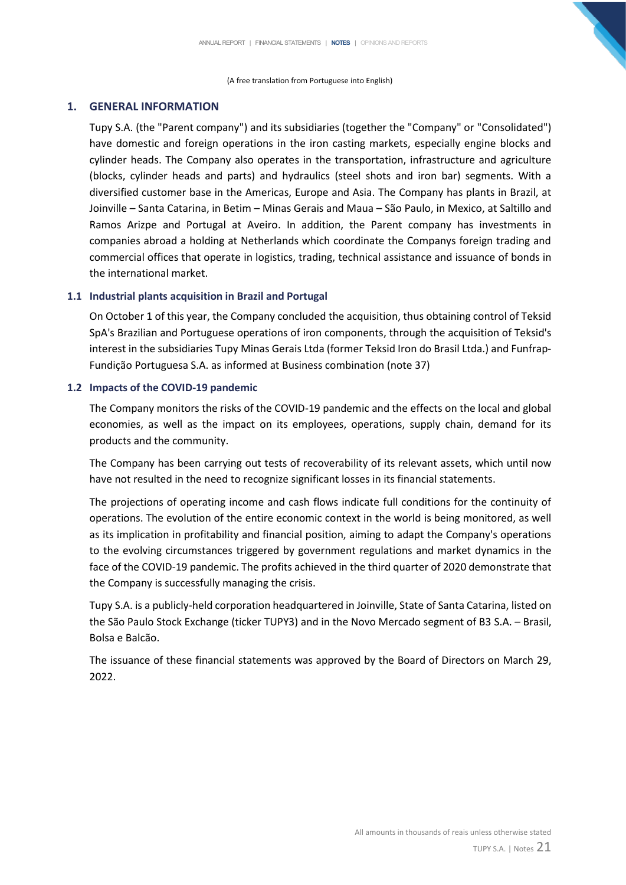(A free translation from Portuguese into English)

# <span id="page-21-0"></span>**1. GENERAL INFORMATION**

Tupy S.A. (the "Parent company") and its subsidiaries (together the "Company" or "Consolidated") have domestic and foreign operations in the iron casting markets, especially engine blocks and cylinder heads. The Company also operates in the transportation, infrastructure and agriculture (blocks, cylinder heads and parts) and hydraulics (steel shots and iron bar) segments. With a diversified customer base in the Americas, Europe and Asia. The Company has plants in Brazil, at Joinville – Santa Catarina, in Betim – Minas Gerais and Maua – São Paulo, in Mexico, at Saltillo and Ramos Arizpe and Portugal at Aveiro. In addition, the Parent company has investments in companies abroad a holding at Netherlands which coordinate the Companys foreign trading and commercial offices that operate in logistics, trading, technical assistance and issuance of bonds in the international market.

# **1.1 Industrial plants acquisition in Brazil and Portugal**

On October 1 of this year, the Company concluded the acquisition, thus obtaining control of Teksid SpA's Brazilian and Portuguese operations of iron components, through the acquisition of Teksid's interest in the subsidiaries Tupy Minas Gerais Ltda (former Teksid Iron do Brasil Ltda.) and Funfrap-Fundição Portuguesa S.A. as informed at Business combination (note 37)

## **1.2 Impacts of the COVID-19 pandemic**

The Company monitors the risks of the COVID-19 pandemic and the effects on the local and global economies, as well as the impact on its employees, operations, supply chain, demand for its products and the community.

The Company has been carrying out tests of recoverability of its relevant assets, which until now have not resulted in the need to recognize significant losses in its financial statements.

The projections of operating income and cash flows indicate full conditions for the continuity of operations. The evolution of the entire economic context in the world is being monitored, as well as its implication in profitability and financial position, aiming to adapt the Company's operations to the evolving circumstances triggered by government regulations and market dynamics in the face of the COVID-19 pandemic. The profits achieved in the third quarter of 2020 demonstrate that the Company is successfully managing the crisis.

Tupy S.A. is a publicly-held corporation headquartered in Joinville, State of Santa Catarina, listed on the São Paulo Stock Exchange (ticker TUPY3) and in the Novo Mercado segment of B3 S.A. – Brasil, Bolsa e Balcão.

The issuance of these financial statements was approved by the Board of Directors on March 29, 2022.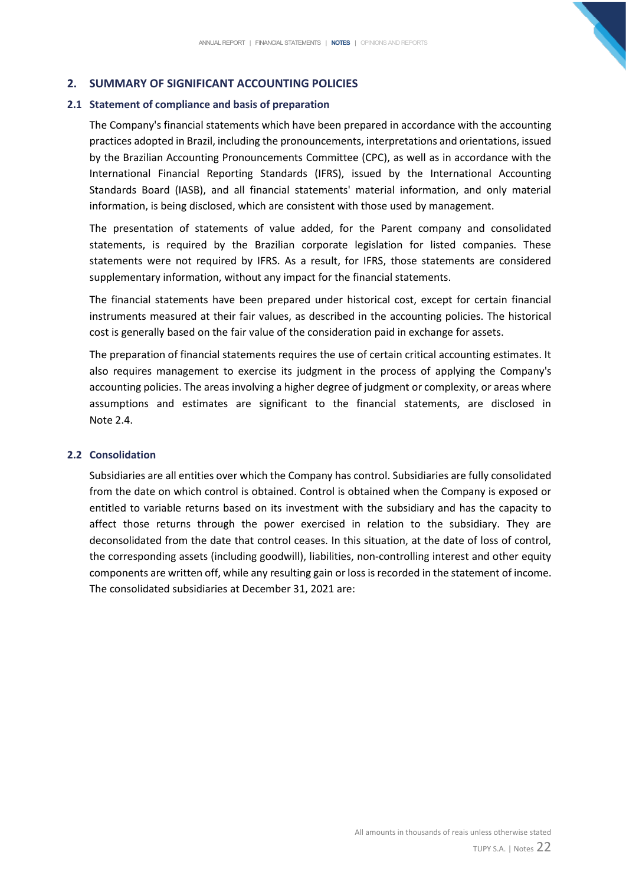# <span id="page-22-0"></span>**2. SUMMARY OF SIGNIFICANT ACCOUNTING POLICIES**

# **2.1 Statement of compliance and basis of preparation**

The Company's financial statements which have been prepared in accordance with the accounting practices adopted in Brazil, including the pronouncements, interpretations and orientations, issued by the Brazilian Accounting Pronouncements Committee (CPC), as well as in accordance with the International Financial Reporting Standards (IFRS), issued by the International Accounting Standards Board (IASB), and all financial statements' material information, and only material information, is being disclosed, which are consistent with those used by management.

The presentation of statements of value added, for the Parent company and consolidated statements, is required by the Brazilian corporate legislation for listed companies. These statements were not required by IFRS. As a result, for IFRS, those statements are considered supplementary information, without any impact for the financial statements.

The financial statements have been prepared under historical cost, except for certain financial instruments measured at their fair values, as described in the accounting policies. The historical cost is generally based on the fair value of the consideration paid in exchange for assets.

The preparation of financial statements requires the use of certain critical accounting estimates. It also requires management to exercise its judgment in the process of applying the Company's accounting policies. The areas involving a higher degree of judgment or complexity, or areas where assumptions and estimates are significant to the financial statements, are disclosed in Note 2.4.

# **2.2 Consolidation**

Subsidiaries are all entities over which the Company has control. Subsidiaries are fully consolidated from the date on which control is obtained. Control is obtained when the Company is exposed or entitled to variable returns based on its investment with the subsidiary and has the capacity to affect those returns through the power exercised in relation to the subsidiary. They are deconsolidated from the date that control ceases. In this situation, at the date of loss of control, the corresponding assets (including goodwill), liabilities, non-controlling interest and other equity components are written off, while any resulting gain or loss is recorded in the statement of income. The consolidated subsidiaries at December 31, 2021 are: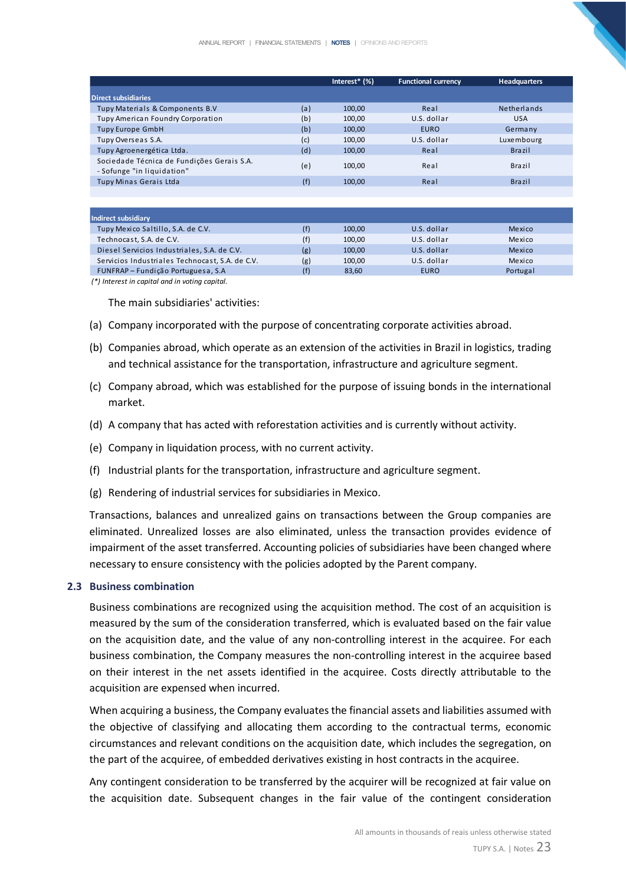|                                                                          |     | Interest $*(\%)$ | <b>Functional currency</b> | <b>Headquarters</b> |
|--------------------------------------------------------------------------|-----|------------------|----------------------------|---------------------|
| <b>Direct subsidiaries</b>                                               |     |                  |                            |                     |
| Tupy Materials & Components B.V                                          | (a) | 100,00           | Real                       | <b>Netherlands</b>  |
| Tupy American Foundry Corporation                                        | (b) | 100,00           | U.S. dollar                | <b>USA</b>          |
| <b>Tupy Europe GmbH</b>                                                  | (b) | 100,00           | <b>EURO</b>                | Germany             |
| Tupy Overseas S.A.                                                       | (c) | 100,00           | U.S. dollar                | Luxembourg          |
| Tupy Agroenergética Ltda.                                                | (d) | 100,00           | Real                       | <b>Brazil</b>       |
| Sociedade Técnica de Fundições Gerais S.A.<br>- Sofunge "in liquidation" | (e) | 100,00           | Real                       | Brazil              |
| Tupy Minas Gerais Ltda                                                   | (f) | 100,00           | Real                       | <b>Brazil</b>       |
|                                                                          |     |                  |                            |                     |

| Indirect subsidiary                             |     |        |             |          |
|-------------------------------------------------|-----|--------|-------------|----------|
| Tupy Mexico Saltillo, S.A. de C.V.              | (f) | 100.00 | U.S. dollar | Mexico   |
| Technocast, S.A. de C.V.                        | (f) | 100.00 | U.S. dollar | Mexico   |
| Diesel Servicios Industriales, S.A. de C.V.     | (g) | 100.00 | U.S. dollar | Mexico   |
| Servicios Industriales Technocast, S.A. de C.V. | (g) | 100.00 | U.S. dollar | Mexico   |
| FUNFRAP - Fundição Portuguesa, S.A              | (f) | 83.60  | <b>EURO</b> | Portugal |

*(\*) Interest in capital and in voting capital.*

The main subsidiaries' activities:

- (a) Company incorporated with the purpose of concentrating corporate activities abroad.
- (b) Companies abroad, which operate as an extension of the activities in Brazil in logistics, trading and technical assistance for the transportation, infrastructure and agriculture segment.
- (c) Company abroad, which was established for the purpose of issuing bonds in the international market.
- (d) A company that has acted with reforestation activities and is currently without activity.
- (e) Company in liquidation process, with no current activity.
- (f) Industrial plants for the transportation, infrastructure and agriculture segment.
- (g) Rendering of industrial services for subsidiaries in Mexico.

Transactions, balances and unrealized gains on transactions between the Group companies are eliminated. Unrealized losses are also eliminated, unless the transaction provides evidence of impairment of the asset transferred. Accounting policies of subsidiaries have been changed where necessary to ensure consistency with the policies adopted by the Parent company.

#### **2.3 Business combination**

Business combinations are recognized using the acquisition method. The cost of an acquisition is measured by the sum of the consideration transferred, which is evaluated based on the fair value on the acquisition date, and the value of any non-controlling interest in the acquiree. For each business combination, the Company measures the non-controlling interest in the acquiree based on their interest in the net assets identified in the acquiree. Costs directly attributable to the acquisition are expensed when incurred.

When acquiring a business, the Company evaluates the financial assets and liabilities assumed with the objective of classifying and allocating them according to the contractual terms, economic circumstances and relevant conditions on the acquisition date, which includes the segregation, on the part of the acquiree, of embedded derivatives existing in host contracts in the acquiree.

Any contingent consideration to be transferred by the acquirer will be recognized at fair value on the acquisition date. Subsequent changes in the fair value of the contingent consideration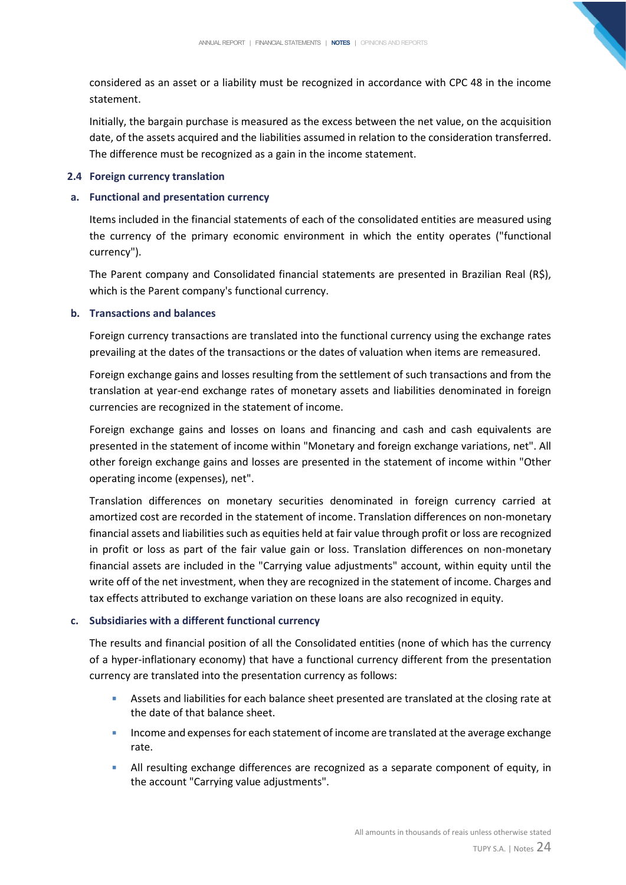considered as an asset or a liability must be recognized in accordance with CPC 48 in the income statement.

Initially, the bargain purchase is measured as the excess between the net value, on the acquisition date, of the assets acquired and the liabilities assumed in relation to the consideration transferred. The difference must be recognized as a gain in the income statement.

# **2.4 Foreign currency translation**

# **a. Functional and presentation currency**

Items included in the financial statements of each of the consolidated entities are measured using the currency of the primary economic environment in which the entity operates ("functional currency").

The Parent company and Consolidated financial statements are presented in Brazilian Real (R\$), which is the Parent company's functional currency.

# **b. Transactions and balances**

Foreign currency transactions are translated into the functional currency using the exchange rates prevailing at the dates of the transactions or the dates of valuation when items are remeasured.

Foreign exchange gains and losses resulting from the settlement of such transactions and from the translation at year-end exchange rates of monetary assets and liabilities denominated in foreign currencies are recognized in the statement of income.

Foreign exchange gains and losses on loans and financing and cash and cash equivalents are presented in the statement of income within "Monetary and foreign exchange variations, net". All other foreign exchange gains and losses are presented in the statement of income within "Other operating income (expenses), net".

Translation differences on monetary securities denominated in foreign currency carried at amortized cost are recorded in the statement of income. Translation differences on non-monetary financial assets and liabilities such as equities held at fair value through profit or loss are recognized in profit or loss as part of the fair value gain or loss. Translation differences on non-monetary financial assets are included in the "Carrying value adjustments" account, within equity until the write off of the net investment, when they are recognized in the statement of income. Charges and tax effects attributed to exchange variation on these loans are also recognized in equity.

# **c. Subsidiaries with a different functional currency**

The results and financial position of all the Consolidated entities (none of which has the currency of a hyper-inflationary economy) that have a functional currency different from the presentation currency are translated into the presentation currency as follows:

- **EXECTS Assets and liabilities for each balance sheet presented are translated at the closing rate at** the date of that balance sheet.
- **EXP** Income and expenses for each statement of income are translated at the average exchange rate.
- **E** All resulting exchange differences are recognized as a separate component of equity, in the account "Carrying value adjustments".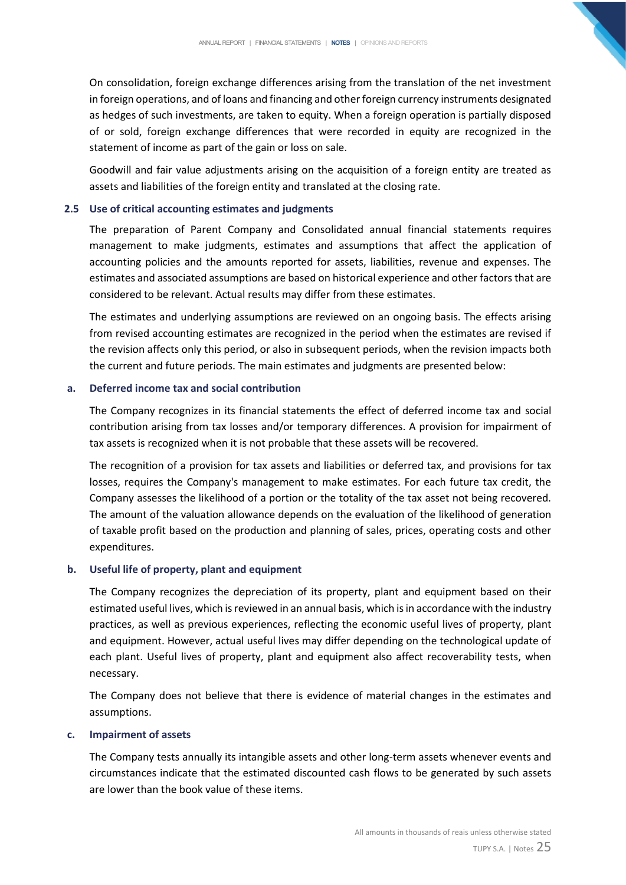On consolidation, foreign exchange differences arising from the translation of the net investment in foreign operations, and of loans and financing and other foreign currency instruments designated as hedges of such investments, are taken to equity. When a foreign operation is partially disposed of or sold, foreign exchange differences that were recorded in equity are recognized in the statement of income as part of the gain or loss on sale.

Goodwill and fair value adjustments arising on the acquisition of a foreign entity are treated as assets and liabilities of the foreign entity and translated at the closing rate.

## **2.5 Use of critical accounting estimates and judgments**

The preparation of Parent Company and Consolidated annual financial statements requires management to make judgments, estimates and assumptions that affect the application of accounting policies and the amounts reported for assets, liabilities, revenue and expenses. The estimates and associated assumptions are based on historical experience and other factors that are considered to be relevant. Actual results may differ from these estimates.

The estimates and underlying assumptions are reviewed on an ongoing basis. The effects arising from revised accounting estimates are recognized in the period when the estimates are revised if the revision affects only this period, or also in subsequent periods, when the revision impacts both the current and future periods. The main estimates and judgments are presented below:

# **a. Deferred income tax and social contribution**

The Company recognizes in its financial statements the effect of deferred income tax and social contribution arising from tax losses and/or temporary differences. A provision for impairment of tax assets is recognized when it is not probable that these assets will be recovered.

The recognition of a provision for tax assets and liabilities or deferred tax, and provisions for tax losses, requires the Company's management to make estimates. For each future tax credit, the Company assesses the likelihood of a portion or the totality of the tax asset not being recovered. The amount of the valuation allowance depends on the evaluation of the likelihood of generation of taxable profit based on the production and planning of sales, prices, operating costs and other expenditures.

## **b. Useful life of property, plant and equipment**

The Company recognizes the depreciation of its property, plant and equipment based on their estimated useful lives, which is reviewed in an annual basis, which is in accordance with the industry practices, as well as previous experiences, reflecting the economic useful lives of property, plant and equipment. However, actual useful lives may differ depending on the technological update of each plant. Useful lives of property, plant and equipment also affect recoverability tests, when necessary.

The Company does not believe that there is evidence of material changes in the estimates and assumptions.

## **c. Impairment of assets**

The Company tests annually its intangible assets and other long-term assets whenever events and circumstances indicate that the estimated discounted cash flows to be generated by such assets are lower than the book value of these items.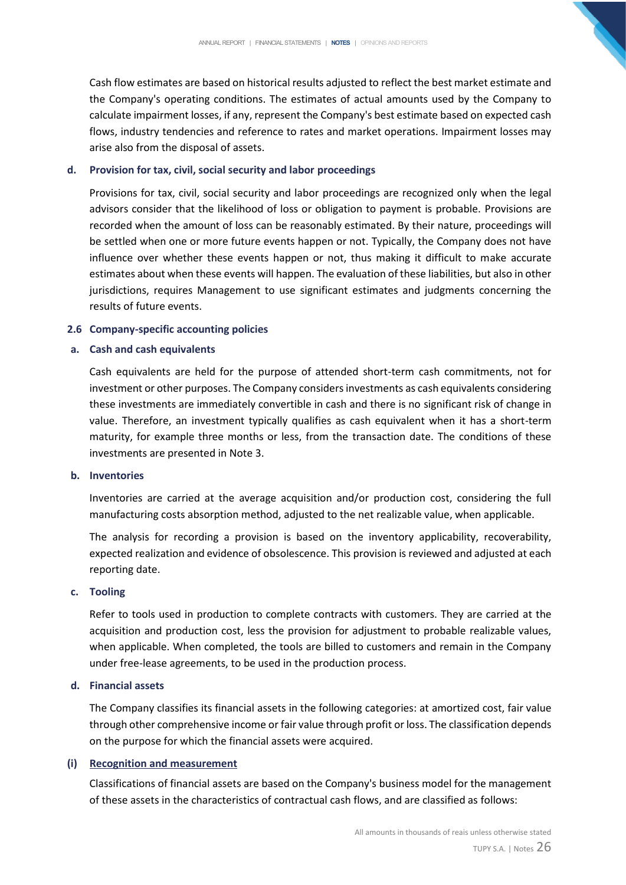Cash flow estimates are based on historical results adjusted to reflect the best market estimate and the Company's operating conditions. The estimates of actual amounts used by the Company to calculate impairment losses, if any, represent the Company's best estimate based on expected cash flows, industry tendencies and reference to rates and market operations. Impairment losses may arise also from the disposal of assets.

# **d. Provision for tax, civil, social security and labor proceedings**

Provisions for tax, civil, social security and labor proceedings are recognized only when the legal advisors consider that the likelihood of loss or obligation to payment is probable. Provisions are recorded when the amount of loss can be reasonably estimated. By their nature, proceedings will be settled when one or more future events happen or not. Typically, the Company does not have influence over whether these events happen or not, thus making it difficult to make accurate estimates about when these events will happen. The evaluation of these liabilities, but also in other jurisdictions, requires Management to use significant estimates and judgments concerning the results of future events.

# **2.6 Company-specific accounting policies**

# **a. Cash and cash equivalents**

Cash equivalents are held for the purpose of attended short-term cash commitments, not for investment or other purposes. The Company considers investments as cash equivalents considering these investments are immediately convertible in cash and there is no significant risk of change in value. Therefore, an investment typically qualifies as cash equivalent when it has a short-term maturity, for example three months or less, from the transaction date. The conditions of these investments are presented in Note 3.

## **b. Inventories**

Inventories are carried at the average acquisition and/or production cost, considering the full manufacturing costs absorption method, adjusted to the net realizable value, when applicable.

The analysis for recording a provision is based on the inventory applicability, recoverability, expected realization and evidence of obsolescence. This provision is reviewed and adjusted at each reporting date.

## **c. Tooling**

Refer to tools used in production to complete contracts with customers. They are carried at the acquisition and production cost, less the provision for adjustment to probable realizable values, when applicable. When completed, the tools are billed to customers and remain in the Company under free-lease agreements, to be used in the production process.

# **d. Financial assets**

The Company classifies its financial assets in the following categories: at amortized cost, fair value through other comprehensive income or fair value through profit or loss. The classification depends on the purpose for which the financial assets were acquired.

# **(i) Recognition and measurement**

Classifications of financial assets are based on the Company's business model for the management of these assets in the characteristics of contractual cash flows, and are classified as follows: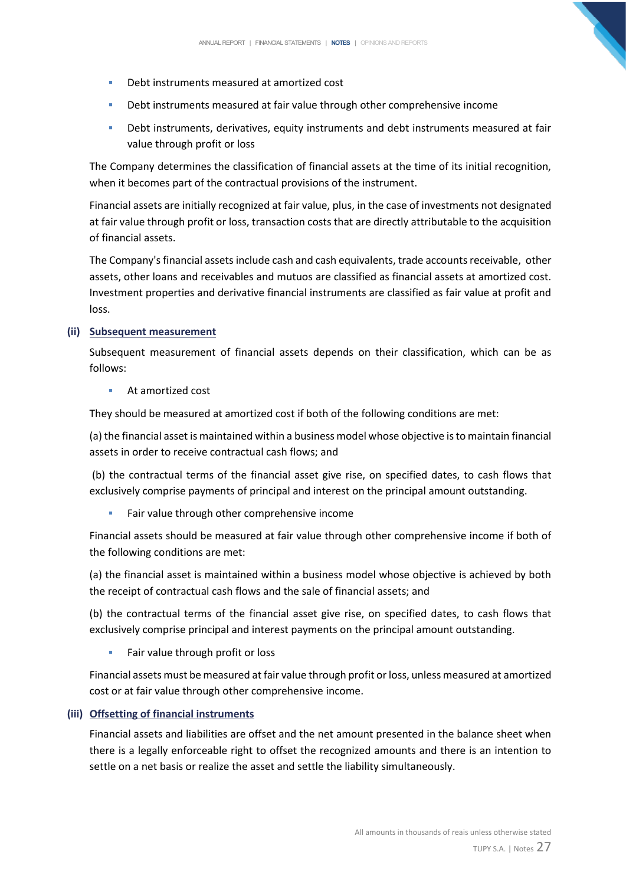- Debt instruments measured at amortized cost
- **•** Debt instruments measured at fair value through other comprehensive income
- **•** Debt instruments, derivatives, equity instruments and debt instruments measured at fair value through profit or loss

The Company determines the classification of financial assets at the time of its initial recognition, when it becomes part of the contractual provisions of the instrument.

Financial assets are initially recognized at fair value, plus, in the case of investments not designated at fair value through profit or loss, transaction costs that are directly attributable to the acquisition of financial assets.

The Company's financial assets include cash and cash equivalents, trade accounts receivable, other assets, other loans and receivables and mutuos are classified as financial assets at amortized cost. Investment properties and derivative financial instruments are classified as fair value at profit and loss.

# **(ii) Subsequent measurement**

Subsequent measurement of financial assets depends on their classification, which can be as follows:

■ At amortized cost

They should be measured at amortized cost if both of the following conditions are met:

(a) the financial asset is maintained within a business model whose objective is to maintain financial assets in order to receive contractual cash flows; and

(b) the contractual terms of the financial asset give rise, on specified dates, to cash flows that exclusively comprise payments of principal and interest on the principal amount outstanding.

■ Fair value through other comprehensive income

Financial assets should be measured at fair value through other comprehensive income if both of the following conditions are met:

(a) the financial asset is maintained within a business model whose objective is achieved by both the receipt of contractual cash flows and the sale of financial assets; and

(b) the contractual terms of the financial asset give rise, on specified dates, to cash flows that exclusively comprise principal and interest payments on the principal amount outstanding.

■ Fair value through profit or loss

Financial assets must be measured at fair value through profit or loss, unless measured at amortized cost or at fair value through other comprehensive income.

# **(iii) Offsetting of financial instruments**

Financial assets and liabilities are offset and the net amount presented in the balance sheet when there is a legally enforceable right to offset the recognized amounts and there is an intention to settle on a net basis or realize the asset and settle the liability simultaneously.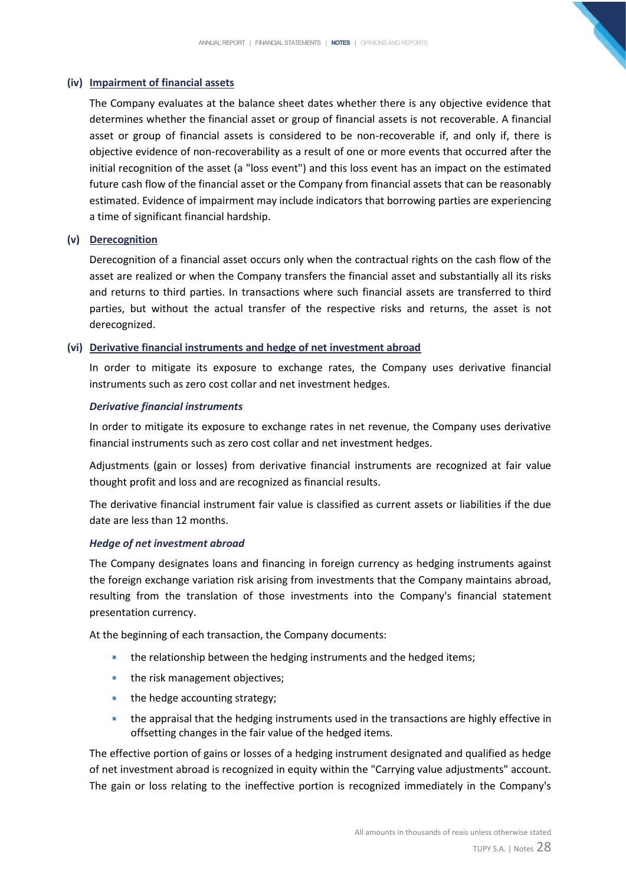# **(iv) Impairment of financial assets**

The Company evaluates at the balance sheet dates whether there is any objective evidence that determines whether the financial asset or group of financial assets is not recoverable. A financial asset or group of financial assets is considered to be non-recoverable if, and only if, there is objective evidence of non-recoverability as a result of one or more events that occurred after the initial recognition of the asset (a "loss event") and this loss event has an impact on the estimated future cash flow of the financial asset or the Company from financial assets that can be reasonably estimated. Evidence of impairment may include indicators that borrowing parties are experiencing a time of significant financial hardship.

# **(v) Derecognition**

Derecognition of a financial asset occurs only when the contractual rights on the cash flow of the asset are realized or when the Company transfers the financial asset and substantially all its risks and returns to third parties. In transactions where such financial assets are transferred to third parties, but without the actual transfer of the respective risks and returns, the asset is not derecognized.

# **(vi) Derivative financial instruments and hedge of net investment abroad**

In order to mitigate its exposure to exchange rates, the Company uses derivative financial instruments such as zero cost collar and net investment hedges.

# *Derivative financial instruments*

In order to mitigate its exposure to exchange rates in net revenue, the Company uses derivative financial instruments such as zero cost collar and net investment hedges.

Adjustments (gain or losses) from derivative financial instruments are recognized at fair value thought profit and loss and are recognized as financial results.

The derivative financial instrument fair value is classified as current assets or liabilities if the due date are less than 12 months.

# *Hedge of net investment abroad*

The Company designates loans and financing in foreign currency as hedging instruments against the foreign exchange variation risk arising from investments that the Company maintains abroad, resulting from the translation of those investments into the Company's financial statement presentation currency.

At the beginning of each transaction, the Company documents:

- the relationship between the hedging instruments and the hedged items;
- the risk management objectives;
- the hedge accounting strategy;
- **•** the appraisal that the hedging instruments used in the transactions are highly effective in offsetting changes in the fair value of the hedged items.

The effective portion of gains or losses of a hedging instrument designated and qualified as hedge of net investment abroad is recognized in equity within the "Carrying value adjustments" account. The gain or loss relating to the ineffective portion is recognized immediately in the Company's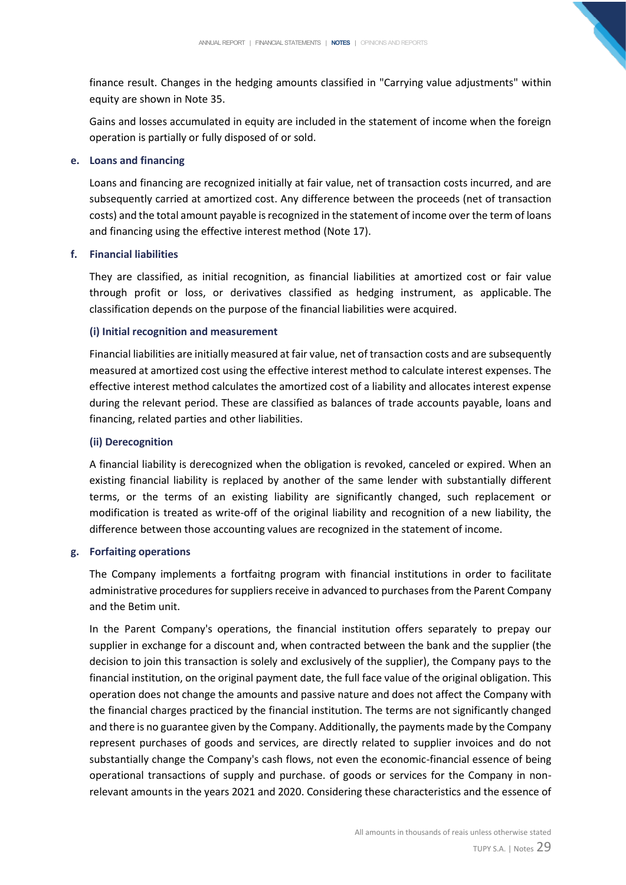finance result. Changes in the hedging amounts classified in "Carrying value adjustments" within equity are shown in Note 35.

Gains and losses accumulated in equity are included in the statement of income when the foreign operation is partially or fully disposed of or sold.

# **e. Loans and financing**

Loans and financing are recognized initially at fair value, net of transaction costs incurred, and are subsequently carried at amortized cost. Any difference between the proceeds (net of transaction costs) and the total amount payable is recognized in the statement of income over the term of loans and financing using the effective interest method (Note 17).

# **f. Financial liabilities**

They are classified, as initial recognition, as financial liabilities at amortized cost or fair value through profit or loss, or derivatives classified as hedging instrument, as applicable. The classification depends on the purpose of the financial liabilities were acquired.

# **(i) Initial recognition and measurement**

Financial liabilities are initially measured at fair value, net of transaction costs and are subsequently measured at amortized cost using the effective interest method to calculate interest expenses. The effective interest method calculates the amortized cost of a liability and allocates interest expense during the relevant period. These are classified as balances of trade accounts payable, loans and financing, related parties and other liabilities.

# **(ii) Derecognition**

A financial liability is derecognized when the obligation is revoked, canceled or expired. When an existing financial liability is replaced by another of the same lender with substantially different terms, or the terms of an existing liability are significantly changed, such replacement or modification is treated as write-off of the original liability and recognition of a new liability, the difference between those accounting values are recognized in the statement of income.

# **g. Forfaiting operations**

The Company implements a fortfaitng program with financial institutions in order to facilitate administrative procedures for suppliers receive in advanced to purchases from the Parent Company and the Betim unit.

In the Parent Company's operations, the financial institution offers separately to prepay our supplier in exchange for a discount and, when contracted between the bank and the supplier (the decision to join this transaction is solely and exclusively of the supplier), the Company pays to the financial institution, on the original payment date, the full face value of the original obligation. This operation does not change the amounts and passive nature and does not affect the Company with the financial charges practiced by the financial institution. The terms are not significantly changed and there is no guarantee given by the Company. Additionally, the payments made by the Company represent purchases of goods and services, are directly related to supplier invoices and do not substantially change the Company's cash flows, not even the economic-financial essence of being operational transactions of supply and purchase. of goods or services for the Company in nonrelevant amounts in the years 2021 and 2020. Considering these characteristics and the essence of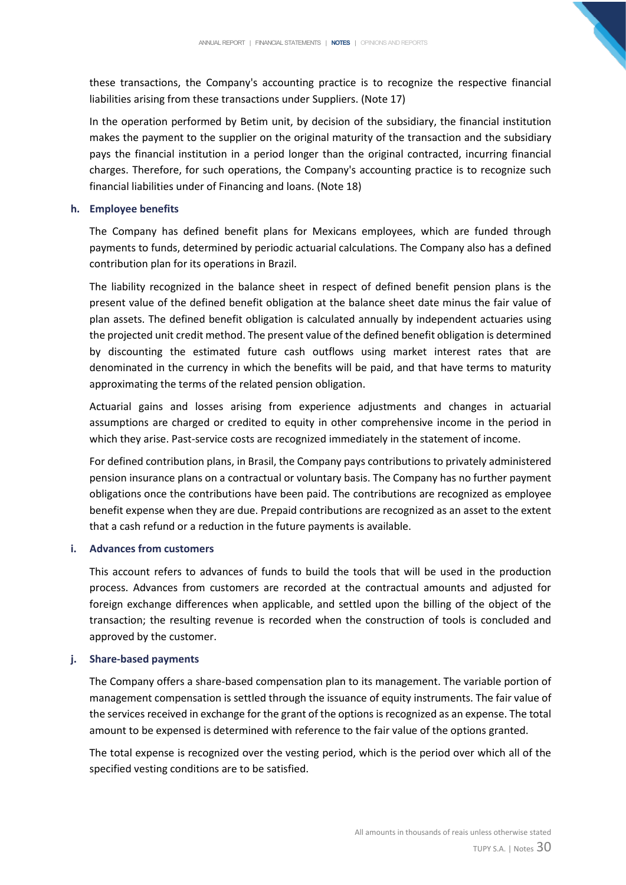these transactions, the Company's accounting practice is to recognize the respective financial liabilities arising from these transactions under Suppliers. (Note 17)

In the operation performed by Betim unit, by decision of the subsidiary, the financial institution makes the payment to the supplier on the original maturity of the transaction and the subsidiary pays the financial institution in a period longer than the original contracted, incurring financial charges. Therefore, for such operations, the Company's accounting practice is to recognize such financial liabilities under of Financing and loans. (Note 18)

# **h. Employee benefits**

The Company has defined benefit plans for Mexicans employees, which are funded through payments to funds, determined by periodic actuarial calculations. The Company also has a defined contribution plan for its operations in Brazil.

The liability recognized in the balance sheet in respect of defined benefit pension plans is the present value of the defined benefit obligation at the balance sheet date minus the fair value of plan assets. The defined benefit obligation is calculated annually by independent actuaries using the projected unit credit method. The present value of the defined benefit obligation is determined by discounting the estimated future cash outflows using market interest rates that are denominated in the currency in which the benefits will be paid, and that have terms to maturity approximating the terms of the related pension obligation.

Actuarial gains and losses arising from experience adjustments and changes in actuarial assumptions are charged or credited to equity in other comprehensive income in the period in which they arise. Past-service costs are recognized immediately in the statement of income.

For defined contribution plans, in Brasil, the Company pays contributions to privately administered pension insurance plans on a contractual or voluntary basis. The Company has no further payment obligations once the contributions have been paid. The contributions are recognized as employee benefit expense when they are due. Prepaid contributions are recognized as an asset to the extent that a cash refund or a reduction in the future payments is available.

## **i. Advances from customers**

This account refers to advances of funds to build the tools that will be used in the production process. Advances from customers are recorded at the contractual amounts and adjusted for foreign exchange differences when applicable, and settled upon the billing of the object of the transaction; the resulting revenue is recorded when the construction of tools is concluded and approved by the customer.

# **j. Share-based payments**

The Company offers a share-based compensation plan to its management. The variable portion of management compensation is settled through the issuance of equity instruments. The fair value of the services received in exchange for the grant of the options is recognized as an expense. The total amount to be expensed is determined with reference to the fair value of the options granted.

The total expense is recognized over the vesting period, which is the period over which all of the specified vesting conditions are to be satisfied.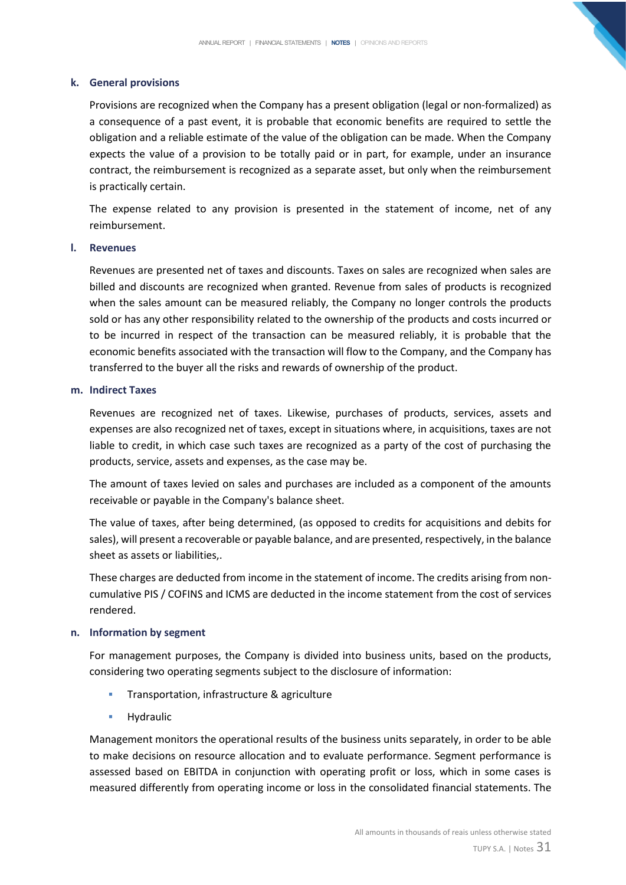# **k. General provisions**

Provisions are recognized when the Company has a present obligation (legal or non-formalized) as a consequence of a past event, it is probable that economic benefits are required to settle the obligation and a reliable estimate of the value of the obligation can be made. When the Company expects the value of a provision to be totally paid or in part, for example, under an insurance contract, the reimbursement is recognized as a separate asset, but only when the reimbursement is practically certain.

The expense related to any provision is presented in the statement of income, net of any reimbursement.

## **l. Revenues**

Revenues are presented net of taxes and discounts. Taxes on sales are recognized when sales are billed and discounts are recognized when granted. Revenue from sales of products is recognized when the sales amount can be measured reliably, the Company no longer controls the products sold or has any other responsibility related to the ownership of the products and costs incurred or to be incurred in respect of the transaction can be measured reliably, it is probable that the economic benefits associated with the transaction will flow to the Company, and the Company has transferred to the buyer all the risks and rewards of ownership of the product.

## **m. Indirect Taxes**

Revenues are recognized net of taxes. Likewise, purchases of products, services, assets and expenses are also recognized net of taxes, except in situations where, in acquisitions, taxes are not liable to credit, in which case such taxes are recognized as a party of the cost of purchasing the products, service, assets and expenses, as the case may be.

The amount of taxes levied on sales and purchases are included as a component of the amounts receivable or payable in the Company's balance sheet.

The value of taxes, after being determined, (as opposed to credits for acquisitions and debits for sales), will present a recoverable or payable balance, and are presented, respectively, in the balance sheet as assets or liabilities,.

These charges are deducted from income in the statement of income. The credits arising from noncumulative PIS / COFINS and ICMS are deducted in the income statement from the cost of services rendered.

# **n. Information by segment**

For management purposes, the Company is divided into business units, based on the products, considering two operating segments subject to the disclosure of information:

- Transportation, infrastructure & agriculture
- **■** Hydraulic

Management monitors the operational results of the business units separately, in order to be able to make decisions on resource allocation and to evaluate performance. Segment performance is assessed based on EBITDA in conjunction with operating profit or loss, which in some cases is measured differently from operating income or loss in the consolidated financial statements. The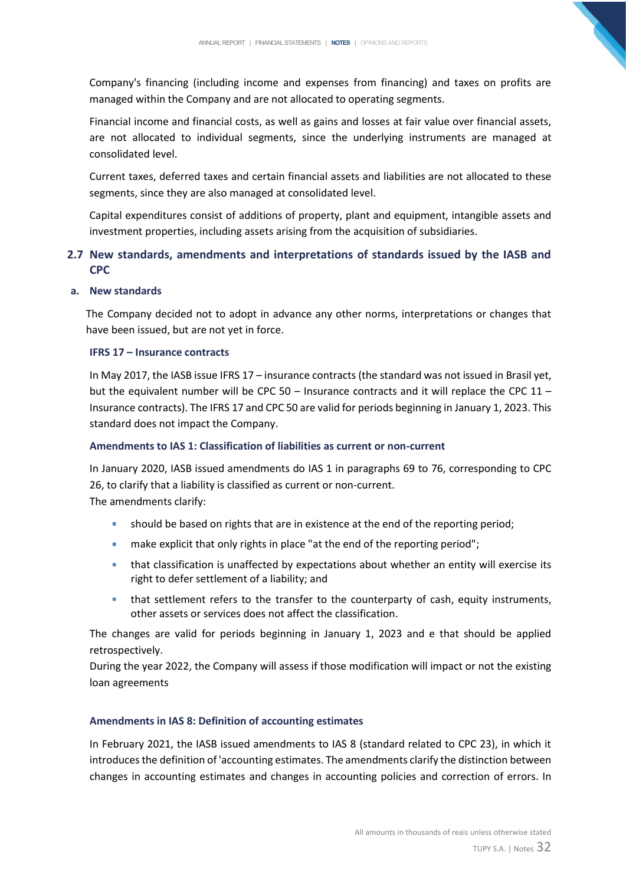Company's financing (including income and expenses from financing) and taxes on profits are managed within the Company and are not allocated to operating segments.

Financial income and financial costs, as well as gains and losses at fair value over financial assets, are not allocated to individual segments, since the underlying instruments are managed at consolidated level.

Current taxes, deferred taxes and certain financial assets and liabilities are not allocated to these segments, since they are also managed at consolidated level.

Capital expenditures consist of additions of property, plant and equipment, intangible assets and investment properties, including assets arising from the acquisition of subsidiaries.

# **2.7 New standards, amendments and interpretations of standards issued by the IASB and CPC**

# **a. New standards**

The Company decided not to adopt in advance any other norms, interpretations or changes that have been issued, but are not yet in force.

# **IFRS 17 – Insurance contracts**

In May 2017, the IASB issue IFRS 17 – insurance contracts (the standard was not issued in Brasil yet, but the equivalent number will be CPC 50 – Insurance contracts and it will replace the CPC 11 – Insurance contracts). The IFRS 17 and CPC 50 are valid for periods beginning in January 1, 2023. This standard does not impact the Company.

# **Amendments to IAS 1: Classification of liabilities as current or non-current**

In January 2020, IASB issued amendments do IAS 1 in paragraphs 69 to 76, corresponding to CPC 26, to clarify that a liability is classified as current or non-current. The amendments clarify:

- **•** should be based on rights that are in existence at the end of the reporting period;
- make explicit that only rights in place "at the end of the reporting period";
- **.** that classification is unaffected by expectations about whether an entity will exercise its right to defer settlement of a liability; and
- that settlement refers to the transfer to the counterparty of cash, equity instruments, other assets or services does not affect the classification.

The changes are valid for periods beginning in January 1, 2023 and e that should be applied retrospectively.

During the year 2022, the Company will assess if those modification will impact or not the existing loan agreements

# **Amendments in IAS 8: Definition of accounting estimates**

In February 2021, the IASB issued amendments to IAS 8 (standard related to CPC 23), in which it introduces the definition of 'accounting estimates. The amendments clarify the distinction between changes in accounting estimates and changes in accounting policies and correction of errors. In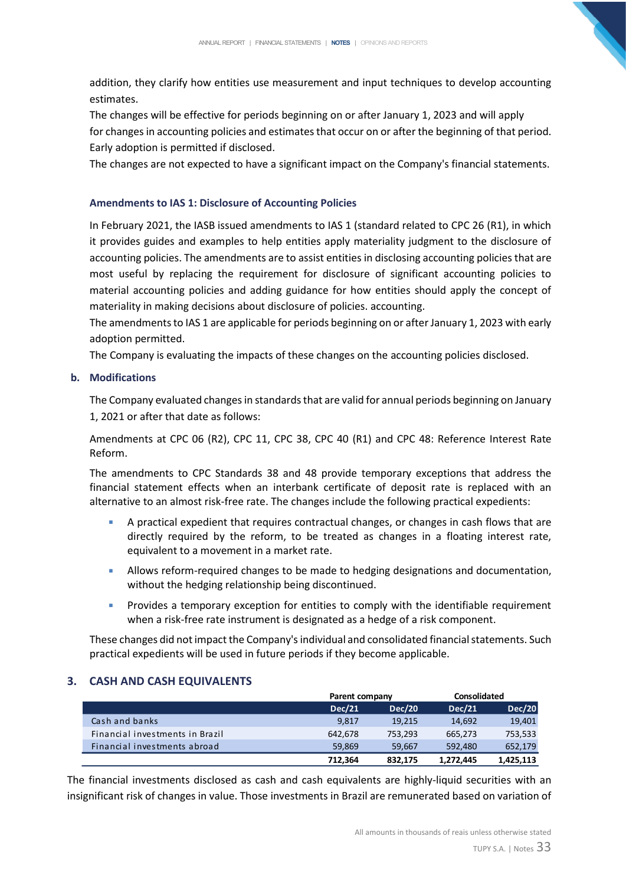addition, they clarify how entities use measurement and input techniques to develop accounting estimates.

The changes will be effective for periods beginning on or after January 1, 2023 and will apply for changes in accounting policies and estimates that occur on or after the beginning of that period. Early adoption is permitted if disclosed.

The changes are not expected to have a significant impact on the Company's financial statements.

# **Amendments to IAS 1: Disclosure of Accounting Policies**

In February 2021, the IASB issued amendments to IAS 1 (standard related to CPC 26 (R1), in which it provides guides and examples to help entities apply materiality judgment to the disclosure of accounting policies. The amendments are to assist entities in disclosing accounting policies that are most useful by replacing the requirement for disclosure of significant accounting policies to material accounting policies and adding guidance for how entities should apply the concept of materiality in making decisions about disclosure of policies. accounting.

The amendments to IAS 1 are applicable for periods beginning on or after January 1, 2023 with early adoption permitted.

The Company is evaluating the impacts of these changes on the accounting policies disclosed.

# **b. Modifications**

The Company evaluated changes in standards that are valid for annual periods beginning on January 1, 2021 or after that date as follows:

Amendments at CPC 06 (R2), CPC 11, CPC 38, CPC 40 (R1) and CPC 48: Reference Interest Rate Reform.

The amendments to CPC Standards 38 and 48 provide temporary exceptions that address the financial statement effects when an interbank certificate of deposit rate is replaced with an alternative to an almost risk-free rate. The changes include the following practical expedients:

- A practical expedient that requires contractual changes, or changes in cash flows that are directly required by the reform, to be treated as changes in a floating interest rate, equivalent to a movement in a market rate.
- **EXECUTE:** Allows reform-required changes to be made to hedging designations and documentation, without the hedging relationship being discontinued.
- Provides a temporary exception for entities to comply with the identifiable requirement when a risk-free rate instrument is designated as a hedge of a risk component.

These changes did not impact the Company's individual and consolidated financial statements. Such practical expedients will be used in future periods if they become applicable.

# <span id="page-33-0"></span>**3. CASH AND CASH EQUIVALENTS**

|                                 |               | Parent company |           | Consolidated  |
|---------------------------------|---------------|----------------|-----------|---------------|
|                                 | <b>Dec/21</b> | <b>Dec/20</b>  | Dec/21    | <b>Dec/20</b> |
| Cash and banks                  | 9,817         | 19.215         | 14.692    | 19,401        |
| Financial investments in Brazil | 642.678       | 753,293        | 665,273   | 753,533       |
| Financial investments abroad    | 59.869        | 59.667         | 592.480   | 652,179       |
|                                 | 712.364       | 832.175        | 1,272,445 | 1,425,113     |

The financial investments disclosed as cash and cash equivalents are highly-liquid securities with an insignificant risk of changes in value. Those investments in Brazil are remunerated based on variation of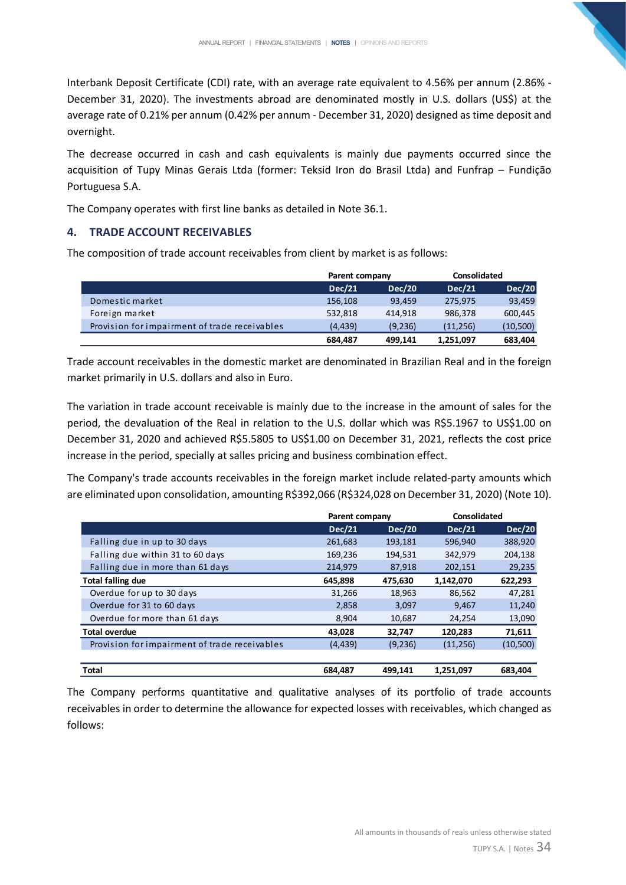Interbank Deposit Certificate (CDI) rate, with an average rate equivalent to 4.56% per annum (2.86% - December 31, 2020). The investments abroad are denominated mostly in U.S. dollars (US\$) at the average rate of 0.21% per annum (0.42% per annum - December 31, 2020) designed as time deposit and overnight.

The decrease occurred in cash and cash equivalents is mainly due payments occurred since the acquisition of Tupy Minas Gerais Ltda (former: Teksid Iron do Brasil Ltda) and Funfrap – Fundição Portuguesa S.A.

The Company operates with first line banks as detailed in Note 36.1.

# <span id="page-34-0"></span>**4. TRADE ACCOUNT RECEIVABLES**

The composition of trade account receivables from client by market is as follows:

|                                               | Parent company |               | Consolidated |               |
|-----------------------------------------------|----------------|---------------|--------------|---------------|
|                                               | <b>Dec/21</b>  | <b>Dec/20</b> | Dec/21       | <b>Dec/20</b> |
| Domestic market                               | 156,108        | 93,459        | 275,975      | 93,459        |
| Foreign market                                | 532.818        | 414.918       | 986,378      | 600,445       |
| Provision for impairment of trade receivables | (4.439)        | (9,236)       | (11, 256)    | (10, 500)     |
|                                               | 684,487        | 499.141       | 1,251,097    | 683,404       |

Trade account receivables in the domestic market are denominated in Brazilian Real and in the foreign market primarily in U.S. dollars and also in Euro.

The variation in trade account receivable is mainly due to the increase in the amount of sales for the period, the devaluation of the Real in relation to the U.S. dollar which was R\$5.1967 to US\$1.00 on December 31, 2020 and achieved R\$5.5805 to US\$1.00 on December 31, 2021, reflects the cost price increase in the period, specially at salles pricing and business combination effect.

The Company's trade accounts receivables in the foreign market include related-party amounts which are eliminated upon consolidation, amounting R\$392,066 (R\$324,028 on December 31, 2020) (Note 10).

|                                               | Parent company |               | Consolidated  |               |
|-----------------------------------------------|----------------|---------------|---------------|---------------|
|                                               | <b>Dec/21</b>  | <b>Dec/20</b> | <b>Dec/21</b> | <b>Dec/20</b> |
| Falling due in up to 30 days                  | 261,683        | 193,181       | 596,940       | 388,920       |
| Falling due within 31 to 60 days              | 169,236        | 194,531       | 342,979       | 204,138       |
| Falling due in more than 61 days              | 214,979        | 87,918        | 202,151       | 29,235        |
| <b>Total falling due</b>                      | 645,898        | 475,630       | 1,142,070     | 622,293       |
| Overdue for up to 30 days                     | 31,266         | 18,963        | 86,562        | 47,281        |
| Overdue for 31 to 60 days                     | 2,858          | 3,097         | 9,467         | 11,240        |
| Overdue for more than 61 days                 | 8,904          | 10,687        | 24,254        | 13,090        |
| <b>Total overdue</b>                          | 43,028         | 32,747        | 120,283       | 71,611        |
| Provision for impairment of trade receivables | (4, 439)       | (9,236)       | (11, 256)     | (10, 500)     |
| <b>Total</b>                                  | 684.487        | 499.141       | 1,251,097     | 683.404       |

The Company performs quantitative and qualitative analyses of its portfolio of trade accounts receivables in order to determine the allowance for expected losses with receivables, which changed as follows: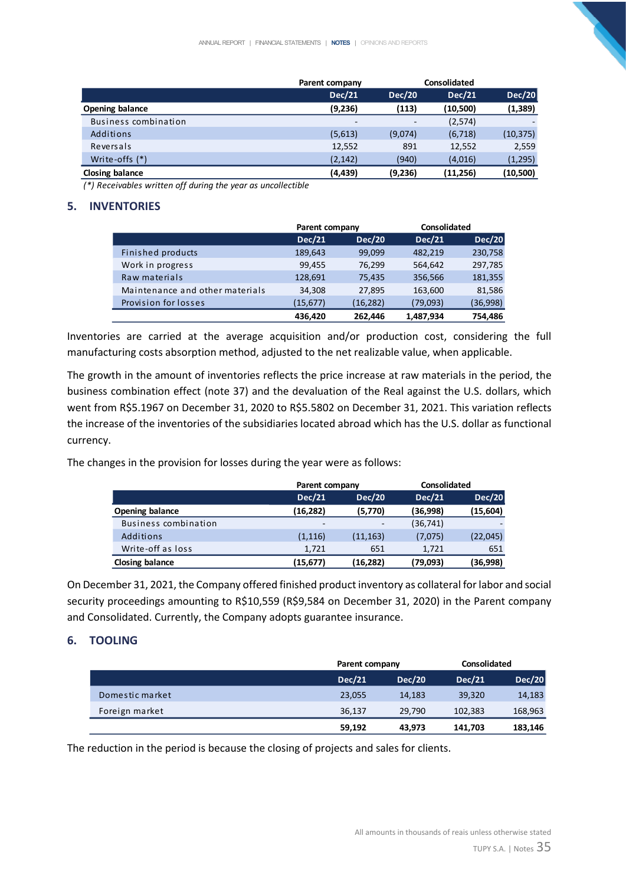|                        | Parent company           |                          |               |                          |
|------------------------|--------------------------|--------------------------|---------------|--------------------------|
|                        | <b>Dec/21</b>            | <b>Dec/20</b>            | <b>Dec/21</b> | <b>Dec/20</b>            |
| <b>Opening balance</b> | (9,236)                  | (113)                    | (10,500)      | (1, 389)                 |
| Business combination   | $\overline{\phantom{0}}$ | $\overline{\phantom{0}}$ | (2,574)       | $\overline{\phantom{a}}$ |
| Additions              | (5,613)                  | (9,074)                  | (6, 718)      | (10, 375)                |
| Reversals              | 12,552                   | 891                      | 12,552        | 2,559                    |
| Write-offs (*)         | (2, 142)                 | (940)                    | (4,016)       | (1, 295)                 |
| Closing balance        | (4, 439)                 | (9,236)                  | (11, 256)     | (10,500)                 |

*(\*) Receivables written off during the year as uncollectible*

# <span id="page-35-0"></span>**5. INVENTORIES**

|                                 | Parent company |               | Consolidated  |          |
|---------------------------------|----------------|---------------|---------------|----------|
|                                 | <b>Dec/21</b>  | <b>Dec/20</b> | <b>Dec/21</b> | Dec/20   |
| Finished products               | 189,643        | 99,099        | 482,219       | 230,758  |
| Work in progress                | 99,455         | 76.299        | 564,642       | 297,785  |
| Raw materials                   | 128,691        | 75,435        | 356,566       | 181,355  |
| Maintenance and other materials | 34,308         | 27.895        | 163,600       | 81,586   |
| Provision for losses            | (15, 677)      | (16, 282)     | (79,093)      | (36,998) |
|                                 | 436.420        | 262,446       | 1,487,934     | 754.486  |

Inventories are carried at the average acquisition and/or production cost, considering the full manufacturing costs absorption method, adjusted to the net realizable value, when applicable.

The growth in the amount of inventories reflects the price increase at raw materials in the period, the business combination effect (note 37) and the devaluation of the Real against the U.S. dollars, which went from R\$5.1967 on December 31, 2020 to R\$5.5802 on December 31, 2021. This variation reflects the increase of the inventories of the subsidiaries located abroad which has the U.S. dollar as functional currency.

The changes in the provision for losses during the year were as follows:

|                        |                          | Parent company           |               | <b>Consolidated</b> |  |
|------------------------|--------------------------|--------------------------|---------------|---------------------|--|
|                        | <b>Dec/21</b>            | <b>Dec/20</b>            | <b>Dec/21</b> | <b>Dec/20</b>       |  |
| <b>Opening balance</b> | (16,282)                 | (5,770)                  | (36,998)      | (15,604)            |  |
| Business combination   | $\overline{\phantom{a}}$ | $\overline{\phantom{a}}$ | (36, 741)     |                     |  |
| Additions              | (1, 116)                 | (11, 163)                | (7,075)       | (22, 045)           |  |
| Write-off as loss      | 1.721                    | 651                      | 1.721         | 651                 |  |
| Closing balance        | (15,677)                 | (16,282)                 | (79,093)      | (36,998)            |  |

On December 31, 2021, the Company offered finished product inventory as collateral for labor and social security proceedings amounting to R\$10,559 (R\$9,584 on December 31, 2020) in the Parent company and Consolidated. Currently, the Company adopts guarantee insurance.

# <span id="page-35-1"></span>**6. TOOLING**

|                 | Parent company |               | <b>Consolidated</b> |               |
|-----------------|----------------|---------------|---------------------|---------------|
|                 | <b>Dec/21</b>  | <b>Dec/20</b> | <b>Dec/21</b>       | <b>Dec/20</b> |
| Domestic market | 23,055         | 14.183        | 39,320              | 14,183        |
| Foreign market  | 36,137         | 29.790        | 102,383             | 168,963       |
|                 | 59,192         | 43,973        | 141,703             | 183,146       |

The reduction in the period is because the closing of projects and sales for clients.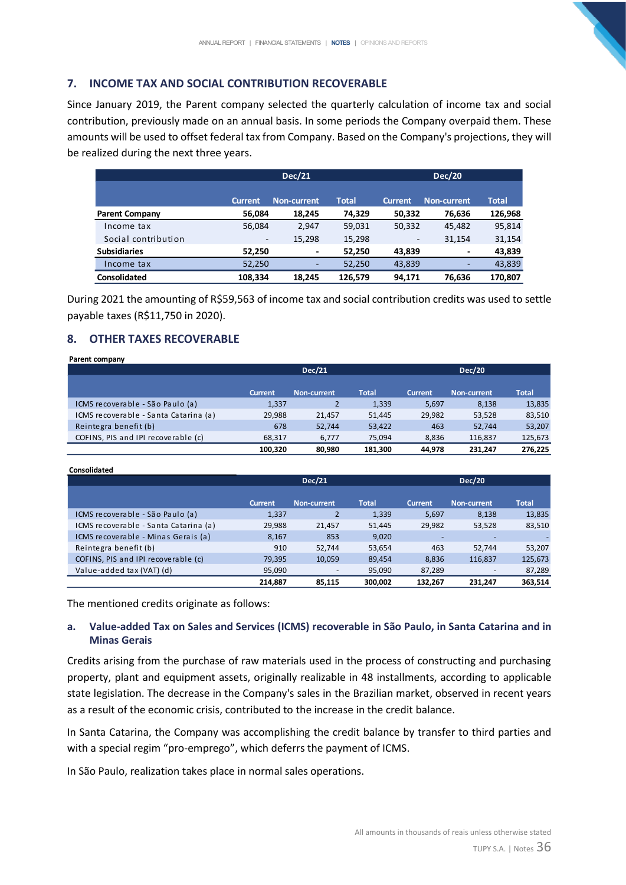## **7. INCOME TAX AND SOCIAL CONTRIBUTION RECOVERABLE**

Since January 2019, the Parent company selected the quarterly calculation of income tax and social contribution, previously made on an annual basis. In some periods the Company overpaid them. These amounts will be used to offset federal tax from Company. Based on the Company's projections, they will be realized during the next three years.

|                       |                | <b>Dec/21</b>      |         |                | <b>Dec/20</b>      |              |
|-----------------------|----------------|--------------------|---------|----------------|--------------------|--------------|
|                       |                |                    |         |                |                    |              |
|                       | <b>Current</b> | <b>Non-current</b> | Total   | <b>Current</b> | <b>Non-current</b> | <b>Total</b> |
| <b>Parent Company</b> | 56,084         | 18,245             | 74,329  | 50,332         | 76,636             | 126,968      |
| Income tax            | 56,084         | 2,947              | 59,031  | 50,332         | 45.482             | 95,814       |
| Social contribution   | ٠              | 15,298             | 15,298  | -              | 31.154             | 31,154       |
| <b>Subsidiaries</b>   | 52.250         | ٠                  | 52,250  | 43.839         |                    | 43,839       |
| Income tax            | 52,250         | ۰.                 | 52,250  | 43,839         | ۰                  | 43,839       |
| <b>Consolidated</b>   | 108.334        | 18.245             | 126.579 | 94.171         | 76.636             | 170.807      |

During 2021 the amounting of R\$59,563 of income tax and social contribution credits was used to settle payable taxes (R\$11,750 in 2020).

## **8. OTHER TAXES RECOVERABLE**

#### **Parent company Dec/21 Dec/20 Current Non-current Total Current Non-current Total** ICMS recoverable - São Paulo (a) 1,337 2 1,339 5,697 8,138 13,835 ICMS recoverable - Santa Catarina (a) 29,988 21,457 51,445 29,982 53,528 83,510 Reintegra benefit (b) 678 52,744 53,422 463 52,744 53,207 COFINS, PIS and IPI recoverable (c) 68,317 6,777 75,094 8,836 116,837 125,673 **100,320 80,980 181,300 44,978 231,247 276,225**

**Consolidated**

|                                       |                | <b>Dec/21</b> |              |                | <b>Dec/20</b>      |              |
|---------------------------------------|----------------|---------------|--------------|----------------|--------------------|--------------|
|                                       |                |               |              |                |                    |              |
|                                       | <b>Current</b> | Non-current   | <b>Total</b> | <b>Current</b> | <b>Non-current</b> | <b>Total</b> |
| ICMS recoverable - São Paulo (a)      | 1,337          |               | 1,339        | 5,697          | 8,138              | 13,835       |
| ICMS recoverable - Santa Catarina (a) | 29,988         | 21.457        | 51,445       | 29,982         | 53,528             | 83,510       |
| ICMS recoverable - Minas Gerais (a)   | 8,167          | 853           | 9,020        |                |                    |              |
| Reintegra benefit (b)                 | 910            | 52.744        | 53,654       | 463            | 52.744             | 53,207       |
| COFINS, PIS and IPI recoverable (c)   | 79,395         | 10,059        | 89,454       | 8,836          | 116,837            | 125,673      |
| Value-added tax (VAT) (d)             | 95,090         |               | 95,090       | 87,289         |                    | 87,289       |
|                                       | 214.887        | 85.115        | 300,002      | 132,267        | 231.247            | 363,514      |

The mentioned credits originate as follows:

## **a. Value-added Tax on Sales and Services (ICMS) recoverable in São Paulo, in Santa Catarina and in Minas Gerais**

Credits arising from the purchase of raw materials used in the process of constructing and purchasing property, plant and equipment assets, originally realizable in 48 installments, according to applicable state legislation. The decrease in the Company's sales in the Brazilian market, observed in recent years as a result of the economic crisis, contributed to the increase in the credit balance.

In Santa Catarina, the Company was accomplishing the credit balance by transfer to third parties and with a special regim "pro-emprego", which deferrs the payment of ICMS.

In São Paulo, realization takes place in normal sales operations.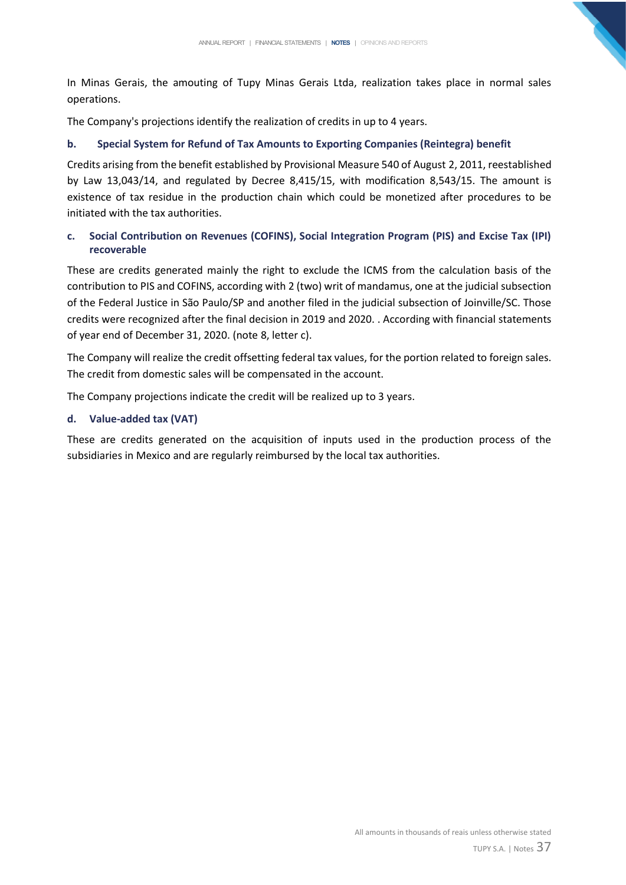In Minas Gerais, the amouting of Tupy Minas Gerais Ltda, realization takes place in normal sales operations.

The Company's projections identify the realization of credits in up to 4 years.

## **b. Special System for Refund of Tax Amounts to Exporting Companies (Reintegra) benefit**

Credits arising from the benefit established by Provisional Measure 540 of August 2, 2011, reestablished by Law 13,043/14, and regulated by Decree 8,415/15, with modification 8,543/15. The amount is existence of tax residue in the production chain which could be monetized after procedures to be initiated with the tax authorities.

# **c. Social Contribution on Revenues (COFINS), Social Integration Program (PIS) and Excise Tax (IPI) recoverable**

These are credits generated mainly the right to exclude the ICMS from the calculation basis of the contribution to PIS and COFINS, according with 2 (two) writ of mandamus, one at the judicial subsection of the Federal Justice in São Paulo/SP and another filed in the judicial subsection of Joinville/SC. Those credits were recognized after the final decision in 2019 and 2020. . According with financial statements of year end of December 31, 2020. (note 8, letter c).

The Company will realize the credit offsetting federal tax values, for the portion related to foreign sales. The credit from domestic sales will be compensated in the account.

The Company projections indicate the credit will be realized up to 3 years.

# **d. Value-added tax (VAT)**

These are credits generated on the acquisition of inputs used in the production process of the subsidiaries in Mexico and are regularly reimbursed by the local tax authorities.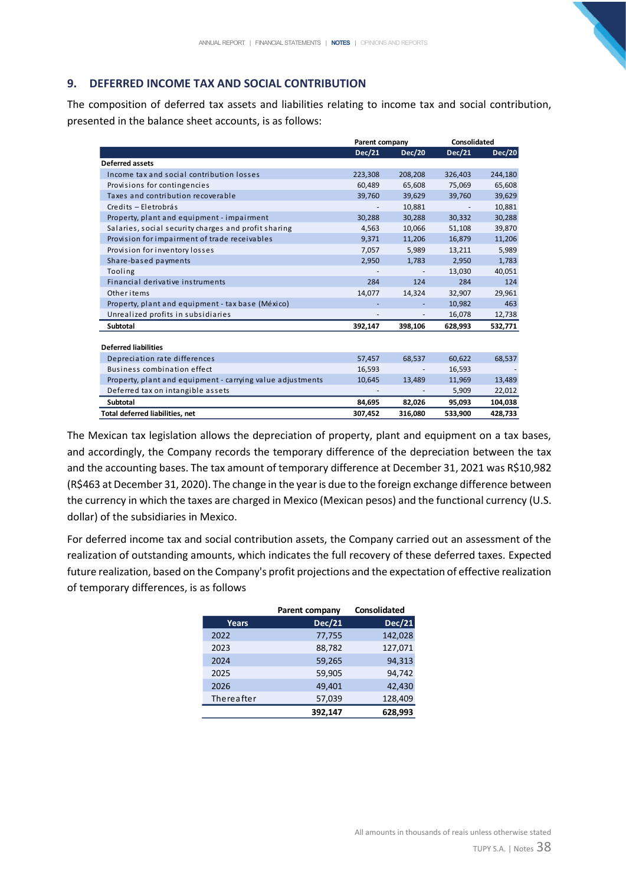# **9. DEFERRED INCOME TAX AND SOCIAL CONTRIBUTION**

The composition of deferred tax assets and liabilities relating to income tax and social contribution, presented in the balance sheet accounts, is as follows:

|                                                            | Parent company |         | <b>Consolidated</b> |               |
|------------------------------------------------------------|----------------|---------|---------------------|---------------|
|                                                            | Dec/21         | Dec/20  | Dec/21              | <b>Dec/20</b> |
| <b>Deferred assets</b>                                     |                |         |                     |               |
| Income tax and social contribution losses                  | 223,308        | 208,208 | 326,403             | 244,180       |
| Provisions for contingencies                               | 60,489         | 65,608  | 75,069              | 65,608        |
| Taxes and contribution recoverable                         | 39,760         | 39,629  | 39,760              | 39,629        |
| Credits - Eletrobrás                                       |                | 10,881  |                     | 10,881        |
| Property, plant and equipment - impairment                 | 30,288         | 30,288  | 30,332              | 30,288        |
| Salaries, social security charges and profit sharing       | 4,563          | 10,066  | 51,108              | 39,870        |
| Provision for impairment of trade receivables              | 9,371          | 11,206  | 16,879              | 11,206        |
| Provision for inventory losses                             | 7,057          | 5,989   | 13,211              | 5,989         |
| Share-based payments                                       | 2,950          | 1,783   | 2,950               | 1,783         |
| Tooling                                                    |                |         | 13,030              | 40,051        |
| Financial derivative instruments                           | 284            | 124     | 284                 | 124           |
| Other items                                                | 14,077         | 14,324  | 32,907              | 29,961        |
| Property, plant and equipment - tax base (México)          |                |         | 10,982              | 463           |
| Unrealized profits in subsidiaries                         |                |         | 16,078              | 12,738        |
| <b>Subtotal</b>                                            | 392,147        | 398,106 | 628,993             | 532,771       |
|                                                            |                |         |                     |               |
| <b>Deferred liabilities</b>                                |                |         |                     |               |
| Depreciation rate differences                              | 57,457         | 68,537  | 60,622              | 68,537        |
| Business combination effect                                | 16,593         |         | 16,593              |               |
| Property, plant and equipment - carrying value adjustments | 10,645         | 13,489  | 11,969              | 13,489        |
| Deferred tax on intangible assets                          |                |         | 5,909               | 22,012        |
| <b>Subtotal</b>                                            | 84,695         | 82,026  | 95,093              | 104,038       |
| <b>Total deferred liabilities, net</b>                     | 307.452        | 316.080 | 533.900             | 428.733       |

The Mexican tax legislation allows the depreciation of property, plant and equipment on a tax bases, and accordingly, the Company records the temporary difference of the depreciation between the tax and the accounting bases. The tax amount of temporary difference at December 31, 2021 was R\$10,982 (R\$463 at December 31, 2020). The change in the year is due to the foreign exchange difference between the currency in which the taxes are charged in Mexico (Mexican pesos) and the functional currency (U.S. dollar) of the subsidiaries in Mexico.

For deferred income tax and social contribution assets, the Company carried out an assessment of the realization of outstanding amounts, which indicates the full recovery of these deferred taxes. Expected future realization, based on the Company's profit projections and the expectation of effective realization of temporary differences, is as follows

|              | <b>Parent company</b> | <b>Consolidated</b> |
|--------------|-----------------------|---------------------|
| <b>Years</b> | Dec/21                | <b>Dec/21</b>       |
| 2022         | 77,755                | 142,028             |
| 2023         | 88,782                | 127,071             |
| 2024         | 59,265                | 94,313              |
| 2025         | 59,905                | 94,742              |
| 2026         | 49,401                | 42,430              |
| Thereafter   | 57,039                | 128,409             |
|              | 392.147               | 628.993             |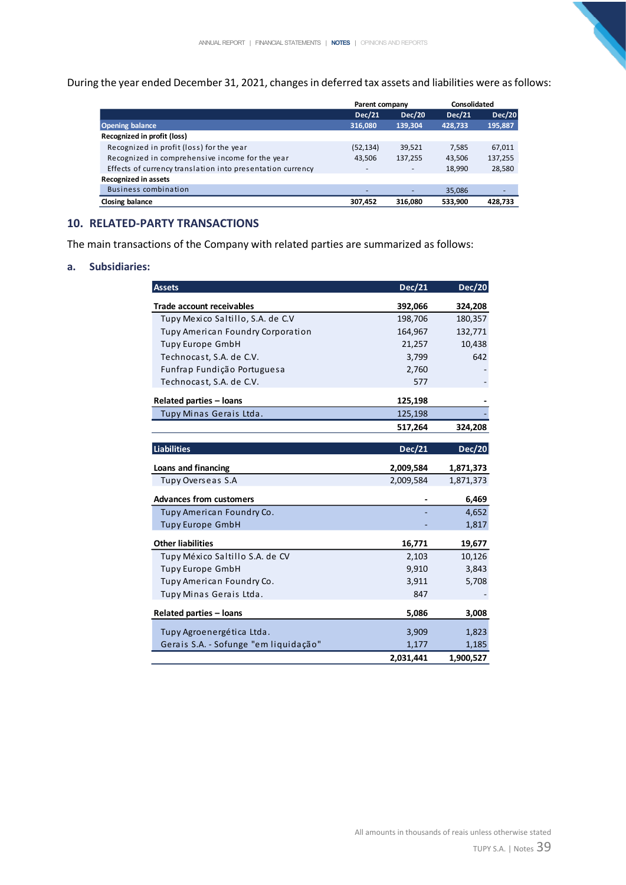During the year ended December 31, 2021, changes in deferred tax assets and liabilities were as follows:

|                                                            | Parent company |                          | Consolidated  |               |
|------------------------------------------------------------|----------------|--------------------------|---------------|---------------|
|                                                            | <b>Dec/21</b>  | <b>Dec/20</b>            | <b>Dec/21</b> | <b>Dec/20</b> |
| <b>Opening balance</b>                                     | 316,080        | 139,304                  | 428,733       | 195,887       |
| Recognized in profit (loss)                                |                |                          |               |               |
| Recognized in profit (loss) for the year                   | (52, 134)      | 39,521                   | 7,585         | 67,011        |
| Recognized in comprehensive income for the year            | 43,506         | 137,255                  | 43,506        | 137,255       |
| Effects of currency translation into presentation currency | -              | $\overline{\phantom{a}}$ | 18,990        | 28,580        |
| <b>Recognized in assets</b>                                |                |                          |               |               |
| <b>Business combination</b>                                |                |                          | 35,086        |               |
| Closing balance                                            | 307,452        | 316.080                  | 533,900       | 428,733       |

## **10. RELATED-PARTY TRANSACTIONS**

The main transactions of the Company with related parties are summarized as follows:

#### **a. Subsidiaries:**

| <b>Assets</b>                         | <b>Dec/21</b> | <b>Dec/20</b> |
|---------------------------------------|---------------|---------------|
| <b>Trade account receivables</b>      | 392,066       | 324,208       |
| Tupy Mexico Saltillo, S.A. de C.V     | 198,706       | 180,357       |
| Tupy American Foundry Corporation     | 164,967       | 132,771       |
| <b>Tupy Europe GmbH</b>               | 21,257        | 10,438        |
| Technocast, S.A. de C.V.              | 3,799         | 642           |
| Funfrap Fundição Portuguesa           | 2,760         |               |
| Technocast, S.A. de C.V.              | 577           |               |
| <b>Related parties - loans</b>        | 125,198       |               |
| Tupy Minas Gerais Ltda.               | 125,198       |               |
|                                       | 517,264       | 324,208       |
|                                       |               |               |
| <b>Liabilities</b>                    | <b>Dec/21</b> | <b>Dec/20</b> |
| Loans and financing                   | 2,009,584     | 1,871,373     |
| Tupy Overseas S.A                     | 2,009,584     | 1,871,373     |
| <b>Advances from customers</b>        |               | 6,469         |
| Tupy American Foundry Co.             |               | 4,652         |
| <b>Tupy Europe GmbH</b>               |               | 1,817         |
| <b>Other liabilities</b>              | 16,771        | 19,677        |
| Tupy México Saltillo S.A. de CV       | 2,103         | 10,126        |
| <b>Tupy Europe GmbH</b>               | 9,910         | 3,843         |
| Tupy American Foundry Co.             | 3,911         | 5,708         |
| Tupy Minas Gerais Ltda.               | 847           |               |
| <b>Related parties - loans</b>        | 5,086         | 3,008         |
| Tupy Agroenergética Ltda.             | 3,909         | 1,823         |
| Gerais S.A. - Sofunge "em liquidação" | 1,177         | 1,185         |
|                                       | 2,031,441     | 1,900,527     |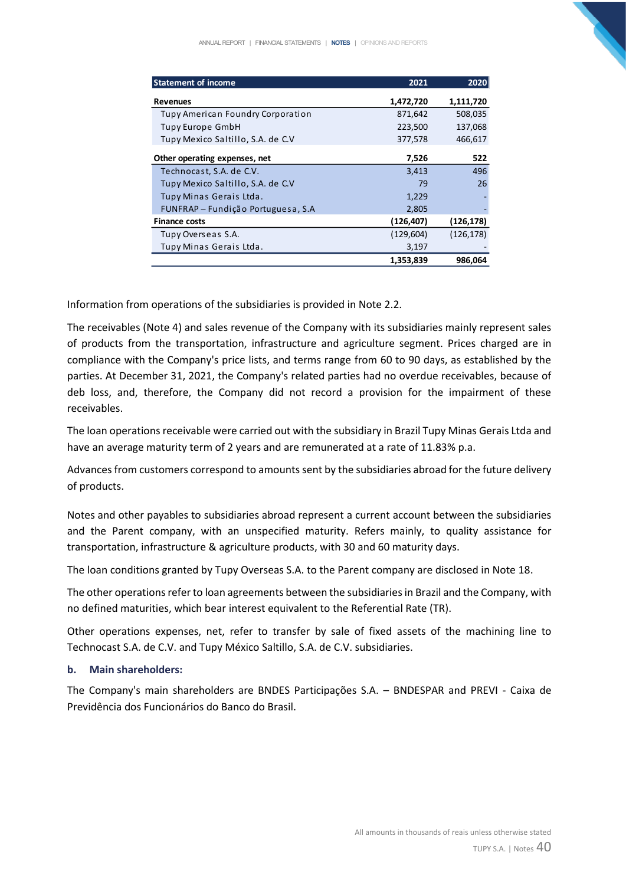| <b>Statement of income</b>         | 2021       | 2020       |
|------------------------------------|------------|------------|
| <b>Revenues</b>                    | 1,472,720  | 1,111,720  |
| Tupy American Foundry Corporation  | 871,642    | 508,035    |
| Tupy Europe GmbH                   | 223,500    | 137,068    |
| Tupy Mexico Saltillo, S.A. de C.V  | 377,578    | 466,617    |
| Other operating expenses, net      | 7,526      | 522        |
| Technocast, S.A. de C.V.           | 3,413      | 496        |
| Tupy Mexico Saltillo, S.A. de C.V  | 79         | 26         |
| Tupy Minas Gerais Ltda.            | 1,229      |            |
| FUNFRAP – Fundição Portuguesa, S.A | 2,805      |            |
| <b>Finance costs</b>               | (126,407)  | (126, 178) |
| Tupy Overseas S.A.                 | (129, 604) | (126, 178) |
| Tupy Minas Gerais Ltda.            | 3,197      |            |
|                                    | 1,353,839  | 986,064    |

Information from operations of the subsidiaries is provided in Note 2.2.

The receivables (Note 4) and sales revenue of the Company with its subsidiaries mainly represent sales of products from the transportation, infrastructure and agriculture segment. Prices charged are in compliance with the Company's price lists, and terms range from 60 to 90 days, as established by the parties. At December 31, 2021, the Company's related parties had no overdue receivables, because of deb loss, and, therefore, the Company did not record a provision for the impairment of these receivables.

The loan operations receivable were carried out with the subsidiary in Brazil Tupy Minas Gerais Ltda and have an average maturity term of 2 years and are remunerated at a rate of 11.83% p.a.

Advances from customers correspond to amounts sent by the subsidiaries abroad for the future delivery of products.

Notes and other payables to subsidiaries abroad represent a current account between the subsidiaries and the Parent company, with an unspecified maturity. Refers mainly, to quality assistance for transportation, infrastructure & agriculture products, with 30 and 60 maturity days.

The loan conditions granted by Tupy Overseas S.A. to the Parent company are disclosed in Note 18.

The other operations refer to loan agreements between the subsidiaries in Brazil and the Company, with no defined maturities, which bear interest equivalent to the Referential Rate (TR).

Other operations expenses, net, refer to transfer by sale of fixed assets of the machining line to Technocast S.A. de C.V. and Tupy México Saltillo, S.A. de C.V. subsidiaries.

#### **b. Main shareholders:**

The Company's main shareholders are BNDES Participações S.A. – BNDESPAR and PREVI - Caixa de Previdência dos Funcionários do Banco do Brasil.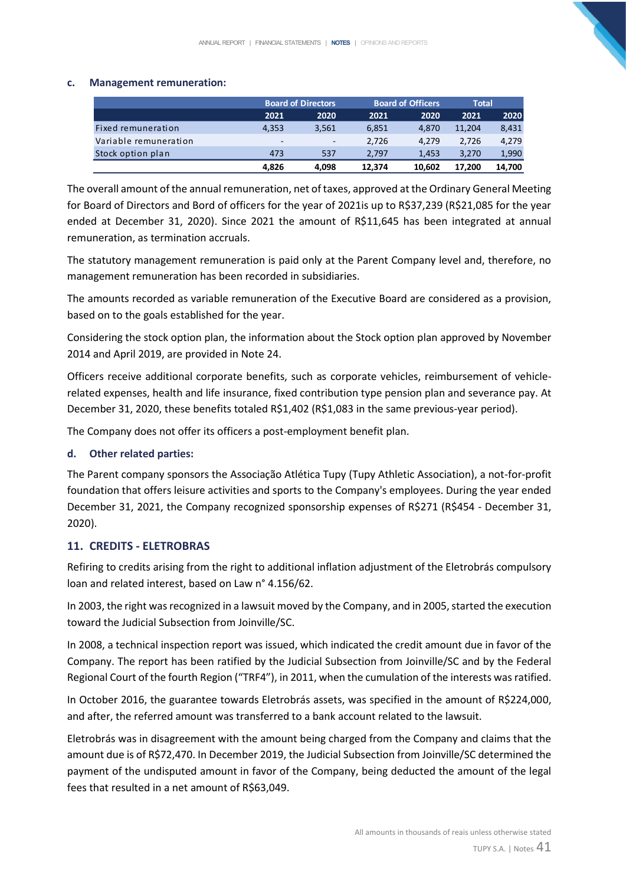#### **c. Management remuneration:**

|                       |                          | <b>Board of Directors</b> |        | <b>Board of Officers</b> | Total  |        |
|-----------------------|--------------------------|---------------------------|--------|--------------------------|--------|--------|
|                       | 2021                     | 2020                      | 2021   | 2020                     | 2021   | 2020   |
| Fixed remuneration    | 4.353                    | 3.561                     | 6.851  | 4.870                    | 11.204 | 8,431  |
| Variable remuneration | $\overline{\phantom{a}}$ | -                         | 2.726  | 4.279                    | 2.726  | 4,279  |
| Stock option plan     | 473                      | 537                       | 2.797  | 1.453                    | 3.270  | 1,990  |
|                       | 4.826                    | 4.098                     | 12.374 | 10.602                   | 17.200 | 14.700 |

The overall amount of the annual remuneration, net of taxes, approved at the Ordinary General Meeting for Board of Directors and Bord of officers for the year of 2021is up to R\$37,239 (R\$21,085 for the year ended at December 31, 2020). Since 2021 the amount of R\$11,645 has been integrated at annual remuneration, as termination accruals.

The statutory management remuneration is paid only at the Parent Company level and, therefore, no management remuneration has been recorded in subsidiaries.

The amounts recorded as variable remuneration of the Executive Board are considered as a provision, based on to the goals established for the year.

Considering the stock option plan, the information about the Stock option plan approved by November 2014 and April 2019, are provided in Note 24.

Officers receive additional corporate benefits, such as corporate vehicles, reimbursement of vehiclerelated expenses, health and life insurance, fixed contribution type pension plan and severance pay. At December 31, 2020, these benefits totaled R\$1,402 (R\$1,083 in the same previous-year period).

The Company does not offer its officers a post-employment benefit plan.

## **d. Other related parties:**

The Parent company sponsors the Associação Atlética Tupy (Tupy Athletic Association), a not-for-profit foundation that offers leisure activities and sports to the Company's employees. During the year ended December 31, 2021, the Company recognized sponsorship expenses of R\$271 (R\$454 - December 31, 2020).

## **11. CREDITS - ELETROBRAS**

Refiring to credits arising from the right to additional inflation adjustment of the Eletrobrás compulsory loan and related interest, based on Law n° 4.156/62.

In 2003, the right was recognized in a lawsuit moved by the Company, and in 2005, started the execution toward the Judicial Subsection from Joinville/SC.

In 2008, a technical inspection report was issued, which indicated the credit amount due in favor of the Company. The report has been ratified by the Judicial Subsection from Joinville/SC and by the Federal Regional Court of the fourth Region ("TRF4"), in 2011, when the cumulation of the interests was ratified.

In October 2016, the guarantee towards Eletrobrás assets, was specified in the amount of R\$224,000, and after, the referred amount was transferred to a bank account related to the lawsuit.

Eletrobrás was in disagreement with the amount being charged from the Company and claims that the amount due is of R\$72,470. In December 2019, the Judicial Subsection from Joinville/SC determined the payment of the undisputed amount in favor of the Company, being deducted the amount of the legal fees that resulted in a net amount of R\$63,049.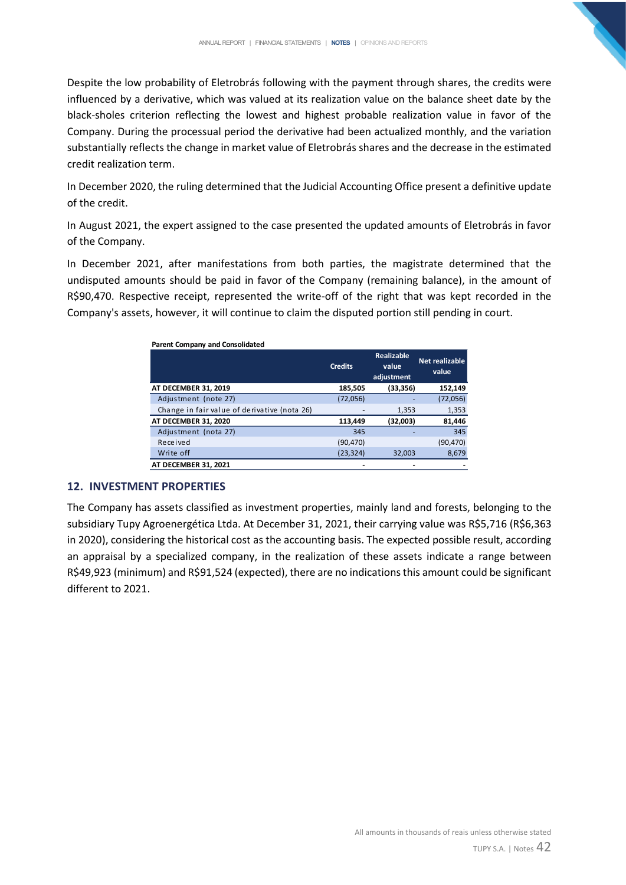Despite the low probability of Eletrobrás following with the payment through shares, the credits were influenced by a derivative, which was valued at its realization value on the balance sheet date by the black-sholes criterion reflecting the lowest and highest probable realization value in favor of the Company. During the processual period the derivative had been actualized monthly, and the variation substantially reflects the change in market value of Eletrobrás shares and the decrease in the estimated credit realization term.

In December 2020, the ruling determined that the Judicial Accounting Office present a definitive update of the credit.

In August 2021, the expert assigned to the case presented the updated amounts of Eletrobrás in favor of the Company.

In December 2021, after manifestations from both parties, the magistrate determined that the undisputed amounts should be paid in favor of the Company (remaining balance), in the amount of R\$90,470. Respective receipt, represented the write-off of the right that was kept recorded in the Company's assets, however, it will continue to claim the disputed portion still pending in court.

| <b>Parent Company and Consolidated</b>       |                |                                          |                                |
|----------------------------------------------|----------------|------------------------------------------|--------------------------------|
|                                              | <b>Credits</b> | <b>Realizable</b><br>value<br>adjustment | <b>Net realizable</b><br>value |
| AT DECEMBER 31, 2019                         | 185,505        | (33,356)                                 | 152,149                        |
| Adjustment (note 27)                         | (72,056)       |                                          | (72,056)                       |
| Change in fair value of derivative (nota 26) |                | 1,353                                    | 1,353                          |
| AT DECEMBER 31, 2020                         | 113,449        | (32,003)                                 | 81,446                         |
| Adjustment (nota 27)                         | 345            |                                          | 345                            |
| Received                                     | (90, 470)      |                                          | (90, 470)                      |
| Write off                                    | (23, 324)      | 32,003                                   | 8,679                          |
| AT DECEMBER 31, 2021                         |                |                                          |                                |

## **12. INVESTMENT PROPERTIES**

The Company has assets classified as investment properties, mainly land and forests, belonging to the subsidiary Tupy Agroenergética Ltda. At December 31, 2021, their carrying value was R\$5,716 (R\$6,363 in 2020), considering the historical cost as the accounting basis. The expected possible result, according an appraisal by a specialized company, in the realization of these assets indicate a range between R\$49,923 (minimum) and R\$91,524 (expected), there are no indications this amount could be significant different to 2021.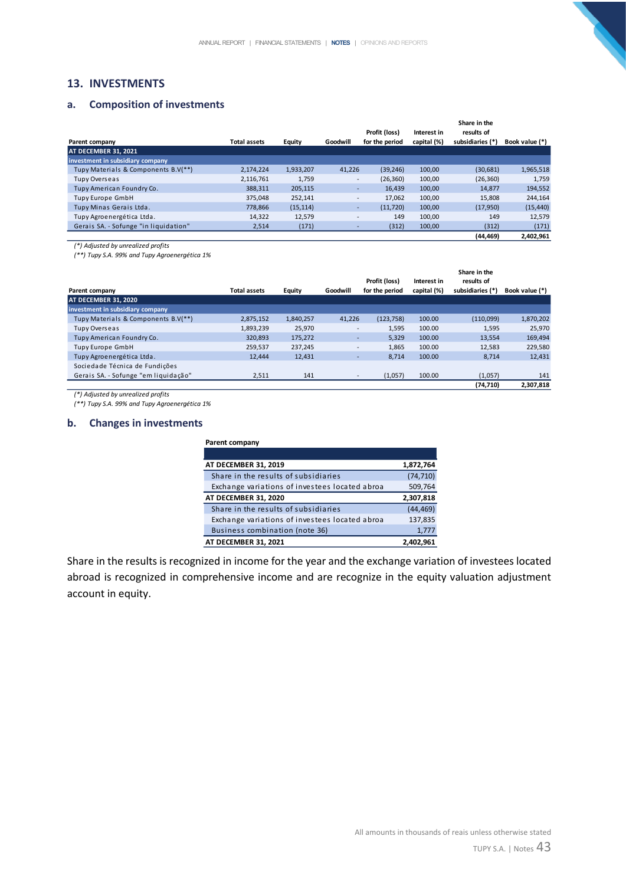## **13. INVESTMENTS**

#### **a. Composition of investments**

|                                       |                     |           |                          | Profit (loss)  | Interest in | Share in the<br>results of |                |
|---------------------------------------|---------------------|-----------|--------------------------|----------------|-------------|----------------------------|----------------|
| Parent company                        | <b>Total assets</b> | Equity    | Goodwill                 | for the period | capital (%) | subsidiaries (*)           | Book value (*) |
| AT DECEMBER 31. 2021                  |                     |           |                          |                |             |                            |                |
| investment in subsidiary company      |                     |           |                          |                |             |                            |                |
| Tupy Materials & Components B.V(**)   | 2,174,224           | 1,933,207 | 41,226                   | (39, 246)      | 100,00      | (30,681)                   | 1,965,518      |
| Tupy Overseas                         | 2,116,761           | 1,759     | $\overline{\phantom{a}}$ | (26, 360)      | 100,00      | (26, 360)                  | 1,759          |
| Tupy American Foundry Co.             | 388,311             | 205,115   | ٠                        | 16.439         | 100,00      | 14,877                     | 194,552        |
| Tupy Europe GmbH                      | 375,048             | 252,141   | -                        | 17.062         | 100,00      | 15,808                     | 244,164        |
| Tupy Minas Gerais Ltda.               | 778.866             | (15, 114) | ۰                        | (11.720)       | 100.00      | (17,950)                   | (15, 440)      |
| Tupy Agroenergética Ltda.             | 14,322              | 12,579    | -                        | 149            | 100,00      | 149                        | 12,579         |
| Gerais SA. - Sofunge "in liquidation" | 2,514               | (171)     |                          | (312)          | 100,00      | (312)                      | (171)          |
|                                       |                     |           |                          |                |             | (44, 469)                  | 2.402.961      |

*(\*) Adjusted by unrealized profits*

*(\*\*) Tupy S.A. 99% and Tupy Agroenergética 1%*

|                                      |                     |           |                          | Profit (loss)  | Interest in | Share in the<br>results of |                |
|--------------------------------------|---------------------|-----------|--------------------------|----------------|-------------|----------------------------|----------------|
| Parent company                       | <b>Total assets</b> | Equity    | Goodwill                 | for the period | capital (%) | subsidiaries (*)           | Book value (*) |
| AT DECEMBER 31, 2020                 |                     |           |                          |                |             |                            |                |
| investment in subsidiary company     |                     |           |                          |                |             |                            |                |
| Tupy Materials & Components B.V(**)  | 2,875,152           | 1,840,257 | 41,226                   | (123, 758)     | 100.00      | (110,099)                  | 1,870,202      |
| Tupy Overseas                        | 1,893,239           | 25.970    | Ξ.                       | 1,595          | 100.00      | 1,595                      | 25,970         |
| Tupy American Foundry Co.            | 320,893             | 175,272   | ٠.                       | 5,329          | 100.00      | 13,554                     | 169,494        |
| <b>Tupy Europe GmbH</b>              | 259,537             | 237,245   | $\overline{\phantom{a}}$ | 1,865          | 100.00      | 12,583                     | 229,580        |
| Tupy Agroenergética Ltda.            | 12.444              | 12,431    |                          | 8,714          | 100.00      | 8.714                      | 12,431         |
| Sociedade Técnica de Fundições       |                     |           |                          |                |             |                            |                |
| Gerais SA. - Sofunge "em liquidação" | 2,511               | 141       |                          | (1,057)        | 100.00      | (1,057)                    | 141            |
|                                      |                     |           |                          |                |             | (74.710)                   | 2.307.818      |

*(\*) Adjusted by unrealized profits*

*(\*\*) Tupy S.A. 99% and Tupy Agroenergética 1%*

#### **b. Changes in investments**

| Parent company                                 |           |
|------------------------------------------------|-----------|
|                                                |           |
| AT DECEMBER 31, 2019                           | 1,872,764 |
| Share in the results of subsidiaries           | (74, 710) |
| Exchange variations of investees located abroa | 509,764   |
| AT DECEMBER 31, 2020                           | 2,307,818 |
|                                                |           |
| Share in the results of subsidiaries           | (44, 469) |
| Exchange variations of investees located abroa | 137,835   |
| Business combination (note 36)                 | 1,777     |

Share in the results is recognized in income for the year and the exchange variation of investees located abroad is recognized in comprehensive income and are recognize in the equity valuation adjustment account in equity.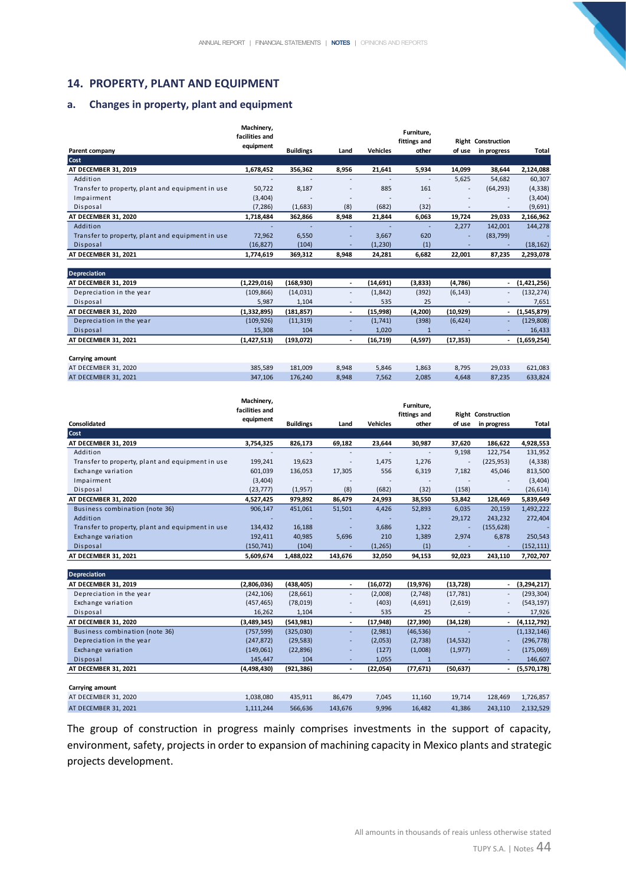## **14. PROPERTY, PLANT AND EQUIPMENT**

#### **a. Changes in property, plant and equipment**

|                                                  | Machinery,<br>facilities and |                          |                          |                 | Furniture.               |                          |                                          |              |
|--------------------------------------------------|------------------------------|--------------------------|--------------------------|-----------------|--------------------------|--------------------------|------------------------------------------|--------------|
| Parent company                                   | equipment                    | <b>Buildings</b>         | Land                     | <b>Vehicles</b> | fittings and<br>other    | of use                   | <b>Right Construction</b><br>in progress | <b>Total</b> |
| Cost                                             |                              |                          |                          |                 |                          |                          |                                          |              |
| AT DECEMBER 31, 2019                             | 1,678,452                    | 356,362                  | 8,956                    | 21,641          | 5,934                    | 14,099                   | 38,644                                   | 2,124,088    |
| Addition                                         |                              |                          | ۰                        |                 |                          | 5,625                    | 54,682                                   | 60,307       |
| Transfer to property, plant and equipment in use | 50,722                       | 8,187                    | $\overline{\phantom{a}}$ | 885             | 161                      | $\overline{\phantom{a}}$ | (64, 293)                                | (4, 338)     |
| Impairment                                       | (3,404)                      | $\overline{\phantom{a}}$ | -                        | -               | $\overline{\phantom{a}}$ | $\overline{\phantom{a}}$ | $\sim$                                   | (3,404)      |
| Disposal                                         | (7, 286)                     | (1,683)                  | (8)                      | (682)           | (32)                     |                          | $\overline{\phantom{a}}$                 | (9,691)      |
| AT DECEMBER 31, 2020                             | 1,718,484                    | 362,866                  | 8,948                    | 21,844          | 6,063                    | 19,724                   | 29,033                                   | 2,166,962    |
| Addition                                         |                              |                          |                          |                 | ٠                        | 2,277                    | 142,001                                  | 144,278      |
| Transfer to property, plant and equipment in use | 72,962                       | 6,550                    | $\overline{\phantom{a}}$ | 3,667           | 620                      | $\sim$                   | (83,799)                                 |              |
| Disposal                                         | (16, 827)                    | (104)                    | ۰                        | (1,230)         | (1)                      |                          | ٠                                        | (18, 162)    |
| AT DECEMBER 31, 2021                             | 1,774,619                    | 369,312                  | 8,948                    | 24,281          | 6,682                    | 22,001                   | 87,235                                   | 2,293,078    |
|                                                  |                              |                          |                          |                 |                          |                          |                                          |              |

| Depreciation             |             |            |                          |           |         |                          |                          |             |
|--------------------------|-------------|------------|--------------------------|-----------|---------|--------------------------|--------------------------|-------------|
| AT DECEMBER 31, 2019     | (1,229,016) | (168, 930) | $\blacksquare$           | (14, 691) | (3,833) | (4,786)                  | ٠                        | (1,421,256) |
| Depreciation in the year | (109, 866)  | (14,031)   | $\overline{a}$           | (1,842)   | (392)   | (6, 143)                 | $\overline{\phantom{a}}$ | (132, 274)  |
| Disposal                 | 5,987       | 1,104      | $\overline{\phantom{0}}$ | 535       | 25      | $\overline{\phantom{a}}$ | $\overline{\phantom{a}}$ | 7,651       |
| AT DECEMBER 31, 2020     | (1,332,895) | (181, 857) |                          | (15,998)  | (4,200) | (10, 929)                |                          | (1,545,879) |
| Depreciation in the year | (109, 926)  | (11, 319)  | $\overline{\phantom{a}}$ | (1,741)   | (398)   | (6, 424)                 | $\overline{\phantom{a}}$ | (129, 808)  |
| Disposal                 | 15.308      | 104        |                          | 1,020     |         |                          | ٠                        | 16,433      |
| AT DECEMBER 31, 2021     | (1,427,513) | (193,072)  |                          | (16, 719) | (4,597) | (17, 353)                |                          | (1,659,254) |
|                          |             |            |                          |           |         |                          |                          |             |
| Carrying amount          |             |            |                          |           |         |                          |                          |             |
| AT DECEMBER 31, 2020     | 385.589     | 181.009    | 8.948                    | 5.846     | 1,863   | 8.795                    | 29.033                   | 621,083     |
| AT DECEMBER 31, 2021     | 347.106     | 176,240    | 8,948                    | 7,562     | 2.085   | 4,648                    | 87.235                   | 633,824     |

|                                                  | Machinery,<br>facilities and |                  |         |                 | Furniture,<br>fittings and |                          | <b>Right Construction</b> |            |
|--------------------------------------------------|------------------------------|------------------|---------|-----------------|----------------------------|--------------------------|---------------------------|------------|
| Consolidated                                     | equipment                    | <b>Buildings</b> | Land    | <b>Vehicles</b> | other                      | of use                   | in progress               | Total      |
| Cost                                             |                              |                  |         |                 |                            |                          |                           |            |
| AT DECEMBER 31, 2019                             | 3,754,325                    | 826,173          | 69,182  | 23,644          | 30,987                     | 37,620                   | 186,622                   | 4,928,553  |
| Addition                                         |                              |                  |         |                 |                            | 9,198                    | 122,754                   | 131,952    |
| Transfer to property, plant and equipment in use | 199,241                      | 19,623           |         | 1,475           | 1,276                      | $\overline{\phantom{a}}$ | (225, 953)                | (4, 338)   |
| Exchange variation                               | 601,039                      | 136,053          | 17,305  | 556             | 6,319                      | 7,182                    | 45,046                    | 813,500    |
| Impairment                                       | (3,404)                      |                  |         |                 |                            |                          | $\overline{\phantom{a}}$  | (3,404)    |
| Disposal                                         | (23, 777)                    | (1,957)          | (8)     | (682)           | (32)                       | (158)                    | ٠                         | (26, 614)  |
| AT DECEMBER 31, 2020                             | 4,527,425                    | 979,892          | 86,479  | 24,993          | 38,550                     | 53,842                   | 128,469                   | 5,839,649  |
| Business combination (note 36)                   | 906,147                      | 451,061          | 51,501  | 4,426           | 52,893                     | 6,035                    | 20,159                    | 1,492,222  |
| Addition                                         |                              |                  |         |                 |                            | 29,172                   | 243,232                   | 272,404    |
| Transfer to property, plant and equipment in use | 134,432                      | 16,188           |         | 3,686           | 1,322                      | ٠                        | (155, 628)                |            |
| Exchange variation                               | 192,411                      | 40,985           | 5,696   | 210             | 1,389                      | 2,974                    | 6,878                     | 250,543    |
| Disposal                                         | (150, 741)                   | (104)            |         | (1,265)         | (1)                        |                          |                           | (152, 111) |
| AT DECEMBER 31, 2021                             | 5,609,674                    | 1,488,022        | 143,676 | 32,050          | 94,153                     | 92,023                   | 243,110                   | 7,702,707  |

| <b>Depreciation</b>            |             |            |                          |           |           |           |                          |               |
|--------------------------------|-------------|------------|--------------------------|-----------|-----------|-----------|--------------------------|---------------|
| AT DECEMBER 31, 2019           | (2,806,036) | (438, 405) | $\overline{\phantom{0}}$ | (16,072)  | (19, 976) | (13, 728) |                          | (3,294,217)   |
| Depreciation in the year       | (242, 106)  | (28, 661)  | $\overline{\phantom{a}}$ | (2,008)   | (2,748)   | (17, 781) | $\sim$                   | (293, 304)    |
| Exchange variation             | (457, 465)  | (78,019)   | $\overline{\phantom{a}}$ | (403)     | (4,691)   | (2,619)   | $\overline{\phantom{a}}$ | (543, 197)    |
| Disposal                       | 16,262      | 1,104      |                          | 535       | 25        |           | $\overline{\phantom{a}}$ | 17,926        |
| AT DECEMBER 31, 2020           | (3,489,345) | (543, 981) |                          | (17, 948) | (27, 390) | (34, 128) |                          | (4, 112, 792) |
| Business combination (note 36) | (757, 599)  | (325,030)  | $\sim$                   | (2,981)   | (46, 536) |           |                          | (1, 132, 146) |
| Depreciation in the year       | (247, 872)  | (29, 583)  | $\sim$                   | (2,053)   | (2,738)   | (14, 532) | $\overline{\phantom{a}}$ | (296, 778)    |
| Exchange variation             | (149,061)   | (22,896)   | $\sim$                   | (127)     | (1,008)   | (1, 977)  | ٠                        | (175,069)     |
| Disposal                       | 145,447     | 104        |                          | 1,055     |           |           | ۰                        | 146,607       |
| AT DECEMBER 31, 2021           | (4,498,430) | (921, 386) | $\overline{a}$           | (22,054)  | (77, 671) | (50, 637) | ٠                        | (5,570,178)   |
|                                |             |            |                          |           |           |           |                          |               |
| Carrying amount                |             |            |                          |           |           |           |                          |               |
| AT DECEMBER 31, 2020           | 1,038,080   | 435,911    | 86,479                   | 7,045     | 11,160    | 19,714    | 128,469                  | 1,726,857     |
| AT DECEMBER 31, 2021           | 1,111,244   | 566,636    | 143,676                  | 9,996     | 16,482    | 41,386    | 243,110                  | 2,132,529     |

The group of construction in progress mainly comprises investments in the support of capacity, environment, safety, projects in order to expansion of machining capacity in Mexico plants and strategic projects development.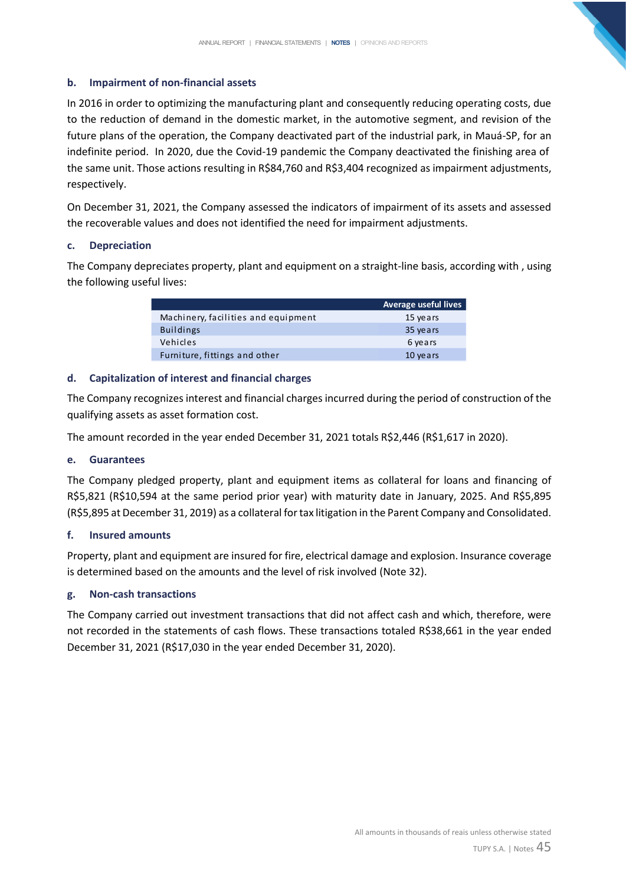## **b. Impairment of non-financial assets**

In 2016 in order to optimizing the manufacturing plant and consequently reducing operating costs, due to the reduction of demand in the domestic market, in the automotive segment, and revision of the future plans of the operation, the Company deactivated part of the industrial park, in Mauá-SP, for an indefinite period. In 2020, due the Covid-19 pandemic the Company deactivated the finishing area of the same unit. Those actions resulting in R\$84,760 and R\$3,404 recognized as impairment adjustments, respectively.

On December 31, 2021, the Company assessed the indicators of impairment of its assets and assessed the recoverable values and does not identified the need for impairment adjustments.

#### **c. Depreciation**

The Company depreciates property, plant and equipment on a straight-line basis, according with , using the following useful lives:

|                                     | Average useful lives |
|-------------------------------------|----------------------|
| Machinery, facilities and equipment | 15 years             |
| <b>Buildings</b>                    | 35 years             |
| Vehicles                            | 6 years              |
| Furniture, fittings and other       | 10 years             |

## **d. Capitalization of interest and financial charges**

The Company recognizes interest and financial charges incurred during the period of construction of the qualifying assets as asset formation cost.

The amount recorded in the year ended December 31, 2021 totals R\$2,446 (R\$1,617 in 2020).

#### **e. Guarantees**

The Company pledged property, plant and equipment items as collateral for loans and financing of R\$5,821 (R\$10,594 at the same period prior year) with maturity date in January, 2025. And R\$5,895 (R\$5,895 at December 31, 2019) as a collateral for tax litigation in the Parent Company and Consolidated.

#### **f. Insured amounts**

Property, plant and equipment are insured for fire, electrical damage and explosion. Insurance coverage is determined based on the amounts and the level of risk involved (Note 32).

#### **g. Non-cash transactions**

The Company carried out investment transactions that did not affect cash and which, therefore, were not recorded in the statements of cash flows. These transactions totaled R\$38,661 in the year ended December 31, 2021 (R\$17,030 in the year ended December 31, 2020).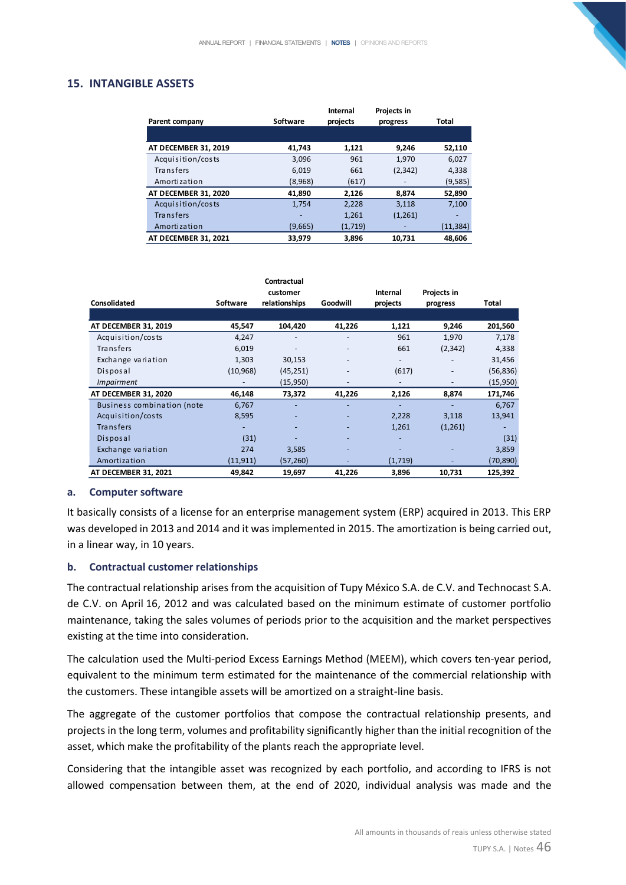## **15. INTANGIBLE ASSETS**

|                      |                 | Internal | Projects in |          |
|----------------------|-----------------|----------|-------------|----------|
| Parent company       | <b>Software</b> | projects | progress    | Total    |
|                      |                 |          |             |          |
| AT DECEMBER 31, 2019 | 41.743          | 1,121    | 9.246       | 52,110   |
| Acquisition/costs    | 3,096           | 961      | 1.970       | 6.027    |
| Transfers            | 6,019           | 661      | (2, 342)    | 4,338    |
| Amortization         | (8,968)         | (617)    |             | (9,585)  |
| AT DECEMBER 31, 2020 | 41,890          | 2,126    | 8,874       | 52,890   |
| Acquisition/costs    | 1,754           | 2,228    | 3,118       | 7,100    |
| Transfers            |                 | 1,261    | (1,261)     |          |
| Amortization         | (9,665)         | (1,719)  |             | (11,384) |
| AT DECEMBER 31, 2021 | 33,979          | 3.896    | 10.731      | 48.606   |

|                                   |                 | Contractual<br>customer |          | Internal                 | Projects in |           |
|-----------------------------------|-----------------|-------------------------|----------|--------------------------|-------------|-----------|
| Consolidated                      | <b>Software</b> | relationships           | Goodwill | projects                 | progress    | Total     |
|                                   |                 |                         |          |                          |             |           |
| AT DECEMBER 31, 2019              | 45,547          | 104,420                 | 41,226   | 1,121                    | 9,246       | 201,560   |
| Acquisition/costs                 | 4,247           |                         |          | 961                      | 1,970       | 7,178     |
| Transfers                         | 6,019           |                         |          | 661                      | (2, 342)    | 4,338     |
| Exchange variation                | 1,303           | 30,153                  |          | $\overline{\phantom{a}}$ |             | 31,456    |
| Disposal                          | (10, 968)       | (45, 251)               |          | (617)                    |             | (56, 836) |
| <i>Impairment</i>                 |                 | (15,950)                |          |                          |             | (15,950)  |
| AT DECEMBER 31, 2020              | 46,148          | 73,372                  | 41,226   | 2,126                    | 8,874       | 171,746   |
| <b>Business combination (note</b> | 6,767           |                         |          | ٠                        |             | 6,767     |
| Acquisition/costs                 | 8,595           |                         |          | 2,228                    | 3,118       | 13,941    |
| <b>Transfers</b>                  |                 |                         |          | 1,261                    | (1,261)     |           |
| Disposal                          | (31)            |                         |          |                          |             | (31)      |
| Exchange variation                | 274             | 3,585                   |          |                          |             | 3,859     |
| Amortization                      | (11, 911)       | (57, 260)               |          | (1,719)                  |             | (70, 890) |
| AT DECEMBER 31, 2021              | 49,842          | 19,697                  | 41,226   | 3,896                    | 10,731      | 125,392   |

#### **a. Computer software**

It basically consists of a license for an enterprise management system (ERP) acquired in 2013. This ERP was developed in 2013 and 2014 and it was implemented in 2015. The amortization is being carried out, in a linear way, in 10 years.

#### **b. Contractual customer relationships**

The contractual relationship arises from the acquisition of Tupy México S.A. de C.V. and Technocast S.A. de C.V. on April 16, 2012 and was calculated based on the minimum estimate of customer portfolio maintenance, taking the sales volumes of periods prior to the acquisition and the market perspectives existing at the time into consideration.

The calculation used the Multi-period Excess Earnings Method (MEEM), which covers ten-year period, equivalent to the minimum term estimated for the maintenance of the commercial relationship with the customers. These intangible assets will be amortized on a straight-line basis.

The aggregate of the customer portfolios that compose the contractual relationship presents, and projects in the long term, volumes and profitability significantly higher than the initial recognition of the asset, which make the profitability of the plants reach the appropriate level.

Considering that the intangible asset was recognized by each portfolio, and according to IFRS is not allowed compensation between them, at the end of 2020, individual analysis was made and the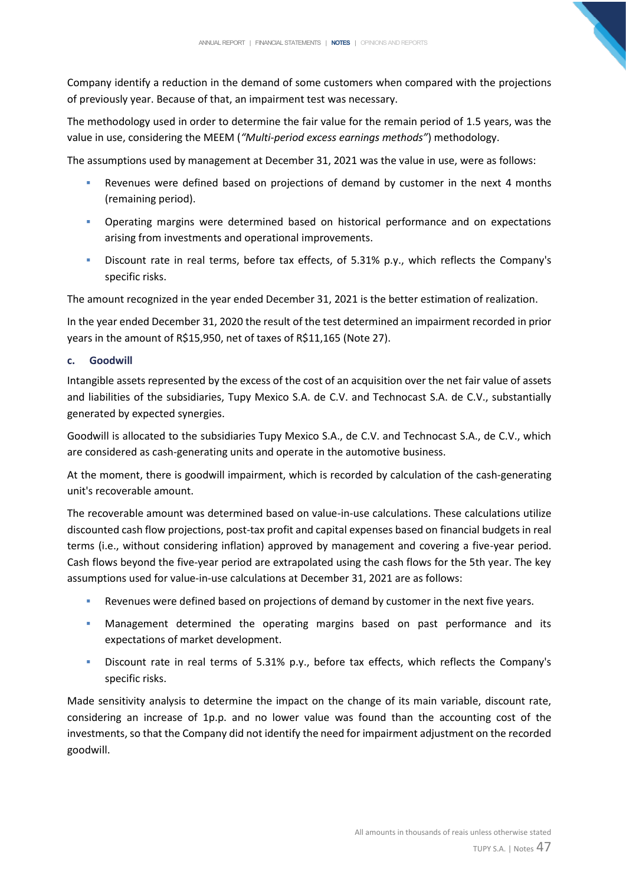Company identify a reduction in the demand of some customers when compared with the projections of previously year. Because of that, an impairment test was necessary.

The methodology used in order to determine the fair value for the remain period of 1.5 years, was the value in use, considering the MEEM (*"Multi-period excess earnings methods"*) methodology.

The assumptions used by management at December 31, 2021 was the value in use, were as follows:

- Revenues were defined based on projections of demand by customer in the next 4 months (remaining period).
- **•** Operating margins were determined based on historical performance and on expectations arising from investments and operational improvements.
- Discount rate in real terms, before tax effects, of 5.31% p.y., which reflects the Company's specific risks.

The amount recognized in the year ended December 31, 2021 is the better estimation of realization.

In the year ended December 31, 2020 the result of the test determined an impairment recorded in prior years in the amount of R\$15,950, net of taxes of R\$11,165 (Note 27).

## **c. Goodwill**

Intangible assets represented by the excess of the cost of an acquisition over the net fair value of assets and liabilities of the subsidiaries, Tupy Mexico S.A. de C.V. and Technocast S.A. de C.V., substantially generated by expected synergies.

Goodwill is allocated to the subsidiaries Tupy Mexico S.A., de C.V. and Technocast S.A., de C.V., which are considered as cash-generating units and operate in the automotive business.

At the moment, there is goodwill impairment, which is recorded by calculation of the cash-generating unit's recoverable amount.

The recoverable amount was determined based on value-in-use calculations. These calculations utilize discounted cash flow projections, post-tax profit and capital expenses based on financial budgets in real terms (i.e., without considering inflation) approved by management and covering a five-year period. Cash flows beyond the five-year period are extrapolated using the cash flows for the 5th year. The key assumptions used for value-in-use calculations at December 31, 2021 are as follows:

- Revenues were defined based on projections of demand by customer in the next five years.
- Management determined the operating margins based on past performance and its expectations of market development.
- Discount rate in real terms of 5.31% p.y., before tax effects, which reflects the Company's specific risks.

Made sensitivity analysis to determine the impact on the change of its main variable, discount rate, considering an increase of 1p.p. and no lower value was found than the accounting cost of the investments, so that the Company did not identify the need for impairment adjustment on the recorded goodwill.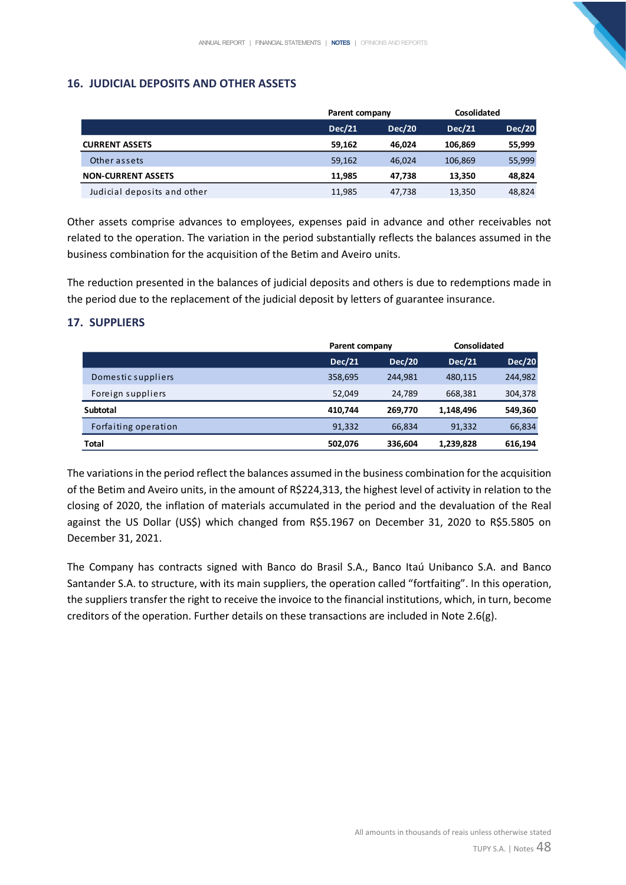# **16. JUDICIAL DEPOSITS AND OTHER ASSETS**

|                             |               | Parent company |         | Cosolidated |
|-----------------------------|---------------|----------------|---------|-------------|
|                             | <b>Dec/21</b> | <b>Dec/20</b>  | Dec/21  | Dec/20      |
| <b>CURRENT ASSETS</b>       | 59.162        | 46.024         | 106.869 | 55,999      |
| Other assets                | 59.162        | 46.024         | 106,869 | 55,999      |
| <b>NON-CURRENT ASSETS</b>   | 11.985        | 47.738         | 13.350  | 48,824      |
| Judicial deposits and other | 11,985        | 47,738         | 13,350  | 48,824      |

Other assets comprise advances to employees, expenses paid in advance and other receivables not related to the operation. The variation in the period substantially reflects the balances assumed in the business combination for the acquisition of the Betim and Aveiro units.

The reduction presented in the balances of judicial deposits and others is due to redemptions made in the period due to the replacement of the judicial deposit by letters of guarantee insurance.

# **17. SUPPLIERS**

|                      |               | Parent company |               | Consolidated  |
|----------------------|---------------|----------------|---------------|---------------|
|                      | <b>Dec/21</b> | <b>Dec/20</b>  | <b>Dec/21</b> | <b>Dec/20</b> |
| Domestic suppliers   | 358,695       | 244.981        | 480,115       | 244,982       |
| Foreign suppliers    | 52.049        | 24.789         | 668,381       | 304,378       |
| <b>Subtotal</b>      | 410.744       | 269.770        | 1,148,496     | 549,360       |
| Forfaiting operation | 91.332        | 66,834         | 91,332        | 66,834        |
| Total                | 502,076       | 336,604        | 1,239,828     | 616,194       |

The variations in the period reflect the balances assumed in the business combination for the acquisition of the Betim and Aveiro units, in the amount of R\$224,313, the highest level of activity in relation to the closing of 2020, the inflation of materials accumulated in the period and the devaluation of the Real against the US Dollar (US\$) which changed from R\$5.1967 on December 31, 2020 to R\$5.5805 on December 31, 2021.

The Company has contracts signed with Banco do Brasil S.A., Banco Itaú Unibanco S.A. and Banco Santander S.A. to structure, with its main suppliers, the operation called "fortfaiting". In this operation, the suppliers transfer the right to receive the invoice to the financial institutions, which, in turn, become creditors of the operation. Further details on these transactions are included in Note 2.6(g).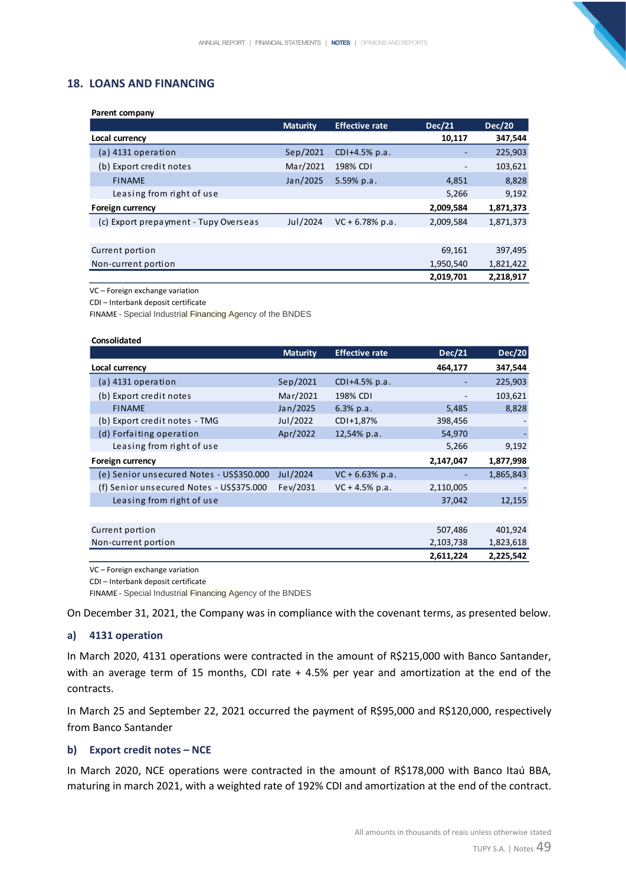## **18. LOANS AND FINANCING**

**Parent company**

| Parent company                        |                 |                       |               |               |
|---------------------------------------|-----------------|-----------------------|---------------|---------------|
|                                       | <b>Maturity</b> | <b>Effective rate</b> | <b>Dec/21</b> | <b>Dec/20</b> |
| Local currency                        |                 |                       | 10,117        | 347,544       |
| $(a)$ 4131 operation                  | Sep/2021        | $CDI + 4.5% p.a.$     | ۰             | 225,903       |
| (b) Export credit notes               | Mar/2021        | 198% CDI              |               | 103,621       |
| <b>FINAME</b>                         | Jan/2025        | $5.59\%$ p.a.         | 4,851         | 8,828         |
| Leasing from right of use             |                 |                       | 5,266         | 9,192         |
| <b>Foreign currency</b>               |                 |                       | 2,009,584     | 1,871,373     |
| (c) Export prepayment - Tupy Overseas | Jul/2024        | $VC + 6.78% p.a.$     | 2,009,584     | 1,871,373     |
|                                       |                 |                       |               |               |
| Current portion                       |                 |                       | 69,161        | 397,495       |
| Non-current portion                   |                 |                       | 1,950,540     | 1,821,422     |
|                                       |                 |                       | 2,019,701     | 2,218,917     |

VC – Foreign exchange variation

CDI – Interbank deposit certificate

FINAME - Special Industrial Financing Agency of the BNDES

|                                          | <b>Maturity</b> | <b>Effective rate</b> | <b>Dec/21</b> | Dec/20    |
|------------------------------------------|-----------------|-----------------------|---------------|-----------|
| Local currency                           |                 |                       | 464,177       | 347,544   |
| $(a)$ 4131 operation                     | Sep/2021        | CDI+4.5% p.a.         |               | 225,903   |
| (b) Export credit notes                  | Mar/2021        | 198% CDI              |               | 103,621   |
| <b>FINAME</b>                            | Jan/2025        | 6.3% p.a.             | 5,485         | 8,828     |
| (b) Export credit notes - TMG            | Jul/2022        | CDI+1,87%             | 398,456       |           |
| (d) Forfaiting operation                 | Apr/2022        | 12,54% p.a.           | 54,970        |           |
| Leasing from right of use                |                 |                       | 5,266         | 9,192     |
| Foreign currency                         |                 |                       | 2,147,047     | 1,877,998 |
| (e) Senior unsecured Notes - US\$350.000 | Jul/2024        | $VC + 6.63\% p.a.$    |               | 1,865,843 |
| (f) Senior unsecured Notes - US\$375.000 | Fev/2031        | $VC + 4.5% p.a.$      | 2,110,005     |           |
| Leasing from right of use                |                 |                       | 37,042        | 12,155    |
|                                          |                 |                       |               |           |
| Current portion                          |                 |                       | 507,486       | 401,924   |
| Non-current portion                      |                 |                       | 2,103,738     | 1,823,618 |
|                                          |                 |                       | 2,611,224     | 2,225,542 |

VC – Foreign exchange variation

CDI – Interbank deposit certificate

FINAME - Special Industrial Financing Agency of the BNDES

On December 31, 2021, the Company was in compliance with the covenant terms, as presented below.

#### **a) 4131 operation**

In March 2020, 4131 operations were contracted in the amount of R\$215,000 with Banco Santander, with an average term of 15 months, CDI rate + 4.5% per year and amortization at the end of the contracts.

In March 25 and September 22, 2021 occurred the payment of R\$95,000 and R\$120,000, respectively from Banco Santander

#### **b) Export credit notes – NCE**

In March 2020, NCE operations were contracted in the amount of R\$178,000 with Banco Itaú BBA, maturing in march 2021, with a weighted rate of 192% CDI and amortization at the end of the contract.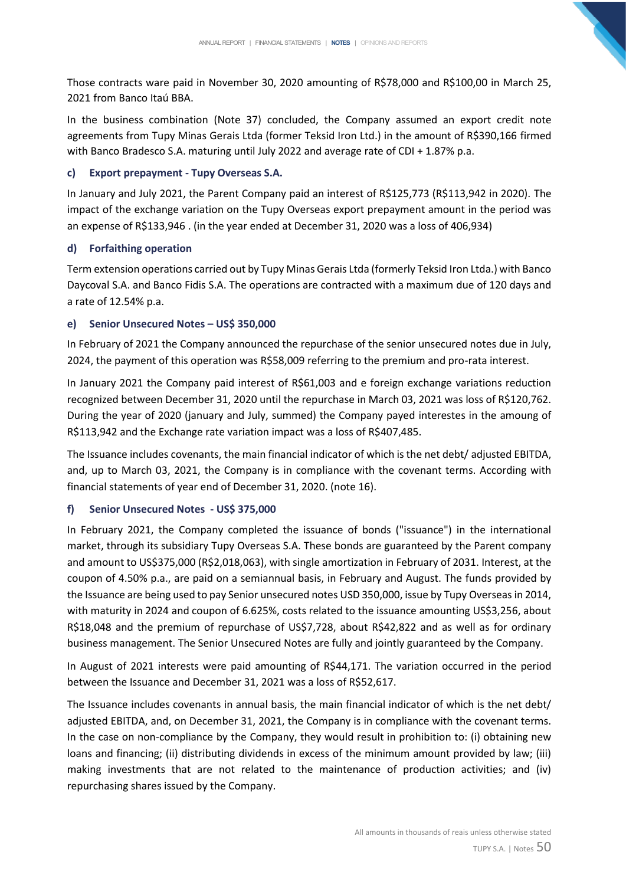Those contracts ware paid in November 30, 2020 amounting of R\$78,000 and R\$100,00 in March 25, 2021 from Banco Itaú BBA.

In the business combination (Note 37) concluded, the Company assumed an export credit note agreements from Tupy Minas Gerais Ltda (former Teksid Iron Ltd.) in the amount of R\$390,166 firmed with Banco Bradesco S.A. maturing until July 2022 and average rate of CDI + 1.87% p.a.

## **c) Export prepayment - Tupy Overseas S.A.**

In January and July 2021, the Parent Company paid an interest of R\$125,773 (R\$113,942 in 2020). The impact of the exchange variation on the Tupy Overseas export prepayment amount in the period was an expense of R\$133,946 . (in the year ended at December 31, 2020 was a loss of 406,934)

## **d) Forfaithing operation**

Term extension operations carried out by Tupy Minas Gerais Ltda (formerly Teksid Iron Ltda.) with Banco Daycoval S.A. and Banco Fidis S.A. The operations are contracted with a maximum due of 120 days and a rate of 12.54% p.a.

## **e) Senior Unsecured Notes – US\$ 350,000**

In February of 2021 the Company announced the repurchase of the senior unsecured notes due in July, 2024, the payment of this operation was R\$58,009 referring to the premium and pro-rata interest.

In January 2021 the Company paid interest of R\$61,003 and e foreign exchange variations reduction recognized between December 31, 2020 until the repurchase in March 03, 2021 was loss of R\$120,762. During the year of 2020 (january and July, summed) the Company payed interestes in the amoung of R\$113,942 and the Exchange rate variation impact was a loss of R\$407,485.

The Issuance includes covenants, the main financial indicator of which is the net debt/ adjusted EBITDA, and, up to March 03, 2021, the Company is in compliance with the covenant terms. According with financial statements of year end of December 31, 2020. (note 16).

## **f) Senior Unsecured Notes - US\$ 375,000**

In February 2021, the Company completed the issuance of bonds ("issuance") in the international market, through its subsidiary Tupy Overseas S.A. These bonds are guaranteed by the Parent company and amount to US\$375,000 (R\$2,018,063), with single amortization in February of 2031. Interest, at the coupon of 4.50% p.a., are paid on a semiannual basis, in February and August. The funds provided by the Issuance are being used to pay Senior unsecured notes USD 350,000, issue by Tupy Overseas in 2014, with maturity in 2024 and coupon of 6.625%, costs related to the issuance amounting US\$3,256, about R\$18,048 and the premium of repurchase of US\$7,728, about R\$42,822 and as well as for ordinary business management. The Senior Unsecured Notes are fully and jointly guaranteed by the Company.

In August of 2021 interests were paid amounting of R\$44,171. The variation occurred in the period between the Issuance and December 31, 2021 was a loss of R\$52,617.

The Issuance includes covenants in annual basis, the main financial indicator of which is the net debt/ adjusted EBITDA, and, on December 31, 2021, the Company is in compliance with the covenant terms. In the case on non-compliance by the Company, they would result in prohibition to: (i) obtaining new loans and financing; (ii) distributing dividends in excess of the minimum amount provided by law; (iii) making investments that are not related to the maintenance of production activities; and (iv) repurchasing shares issued by the Company.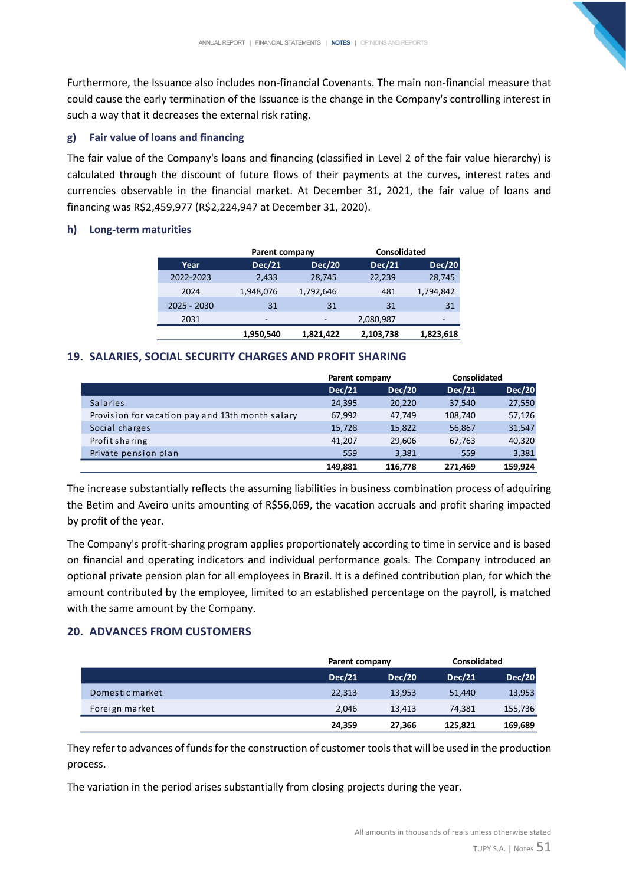Furthermore, the Issuance also includes non-financial Covenants. The main non-financial measure that could cause the early termination of the Issuance is the change in the Company's controlling interest in such a way that it decreases the external risk rating.

## **g) Fair value of loans and financing**

The fair value of the Company's loans and financing (classified in Level 2 of the fair value hierarchy) is calculated through the discount of future flows of their payments at the curves, interest rates and currencies observable in the financial market. At December 31, 2021, the fair value of loans and financing was R\$2,459,977 (R\$2,224,947 at December 31, 2020).

#### **h) Long-term maturities**

|             | Parent company |               | <b>Consolidated</b> |               |
|-------------|----------------|---------------|---------------------|---------------|
| Year        | <b>Dec/21</b>  | <b>Dec/20</b> | Dec/21              | <b>Dec/20</b> |
| 2022-2023   | 2.433          | 28.745        | 22,239              | 28,745        |
| 2024        | 1,948,076      | 1,792,646     | 481                 | 1,794,842     |
| 2025 - 2030 | 31             | 31            | 31                  | 31            |
| 2031        | -              | -             | 2,080,987           | -             |
|             | 1,950,540      | 1.821.422     | 2,103,738           | 1,823,618     |

#### **19. SALARIES, SOCIAL SECURITY CHARGES AND PROFIT SHARING**

|                                                  | Parent company |               | <b>Consolidated</b> |               |
|--------------------------------------------------|----------------|---------------|---------------------|---------------|
|                                                  | <b>Dec/21</b>  | <b>Dec/20</b> | <b>Dec/21</b>       | <b>Dec/20</b> |
| <b>Salaries</b>                                  | 24,395         | 20,220        | 37,540              | 27,550        |
| Provision for vacation pay and 13th month salary | 67,992         | 47,749        | 108,740             | 57,126        |
| Social charges                                   | 15,728         | 15,822        | 56,867              | 31,547        |
| Profit sharing                                   | 41,207         | 29,606        | 67,763              | 40,320        |
| Private pension plan                             | 559            | 3.381         | 559                 | 3,381         |
|                                                  | 149.881        | 116,778       | 271.469             | 159.924       |

The increase substantially reflects the assuming liabilities in business combination process of adquiring the Betim and Aveiro units amounting of R\$56,069, the vacation accruals and profit sharing impacted by profit of the year.

The Company's profit-sharing program applies proportionately according to time in service and is based on financial and operating indicators and individual performance goals. The Company introduced an optional private pension plan for all employees in Brazil. It is a defined contribution plan, for which the amount contributed by the employee, limited to an established percentage on the payroll, is matched with the same amount by the Company.

#### **20. ADVANCES FROM CUSTOMERS**

|                 |               | Parent company |               | Consolidated  |
|-----------------|---------------|----------------|---------------|---------------|
|                 | <b>Dec/21</b> | <b>Dec/20</b>  | <b>Dec/21</b> | <b>Dec/20</b> |
| Domestic market | 22,313        | 13,953         | 51,440        | 13,953        |
| Foreign market  | 2.046         | 13,413         | 74,381        | 155,736       |
|                 | 24,359        | 27,366         | 125,821       | 169,689       |

They refer to advances of funds for the construction of customer tools that will be used in the production process.

The variation in the period arises substantially from closing projects during the year.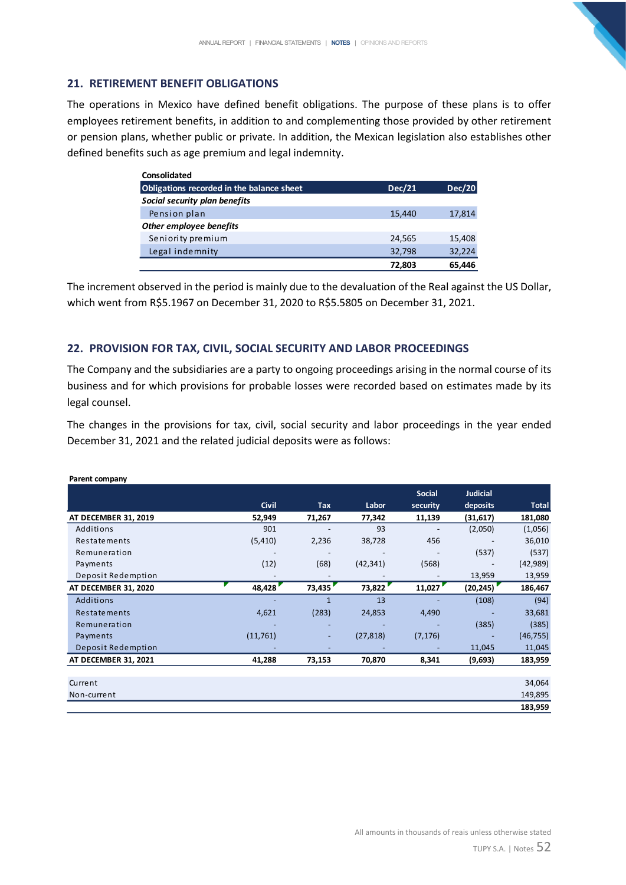## **21. RETIREMENT BENEFIT OBLIGATIONS**

The operations in Mexico have defined benefit obligations. The purpose of these plans is to offer employees retirement benefits, in addition to and complementing those provided by other retirement or pension plans, whether public or private. In addition, the Mexican legislation also establishes other defined benefits such as age premium and legal indemnity.

| Consolidated                              |               |               |
|-------------------------------------------|---------------|---------------|
| Obligations recorded in the balance sheet | <b>Dec/21</b> | <b>Dec/20</b> |
| Social security plan benefits             |               |               |
| Pension plan                              | 15,440        | 17,814        |
| Other employee benefits                   |               |               |
| Seniority premium                         | 24,565        | 15,408        |
| Legal indemnity                           | 32,798        | 32,224        |
|                                           | 72.803        | 65.446        |

The increment observed in the period is mainly due to the devaluation of the Real against the US Dollar, which went from R\$5.1967 on December 31, 2020 to R\$5.5805 on December 31, 2021.

## **22. PROVISION FOR TAX, CIVIL, SOCIAL SECURITY AND LABOR PROCEEDINGS**

The Company and the subsidiaries are a party to ongoing proceedings arising in the normal course of its business and for which provisions for probable losses were recorded based on estimates made by its legal counsel.

The changes in the provisions for tax, civil, social security and labor proceedings in the year ended December 31, 2021 and the related judicial deposits were as follows:

|                      |              |                              |           | <b>Social</b> | <b>Judicial</b> |              |
|----------------------|--------------|------------------------------|-----------|---------------|-----------------|--------------|
|                      | <b>Civil</b> | Tax                          | Labor     | security      | deposits        | <b>Total</b> |
| AT DECEMBER 31, 2019 | 52,949       | 71,267                       | 77,342    | 11,139        | (31,617)        | 181,080      |
| Additions            | 901          |                              | 93        |               | (2,050)         | (1,056)      |
| Restatements         | (5, 410)     | 2,236                        | 38,728    | 456           |                 | 36,010       |
| Remuneration         |              | $\qquad \qquad \blacksquare$ |           |               | (537)           | (537)        |
| Payments             | (12)         | (68)                         | (42, 341) | (568)         |                 | (42, 989)    |
| Deposit Redemption   |              |                              |           |               | 13,959          | 13,959       |
| AT DECEMBER 31, 2020 | 48,428       | 73,435                       | 73,822    | 11,027        | (20, 245)       | 186,467      |
| Additions            |              | $\mathbf{1}$                 | 13        |               | (108)           | (94)         |
| Restatements         | 4,621        | (283)                        | 24,853    | 4,490         |                 | 33,681       |
| Remuneration         |              | -                            |           |               | (385)           | (385)        |
| Payments             | (11,761)     | -                            | (27, 818) | (7, 176)      |                 | (46, 755)    |
| Deposit Redemption   |              |                              |           |               | 11,045          | 11,045       |
| AT DECEMBER 31, 2021 | 41,288       | 73,153                       | 70,870    | 8,341         | (9,693)         | 183,959      |
|                      |              |                              |           |               |                 |              |
| Current              |              |                              |           |               |                 | 34,064       |
| Non-current          |              |                              |           |               |                 | 149,895      |
|                      |              |                              |           |               |                 | 183,959      |

#### **Parent company**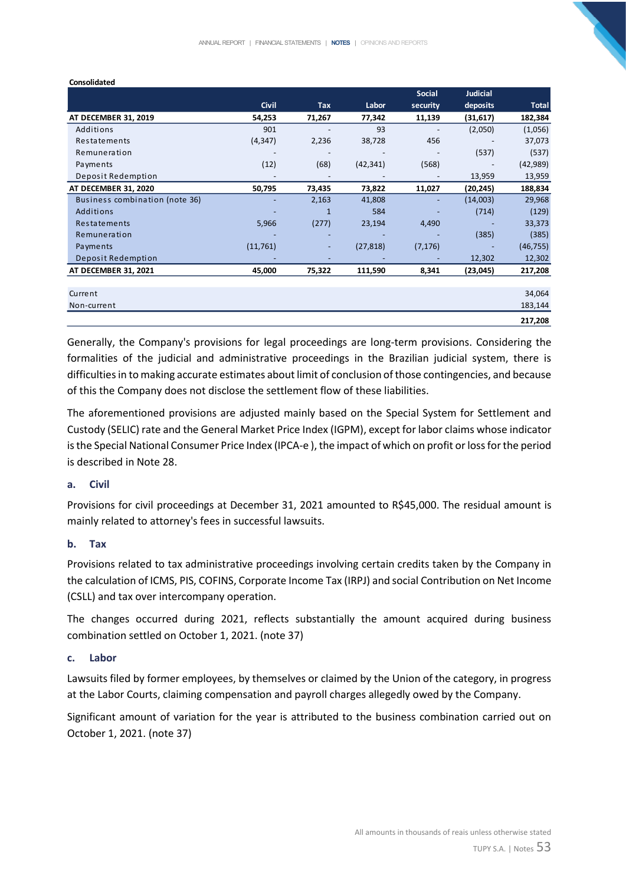|                                |              |                          |           | <b>Social</b> | <b>Judicial</b>          |              |
|--------------------------------|--------------|--------------------------|-----------|---------------|--------------------------|--------------|
|                                | <b>Civil</b> | <b>Tax</b>               | Labor     | security      | deposits                 | <b>Total</b> |
| AT DECEMBER 31, 2019           | 54,253       | 71,267                   | 77,342    | 11,139        | (31, 617)                | 182,384      |
| Additions                      | 901          | $\overline{\phantom{a}}$ | 93        |               | (2,050)                  | (1,056)      |
| Restatements                   | (4, 347)     | 2,236                    | 38,728    | 456           |                          | 37,073       |
| Remuneration                   |              | $\overline{\phantom{a}}$ |           |               | (537)                    | (537)        |
| Payments                       | (12)         | (68)                     | (42, 341) | (568)         |                          | (42, 989)    |
| Deposit Redemption             |              |                          |           |               | 13,959                   | 13,959       |
| AT DECEMBER 31, 2020           | 50,795       | 73,435                   | 73,822    | 11,027        | (20, 245)                | 188,834      |
| Business combination (note 36) |              | 2,163                    | 41,808    |               | (14,003)                 | 29,968       |
| Additions                      |              | $\mathbf{1}$             | 584       |               | (714)                    | (129)        |
| Restatements                   | 5,966        | (277)                    | 23,194    | 4,490         |                          | 33,373       |
| Remuneration                   |              |                          |           |               | (385)                    | (385)        |
| Payments                       | (11,761)     | $\overline{\phantom{a}}$ | (27, 818) | (7, 176)      | $\overline{\phantom{a}}$ | (46, 755)    |
| Deposit Redemption             |              |                          |           |               | 12,302                   | 12,302       |
| AT DECEMBER 31, 2021           | 45,000       | 75,322                   | 111,590   | 8,341         | (23, 045)                | 217,208      |
|                                |              |                          |           |               |                          |              |
| Current                        |              |                          |           |               |                          | 34,064       |
| Non-current                    |              |                          |           |               |                          | 183,144      |
|                                |              |                          |           |               |                          | 217,208      |

Generally, the Company's provisions for legal proceedings are long-term provisions. Considering the formalities of the judicial and administrative proceedings in the Brazilian judicial system, there is difficulties in to making accurate estimates about limit of conclusion of those contingencies, and because of this the Company does not disclose the settlement flow of these liabilities.

The aforementioned provisions are adjusted mainly based on the Special System for Settlement and Custody (SELIC) rate and the General Market Price Index (IGPM), except for labor claims whose indicator is the Special National Consumer Price Index (IPCA-e ), the impact of which on profit or loss for the period is described in Note 28.

#### **a. Civil**

Provisions for civil proceedings at December 31, 2021 amounted to R\$45,000. The residual amount is mainly related to attorney's fees in successful lawsuits.

#### **b. Tax**

Provisions related to tax administrative proceedings involving certain credits taken by the Company in the calculation of ICMS, PIS, COFINS, Corporate Income Tax (IRPJ) and social Contribution on Net Income (CSLL) and tax over intercompany operation.

The changes occurred during 2021, reflects substantially the amount acquired during business combination settled on October 1, 2021. (note 37)

#### **c. Labor**

Lawsuits filed by former employees, by themselves or claimed by the Union of the category, in progress at the Labor Courts, claiming compensation and payroll charges allegedly owed by the Company.

Significant amount of variation for the year is attributed to the business combination carried out on October 1, 2021. (note 37)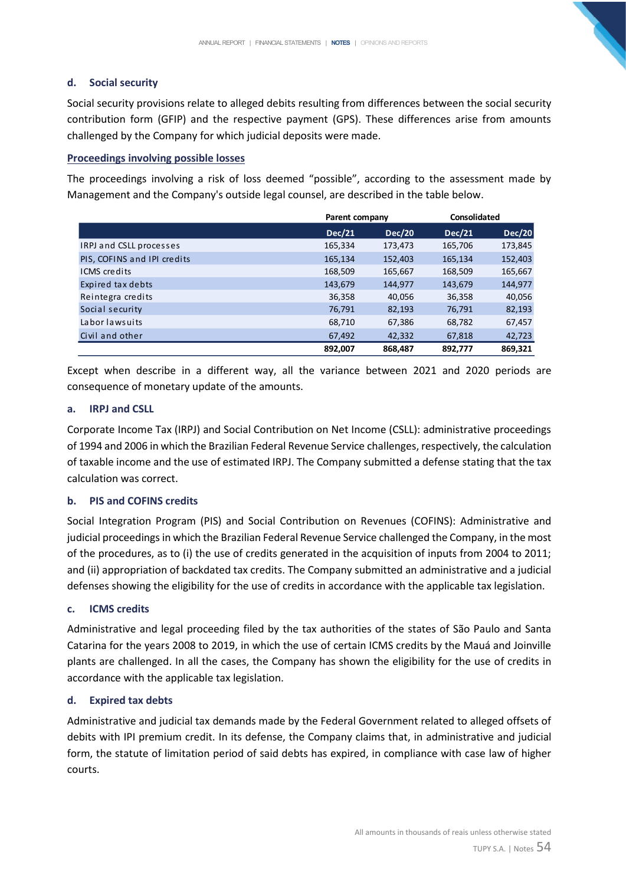## **d. Social security**

Social security provisions relate to alleged debits resulting from differences between the social security contribution form (GFIP) and the respective payment (GPS). These differences arise from amounts challenged by the Company for which judicial deposits were made.

## **Proceedings involving possible losses**

The proceedings involving a risk of loss deemed "possible", according to the assessment made by Management and the Company's outside legal counsel, are described in the table below.

|                             |         | Parent company |               | <b>Consolidated</b> |
|-----------------------------|---------|----------------|---------------|---------------------|
|                             | Dec/21  | <b>Dec/20</b>  | <b>Dec/21</b> | <b>Dec/20</b>       |
| IRPJ and CSLL processes     | 165,334 | 173,473        | 165,706       | 173,845             |
| PIS, COFINS and IPI credits | 165,134 | 152,403        | 165,134       | 152,403             |
| <b>ICMS</b> credits         | 168,509 | 165,667        | 168,509       | 165,667             |
| Expired tax debts           | 143,679 | 144,977        | 143,679       | 144,977             |
| Reintegra credits           | 36,358  | 40,056         | 36,358        | 40,056              |
| Social security             | 76,791  | 82,193         | 76,791        | 82,193              |
| Laborlawsuits               | 68,710  | 67,386         | 68,782        | 67,457              |
| Civil and other             | 67,492  | 42,332         | 67,818        | 42,723              |
|                             | 892,007 | 868,487        | 892,777       | 869,321             |

Except when describe in a different way, all the variance between 2021 and 2020 periods are consequence of monetary update of the amounts.

## **a. IRPJ and CSLL**

Corporate Income Tax (IRPJ) and Social Contribution on Net Income (CSLL): administrative proceedings of 1994 and 2006 in which the Brazilian Federal Revenue Service challenges, respectively, the calculation of taxable income and the use of estimated IRPJ. The Company submitted a defense stating that the tax calculation was correct.

## **b. PIS and COFINS credits**

Social Integration Program (PIS) and Social Contribution on Revenues (COFINS): Administrative and judicial proceedings in which the Brazilian Federal Revenue Service challenged the Company, in the most of the procedures, as to (i) the use of credits generated in the acquisition of inputs from 2004 to 2011; and (ii) appropriation of backdated tax credits. The Company submitted an administrative and a judicial defenses showing the eligibility for the use of credits in accordance with the applicable tax legislation.

## **c. ICMS credits**

Administrative and legal proceeding filed by the tax authorities of the states of São Paulo and Santa Catarina for the years 2008 to 2019, in which the use of certain ICMS credits by the Mauá and Joinville plants are challenged. In all the cases, the Company has shown the eligibility for the use of credits in accordance with the applicable tax legislation.

#### **d. Expired tax debts**

Administrative and judicial tax demands made by the Federal Government related to alleged offsets of debits with IPI premium credit. In its defense, the Company claims that, in administrative and judicial form, the statute of limitation period of said debts has expired, in compliance with case law of higher courts.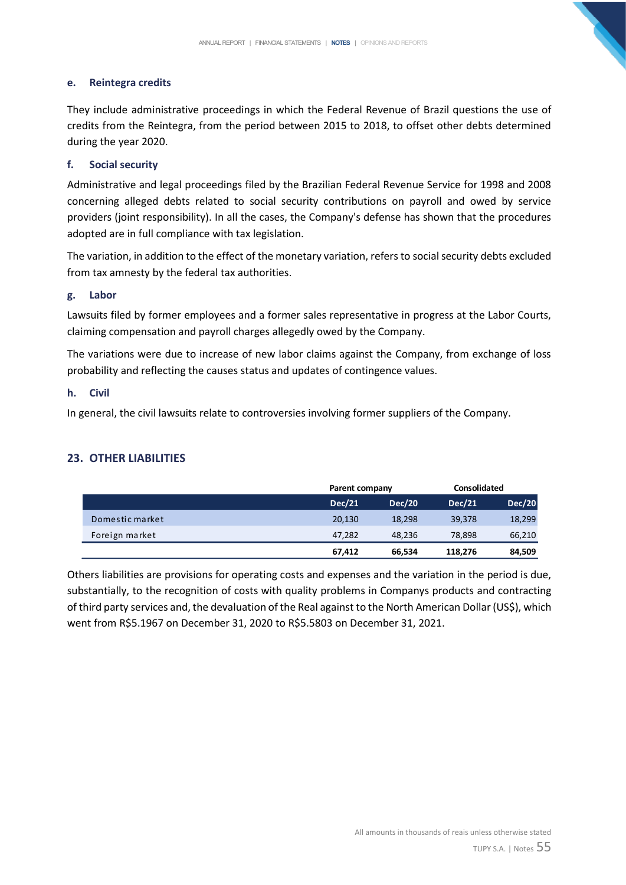## **e. Reintegra credits**

They include administrative proceedings in which the Federal Revenue of Brazil questions the use of credits from the Reintegra, from the period between 2015 to 2018, to offset other debts determined during the year 2020.

## **f. Social security**

Administrative and legal proceedings filed by the Brazilian Federal Revenue Service for 1998 and 2008 concerning alleged debts related to social security contributions on payroll and owed by service providers (joint responsibility). In all the cases, the Company's defense has shown that the procedures adopted are in full compliance with tax legislation.

The variation, in addition to the effect of the monetary variation, refers to social security debts excluded from tax amnesty by the federal tax authorities.

#### **g. Labor**

Lawsuits filed by former employees and a former sales representative in progress at the Labor Courts, claiming compensation and payroll charges allegedly owed by the Company.

The variations were due to increase of new labor claims against the Company, from exchange of loss probability and reflecting the causes status and updates of contingence values.

#### **h. Civil**

In general, the civil lawsuits relate to controversies involving former suppliers of the Company.

## **23. OTHER LIABILITIES**

|                 |               | Parent company |               | Consolidated  |
|-----------------|---------------|----------------|---------------|---------------|
|                 | <b>Dec/21</b> | <b>Dec/20</b>  | <b>Dec/21</b> | <b>Dec/20</b> |
| Domestic market | 20,130        | 18,298         | 39,378        | 18,299        |
| Foreign market  | 47.282        | 48.236         | 78,898        | 66,210        |
|                 | 67,412        | 66,534         | 118,276       | 84,509        |

Others liabilities are provisions for operating costs and expenses and the variation in the period is due, substantially, to the recognition of costs with quality problems in Companys products and contracting of third party services and, the devaluation of the Real against to the North American Dollar (US\$), which went from R\$5.1967 on December 31, 2020 to R\$5.5803 on December 31, 2021.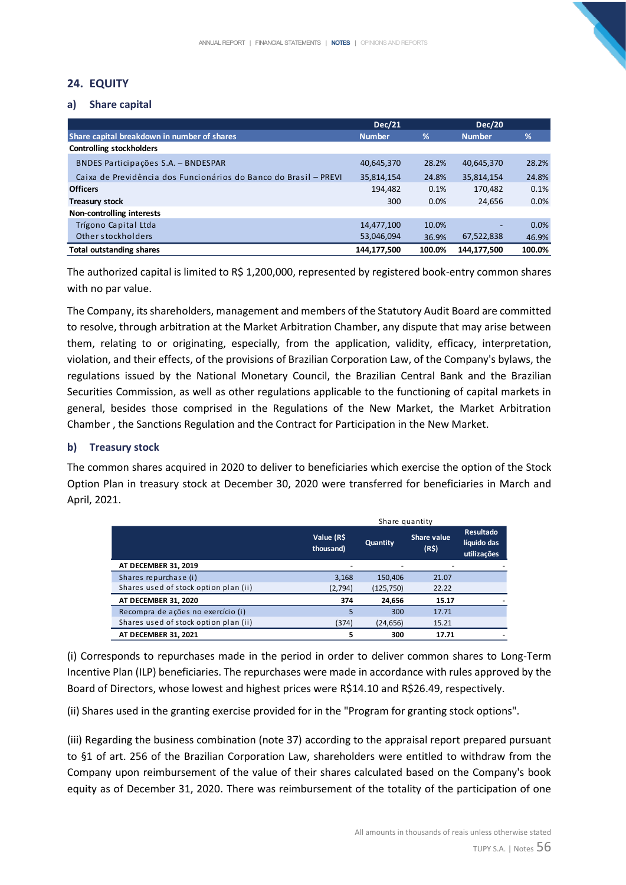## **24. EQUITY**

#### **a) Share capital**

|                                                                  | <b>Dec/21</b> |         | <b>Dec/20</b> |        |
|------------------------------------------------------------------|---------------|---------|---------------|--------|
| Share capital breakdown in number of shares                      | <b>Number</b> | %       | <b>Number</b> | %      |
| <b>Controlling stockholders</b>                                  |               |         |               |        |
| BNDES Participações S.A. - BNDESPAR                              | 40,645,370    | 28.2%   | 40,645,370    | 28.2%  |
| Caixa de Previdência dos Funcionários do Banco do Brasil - PREVI | 35,814,154    | 24.8%   | 35,814,154    | 24.8%  |
| <b>Officers</b>                                                  | 194,482       | 0.1%    | 170,482       | 0.1%   |
| <b>Treasury stock</b>                                            | 300           | $0.0\%$ | 24.656        | 0.0%   |
| Non-controlling interests                                        |               |         |               |        |
| Trígono Capital Ltda                                             | 14,477,100    | 10.0%   |               | 0.0%   |
| Other stockholders                                               | 53,046,094    | 36.9%   | 67,522,838    | 46.9%  |
| <b>Total outstanding shares</b>                                  | 144,177,500   | 100.0%  | 144.177.500   | 100.0% |

The authorized capital is limited to R\$ 1,200,000, represented by registered book-entry common shares with no par value.

The Company, its shareholders, management and members of the Statutory Audit Board are committed to resolve, through arbitration at the Market Arbitration Chamber, any dispute that may arise between them, relating to or originating, especially, from the application, validity, efficacy, interpretation, violation, and their effects, of the provisions of Brazilian Corporation Law, of the Company's bylaws, the regulations issued by the National Monetary Council, the Brazilian Central Bank and the Brazilian Securities Commission, as well as other regulations applicable to the functioning of capital markets in general, besides those comprised in the Regulations of the New Market, the Market Arbitration Chamber , the Sanctions Regulation and the Contract for Participation in the New Market.

#### **b) Treasury stock**

The common shares acquired in 2020 to deliver to beneficiaries which exercise the option of the Stock Option Plan in treasury stock at December 30, 2020 were transferred for beneficiaries in March and April, 2021.

|                                       | Share quantity          |            |                                         |                                                |  |
|---------------------------------------|-------------------------|------------|-----------------------------------------|------------------------------------------------|--|
|                                       | Value (R\$<br>thousand) | Quantity   | <b>Share value</b><br>(R <sup>2</sup> ) | <b>Resultado</b><br>líquido das<br>utilizações |  |
| AT DECEMBER 31, 2019                  | ٠                       |            |                                         |                                                |  |
| Shares repurchase (i)                 | 3,168                   | 150,406    | 21.07                                   |                                                |  |
| Shares used of stock option plan (ii) | (2,794)                 | (125, 750) | 22.22                                   |                                                |  |
| AT DECEMBER 31, 2020                  | 374                     | 24,656     | 15.17                                   |                                                |  |
| Recompra de ações no exercício (i)    | 5                       | 300        | 17.71                                   |                                                |  |
| Shares used of stock option plan (ii) | (374)                   | (24, 656)  | 15.21                                   |                                                |  |
| <b>AT DECEMBER 31, 2021</b>           | 5                       | 300        | 17.71                                   |                                                |  |

(i) Corresponds to repurchases made in the period in order to deliver common shares to Long-Term Incentive Plan (ILP) beneficiaries. The repurchases were made in accordance with rules approved by the Board of Directors, whose lowest and highest prices were R\$14.10 and R\$26.49, respectively.

(ii) Shares used in the granting exercise provided for in the "Program for granting stock options".

(iii) Regarding the business combination (note 37) according to the appraisal report prepared pursuant to §1 of art. 256 of the Brazilian Corporation Law, shareholders were entitled to withdraw from the Company upon reimbursement of the value of their shares calculated based on the Company's book equity as of December 31, 2020. There was reimbursement of the totality of the participation of one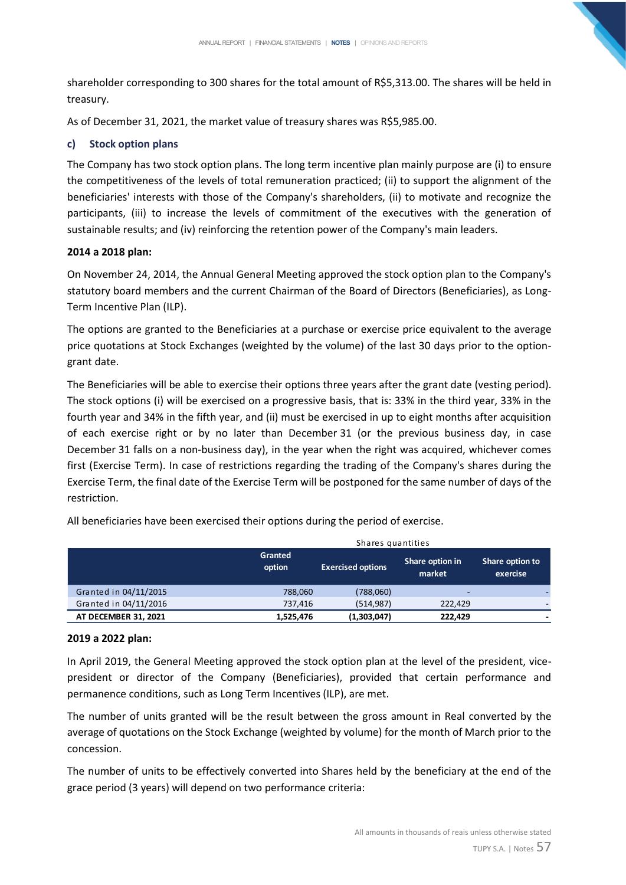shareholder corresponding to 300 shares for the total amount of R\$5,313.00. The shares will be held in treasury.

As of December 31, 2021, the market value of treasury shares was R\$5,985.00.

## **c) Stock option plans**

The Company has two stock option plans. The long term incentive plan mainly purpose are (i) to ensure the competitiveness of the levels of total remuneration practiced; (ii) to support the alignment of the beneficiaries' interests with those of the Company's shareholders, (ii) to motivate and recognize the participants, (iii) to increase the levels of commitment of the executives with the generation of sustainable results; and (iv) reinforcing the retention power of the Company's main leaders.

## **2014 a 2018 plan:**

On November 24, 2014, the Annual General Meeting approved the stock option plan to the Company's statutory board members and the current Chairman of the Board of Directors (Beneficiaries), as Long-Term Incentive Plan (ILP).

The options are granted to the Beneficiaries at a purchase or exercise price equivalent to the average price quotations at Stock Exchanges (weighted by the volume) of the last 30 days prior to the optiongrant date.

The Beneficiaries will be able to exercise their options three years after the grant date (vesting period). The stock options (i) will be exercised on a progressive basis, that is: 33% in the third year, 33% in the fourth year and 34% in the fifth year, and (ii) must be exercised in up to eight months after acquisition of each exercise right or by no later than December 31 (or the previous business day, in case December 31 falls on a non-business day), in the year when the right was acquired, whichever comes first (Exercise Term). In case of restrictions regarding the trading of the Company's shares during the Exercise Term, the final date of the Exercise Term will be postponed for the same number of days of the restriction.

|                       | Shares quantities        |                          |                           |                             |  |  |  |
|-----------------------|--------------------------|--------------------------|---------------------------|-----------------------------|--|--|--|
|                       | <b>Granted</b><br>option | <b>Exercised options</b> | Share option in<br>market | Share option to<br>exercise |  |  |  |
| Granted in 04/11/2015 | 788,060                  | (788,060)                |                           |                             |  |  |  |
| Granted in 04/11/2016 | 737.416                  | (514.987)                | 222.429                   |                             |  |  |  |
| AT DECEMBER 31, 2021  | 1.525.476                | (1,303,047)              | 222.429                   | -                           |  |  |  |

All beneficiaries have been exercised their options during the period of exercise.

## **2019 a 2022 plan:**

In April 2019, the General Meeting approved the stock option plan at the level of the president, vicepresident or director of the Company (Beneficiaries), provided that certain performance and permanence conditions, such as Long Term Incentives (ILP), are met.

The number of units granted will be the result between the gross amount in Real converted by the average of quotations on the Stock Exchange (weighted by volume) for the month of March prior to the concession.

The number of units to be effectively converted into Shares held by the beneficiary at the end of the grace period (3 years) will depend on two performance criteria: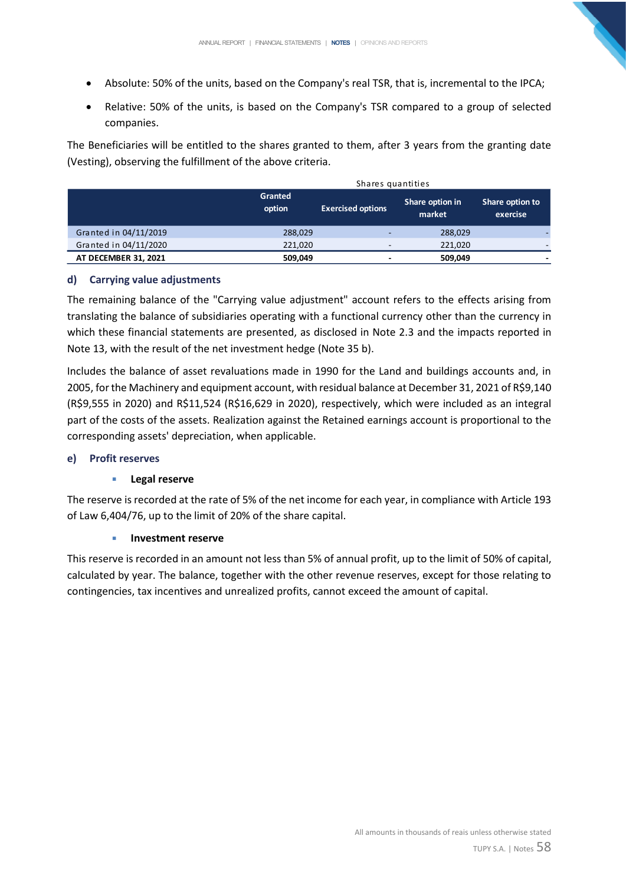- Absolute: 50% of the units, based on the Company's real TSR, that is, incremental to the IPCA;
- Relative: 50% of the units, is based on the Company's TSR compared to a group of selected companies.

The Beneficiaries will be entitled to the shares granted to them, after 3 years from the granting date (Vesting), observing the fulfillment of the above criteria.

|                       | Shares quantities |                          |                           |                             |  |  |
|-----------------------|-------------------|--------------------------|---------------------------|-----------------------------|--|--|
|                       | Granted<br>option | <b>Exercised options</b> | Share option in<br>market | Share option to<br>exercise |  |  |
| Granted in 04/11/2019 | 288,029           | -                        | 288,029                   |                             |  |  |
| Granted in 04/11/2020 | 221,020           |                          | 221,020                   |                             |  |  |
| AT DECEMBER 31, 2021  | 509,049           | $\overline{\phantom{0}}$ | 509,049                   |                             |  |  |

## **d) Carrying value adjustments**

The remaining balance of the "Carrying value adjustment" account refers to the effects arising from translating the balance of subsidiaries operating with a functional currency other than the currency in which these financial statements are presented, as disclosed in Note 2.3 and the impacts reported in Note 13, with the result of the net investment hedge (Note 35 b).

Includes the balance of asset revaluations made in 1990 for the Land and buildings accounts and, in 2005, for the Machinery and equipment account, with residual balance at December 31, 2021 of R\$9,140 (R\$9,555 in 2020) and R\$11,524 (R\$16,629 in 2020), respectively, which were included as an integral part of the costs of the assets. Realization against the Retained earnings account is proportional to the corresponding assets' depreciation, when applicable.

#### **e) Profit reserves**

## ▪ **Legal reserve**

The reserve is recorded at the rate of 5% of the net income for each year, in compliance with Article 193 of Law 6,404/76, up to the limit of 20% of the share capital.

#### ▪ **Investment reserve**

This reserve is recorded in an amount not less than 5% of annual profit, up to the limit of 50% of capital, calculated by year. The balance, together with the other revenue reserves, except for those relating to contingencies, tax incentives and unrealized profits, cannot exceed the amount of capital.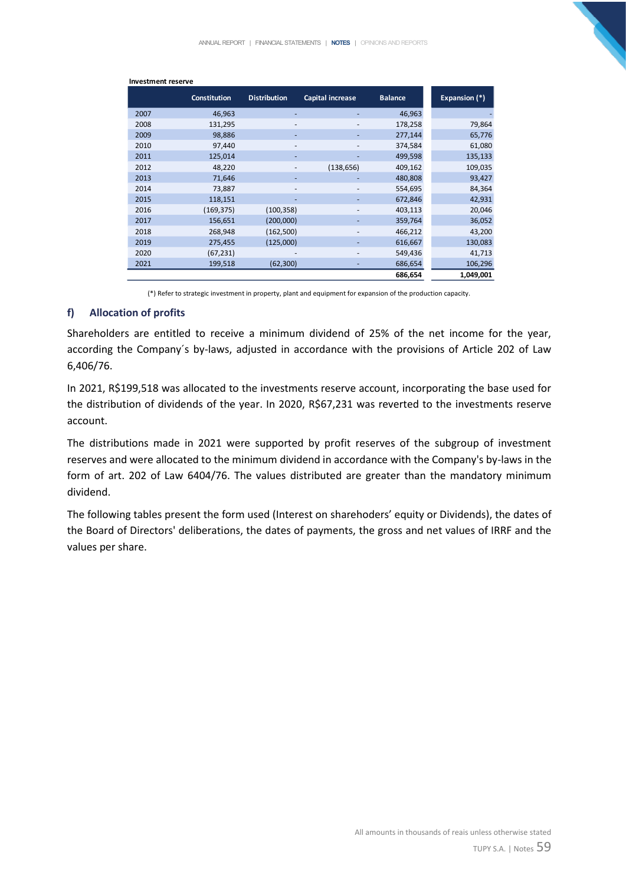| <b>Investment reserve</b> |                     |                          |                         |                |               |
|---------------------------|---------------------|--------------------------|-------------------------|----------------|---------------|
|                           | <b>Constitution</b> | <b>Distribution</b>      | <b>Capital increase</b> | <b>Balance</b> | Expansion (*) |
| 2007                      | 46,963              | ٠                        |                         | 46,963         |               |
| 2008                      | 131,295             | -                        | -                       | 178,258        | 79,864        |
| 2009                      | 98,886              |                          |                         | 277,144        | 65,776        |
| 2010                      | 97,440              | $\overline{\phantom{a}}$ |                         | 374,584        | 61,080        |
| 2011                      | 125,014             | ٠                        | ٠                       | 499,598        | 135,133       |
| 2012                      | 48,220              | -                        | (138, 656)              | 409,162        | 109,035       |
| 2013                      | 71,646              | ٠                        |                         | 480,808        | 93,427        |
| 2014                      | 73,887              | ٠                        | -                       | 554,695        | 84,364        |
| 2015                      | 118,151             | ٠                        | ٠                       | 672,846        | 42,931        |
| 2016                      | (169, 375)          | (100, 358)               |                         | 403,113        | 20,046        |
| 2017                      | 156,651             | (200,000)                |                         | 359,764        | 36,052        |
| 2018                      | 268,948             | (162, 500)               |                         | 466,212        | 43,200        |
| 2019                      | 275,455             | (125,000)                |                         | 616,667        | 130,083       |
| 2020                      | (67, 231)           |                          | -                       | 549,436        | 41,713        |
| 2021                      | 199,518             | (62, 300)                |                         | 686,654        | 106,296       |
|                           |                     |                          |                         | 686,654        | 1,049,001     |
|                           |                     |                          |                         |                |               |

(\*) Refer to strategic investment in property, plant and equipment for expansion of the production capacity.

#### **f) Allocation of profits**

Shareholders are entitled to receive a minimum dividend of 25% of the net income for the year, according the Company´s by-laws, adjusted in accordance with the provisions of Article 202 of Law 6,406/76.

In 2021, R\$199,518 was allocated to the investments reserve account, incorporating the base used for the distribution of dividends of the year. In 2020, R\$67,231 was reverted to the investments reserve account.

The distributions made in 2021 were supported by profit reserves of the subgroup of investment reserves and were allocated to the minimum dividend in accordance with the Company's by-laws in the form of art. 202 of Law 6404/76. The values distributed are greater than the mandatory minimum dividend.

The following tables present the form used (Interest on sharehoders' equity or Dividends), the dates of the Board of Directors' deliberations, the dates of payments, the gross and net values of IRRF and the values per share.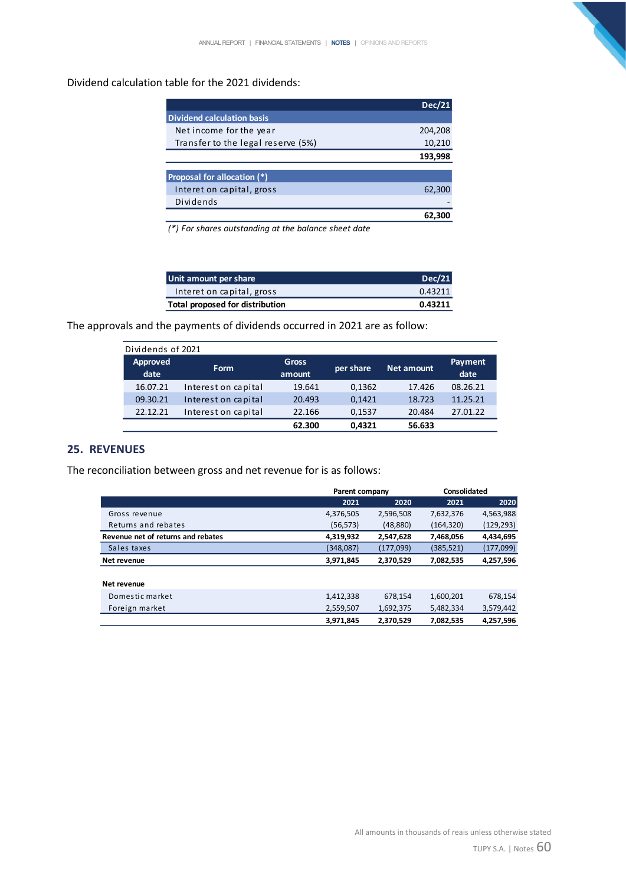## Dividend calculation table for the 2021 dividends:

|                                    | Dec/21  |
|------------------------------------|---------|
| <b>Dividend calculation basis</b>  |         |
| Net income for the year            | 204,208 |
| Transfer to the legal reserve (5%) | 10,210  |
|                                    | 193,998 |
|                                    |         |
| Proposal for allocation (*)        |         |
| Interet on capital, gross          | 62,300  |
| Dividends                          |         |
|                                    |         |

*(\*) For shares outstanding at the balance sheet date*

| Unit amount per share           | Dec/21  |
|---------------------------------|---------|
| Interet on capital, gross       | 0.43211 |
| Total proposed for distribution | 0.43211 |

The approvals and the payments of dividends occurred in 2021 are as follow:

| Dividends of 2021 |                     |              |           |                   |          |
|-------------------|---------------------|--------------|-----------|-------------------|----------|
| Approved          | <b>Form</b>         | <b>Gross</b> | per share | <b>Net amount</b> | Payment  |
| date              |                     | amount       |           |                   | date     |
| 16.07.21          | Interest on capital | 19.641       | 0,1362    | 17.426            | 08.26.21 |
| 09.30.21          | Interest on capital | 20.493       | 0,1421    | 18.723            | 11.25.21 |
| 22.12.21          | Interest on capital | 22.166       | 0,1537    | 20.484            | 27.01.22 |
|                   |                     | 62.300       | 0.4321    | 56.633            |          |

## **25. REVENUES**

The reconciliation between gross and net revenue for is as follows:

|                                    |           | Parent company |           | Consolidated |
|------------------------------------|-----------|----------------|-----------|--------------|
|                                    | 2021      | 2020           | 2021      | 2020         |
| Gross revenue                      | 4,376,505 | 2,596,508      | 7,632,376 | 4,563,988    |
| Returns and rebates                | (56,573)  | (48, 880)      | (164,320) | (129, 293)   |
| Revenue net of returns and rebates | 4,319,932 | 2,547,628      | 7,468,056 | 4,434,695    |
| Sales taxes                        | (348,087) | (177,099)      | (385,521) | (177,099)    |
| Net revenue                        | 3,971,845 | 2,370,529      | 7,082,535 | 4,257,596    |
| Net revenue                        |           |                |           |              |
| Domestic market                    | 1,412,338 | 678,154        | 1,600,201 | 678,154      |
| Foreign market                     | 2,559,507 | 1,692,375      | 5,482,334 | 3,579,442    |
|                                    | 3.971.845 | 2.370.529      | 7.082.535 | 4,257,596    |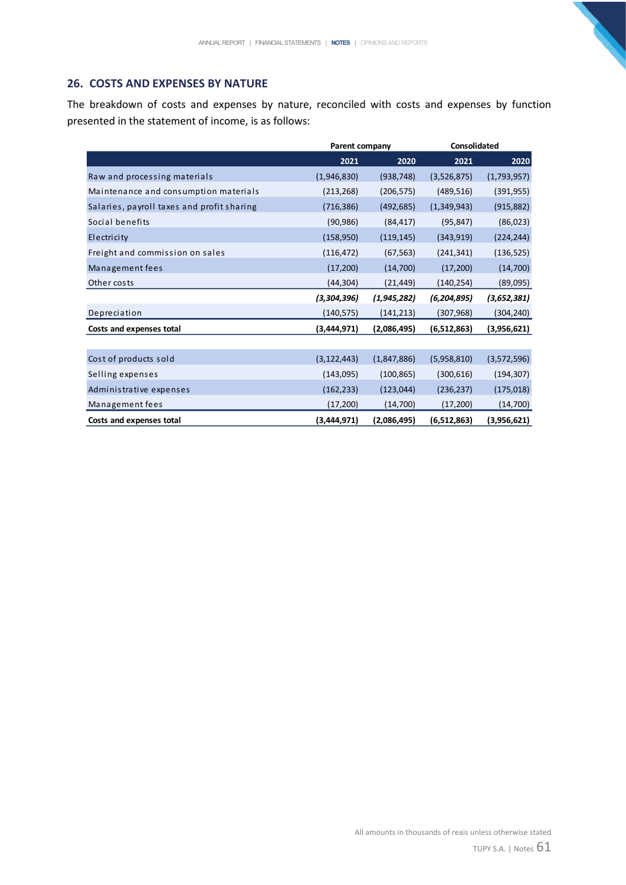## **26. COSTS AND EXPENSES BY NATURE**

The breakdown of costs and expenses by nature, reconciled with costs and expenses by function presented in the statement of income, is as follows:

|                                            |               | Parent company |               | Consolidated |  |  |
|--------------------------------------------|---------------|----------------|---------------|--------------|--|--|
|                                            | 2021          | 2020           | 2021          | 2020         |  |  |
| Raw and processing materials               | (1,946,830)   | (938, 748)     | (3,526,875)   | (1,793,957)  |  |  |
| Maintenance and consumption materials      | (213, 268)    | (206, 575)     | (489, 516)    | (391, 955)   |  |  |
| Salaries, payroll taxes and profit sharing | (716, 386)    | (492, 685)     | (1,349,943)   | (915, 882)   |  |  |
| Social benefits                            | (90, 986)     | (84, 417)      | (95, 847)     | (86, 023)    |  |  |
| Electricity                                | (158, 950)    | (119, 145)     | (343,919)     | (224, 244)   |  |  |
| Freight and commission on sales            | (116, 472)    | (67, 563)      | (241, 341)    | (136, 525)   |  |  |
| Management fees                            | (17,200)      | (14,700)       | (17,200)      | (14, 700)    |  |  |
| Other costs                                | (44, 304)     | (21, 449)      | (140, 254)    | (89,095)     |  |  |
|                                            | (3,304,396)   | (1, 945, 282)  | (6, 204, 895) | (3,652,381)  |  |  |
| Depreciation                               | (140, 575)    | (141, 213)     | (307, 968)    | (304,240)    |  |  |
| Costs and expenses total                   | (3, 444, 971) | (2,086,495)    | (6,512,863)   | (3,956,621)  |  |  |
|                                            |               |                |               |              |  |  |
| Cost of products sold                      | (3, 122, 443) | (1,847,886)    | (5,958,810)   | (3,572,596)  |  |  |
| Selling expenses                           | (143,095)     | (100, 865)     | (300, 616)    | (194, 307)   |  |  |
| Administrative expenses                    | (162, 233)    | (123, 044)     | (236, 237)    | (175, 018)   |  |  |
| Management fees                            | (17, 200)     | (14,700)       | (17, 200)     | (14, 700)    |  |  |
| Costs and expenses total                   | (3,444,971)   | (2,086,495)    | (6,512,863)   | (3,956,621)  |  |  |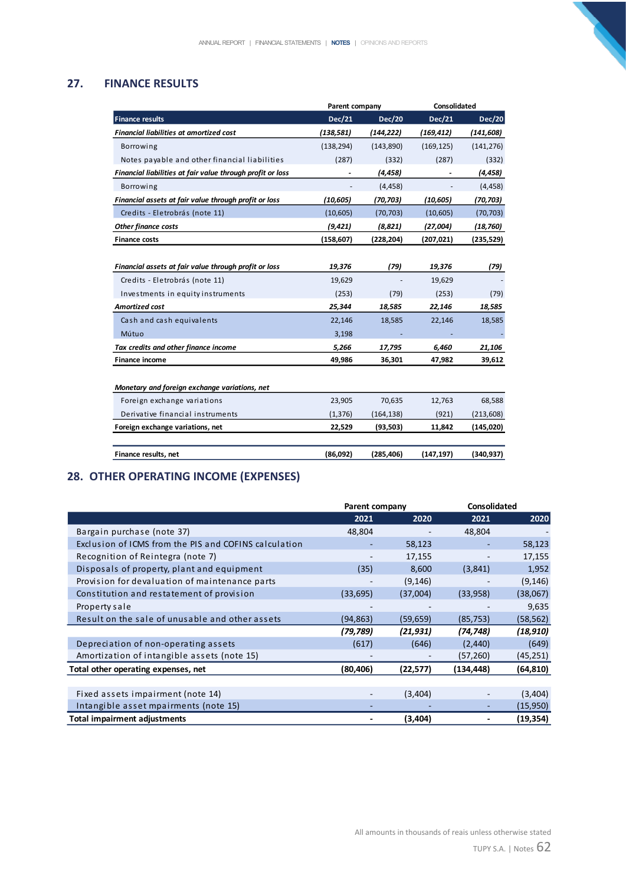# **27. FINANCE RESULTS**

|                                                            | Parent company |            | Consolidated |               |
|------------------------------------------------------------|----------------|------------|--------------|---------------|
| <b>Finance results</b>                                     | Dec/21         | Dec/20     | Dec/21       | <b>Dec/20</b> |
| <b>Financial liabilities at amortized cost</b>             | (138, 581)     | (144, 222) | (169, 412)   | (141,608)     |
| Borrowing                                                  | (138, 294)     | (143, 890) | (169, 125)   | (141, 276)    |
| Notes payable and other financial liabilities              | (287)          | (332)      | (287)        | (332)         |
| Financial liabilities at fair value through profit or loss |                | (4, 458)   |              | (4, 458)      |
| Borrowing                                                  |                | (4, 458)   |              | (4, 458)      |
| Financial assets at fair value through profit or loss      | (10, 605)      | (70,703)   | (10, 605)    | (70,703)      |
| Credits - Eletrobrás (note 11)                             | (10,605)       | (70, 703)  | (10,605)     | (70, 703)     |
| <b>Other finance costs</b>                                 | (9, 421)       | (8,821)    | (27,004)     | (18, 760)     |
| <b>Finance costs</b>                                       | (158, 607)     | (228, 204) | (207, 021)   | (235, 529)    |
|                                                            |                |            |              |               |
| Financial assets at fair value through profit or loss      | 19,376         | (79)       | 19,376       | (79)          |
| Credits - Eletrobrás (note 11)                             | 19,629         |            | 19,629       |               |
| Investments in equity instruments                          | (253)          | (79)       | (253)        | (79)          |
| <b>Amortized cost</b>                                      | 25,344         | 18,585     | 22,146       | 18,585        |
| Cash and cash equivalents                                  | 22,146         | 18,585     | 22,146       | 18,585        |
| Mútuo                                                      | 3,198          |            |              |               |
| Tax credits and other finance income                       | 5,266          | 17,795     | 6,460        | 21,106        |
| <b>Finance income</b>                                      | 49,986         | 36,301     | 47,982       | 39,612        |
|                                                            |                |            |              |               |
| Monetary and foreign exchange variations, net              |                |            |              |               |
| Foreign exchange variations                                | 23,905         | 70,635     | 12,763       | 68,588        |
| Derivative financial instruments                           | (1, 376)       | (164, 138) | (921)        | (213, 608)    |
| Foreign exchange variations, net                           | 22,529         | (93, 503)  | 11,842       | (145, 020)    |
|                                                            |                |            |              |               |
| Finance results, net                                       | (86,092)       | (285, 406) | (147, 197)   | (340, 937)    |

# **28. OTHER OPERATING INCOME (EXPENSES)**

|                                                       | Parent company |           | <b>Consolidated</b> |           |
|-------------------------------------------------------|----------------|-----------|---------------------|-----------|
|                                                       | 2021           | 2020      | 2021                | 2020      |
| Bargain purchase (note 37)                            | 48,804         |           | 48,804              |           |
| Exclusion of ICMS from the PIS and COFINS calculation |                | 58,123    |                     | 58,123    |
| Recognition of Reintegra (note 7)                     |                | 17,155    |                     | 17,155    |
| Disposals of property, plant and equipment            | (35)           | 8,600     | (3,841)             | 1,952     |
| Provision for devaluation of maintenance parts        |                | (9, 146)  |                     | (9, 146)  |
| Constitution and restatement of provision             | (33, 695)      | (37,004)  | (33,958)            | (38,067)  |
| Property sale                                         |                |           |                     | 9,635     |
| Result on the sale of unusable and other assets       | (94, 863)      | (59, 659) | (85, 753)           | (58, 562) |
|                                                       | (79, 789)      | (21, 931) | (74,748)            | (18, 910) |
| Depreciation of non-operating assets                  | (617)          | (646)     | (2, 440)            | (649)     |
| Amortization of intangible assets (note 15)           |                |           | (57,260)            | (45, 251) |
| Total other operating expenses, net                   | (80, 406)      | (22, 577) | (134, 448)          | (64, 810) |
|                                                       |                |           |                     |           |
| Fixed assets impairment (note 14)                     |                | (3,404)   |                     | (3,404)   |
| Intangible asset mpairments (note 15)                 |                |           |                     | (15,950)  |
| <b>Total impairment adjustments</b>                   |                | (3,404)   |                     | (19,354)  |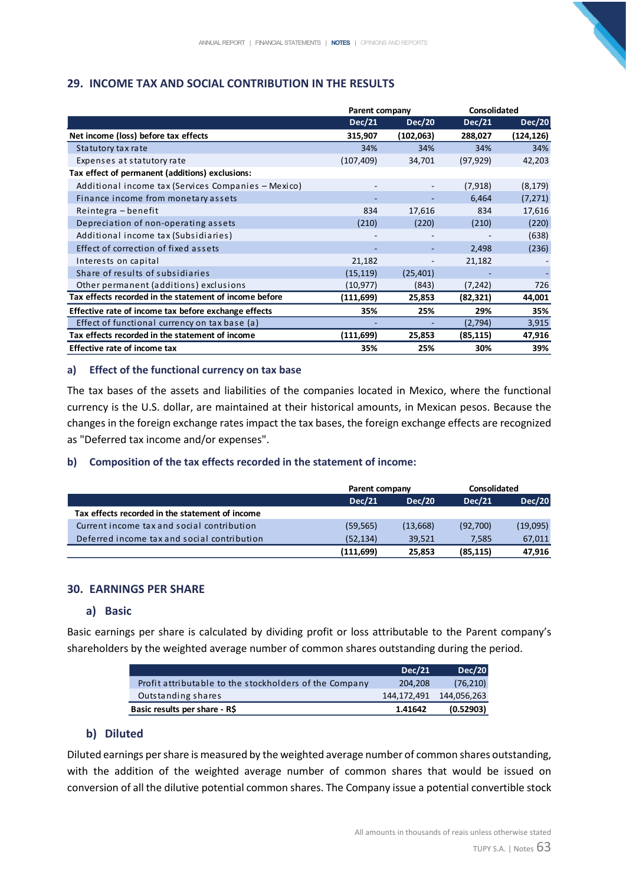# **29. INCOME TAX AND SOCIAL CONTRIBUTION IN THE RESULTS**

|                                                        | Parent company |               | <b>Consolidated</b> |               |
|--------------------------------------------------------|----------------|---------------|---------------------|---------------|
|                                                        | <b>Dec/21</b>  | <b>Dec/20</b> | Dec/21              | <b>Dec/20</b> |
| Net income (loss) before tax effects                   | 315,907        | (102,063)     | 288,027             | (124,126)     |
| Statutory tax rate                                     | 34%            | 34%           | 34%                 | 34%           |
| Expenses at statutory rate                             | (107,409)      | 34,701        | (97, 929)           | 42,203        |
| Tax effect of permanent (additions) exclusions:        |                |               |                     |               |
| Additional income tax (Services Companies - Mexico)    |                |               | (7, 918)            | (8, 179)      |
| Finance income from monetary assets                    |                |               | 6,464               | (7, 271)      |
| Reintegra – benefit                                    | 834            | 17,616        | 834                 | 17,616        |
| Depreciation of non-operating assets                   | (210)          | (220)         | (210)               | (220)         |
| Additional income tax (Subsidiaries)                   |                |               |                     | (638)         |
| Effect of correction of fixed assets                   |                |               | 2,498               | (236)         |
| Interests on capital                                   | 21,182         |               | 21,182              |               |
| Share of results of subsidiaries                       | (15, 119)      | (25, 401)     |                     |               |
| Other permanent (additions) exclusions                 | (10, 977)      | (843)         | (7, 242)            | 726           |
| Tax effects recorded in the statement of income before | (111,699)      | 25,853        | (82, 321)           | 44,001        |
| Effective rate of income tax before exchange effects   | 35%            | 25%           | 29%                 | 35%           |
| Effect of functional currency on tax base (a)          |                |               | (2,794)             | 3,915         |
| Tax effects recorded in the statement of income        | (111,699)      | 25,853        | (85, 115)           | 47,916        |
| <b>Effective rate of income tax</b>                    | 35%            | 25%           | 30%                 | 39%           |

#### **a) Effect of the functional currency on tax base**

The tax bases of the assets and liabilities of the companies located in Mexico, where the functional currency is the U.S. dollar, are maintained at their historical amounts, in Mexican pesos. Because the changes in the foreign exchange rates impact the tax bases, the foreign exchange effects are recognized as "Deferred tax income and/or expenses".

#### **b) Composition of the tax effects recorded in the statement of income:**

|                                                 | Parent company |          | Consolidated |               |
|-------------------------------------------------|----------------|----------|--------------|---------------|
|                                                 | <b>Dec/21</b>  | Dec/20   | Dec/21       | <b>Dec/20</b> |
| Tax effects recorded in the statement of income |                |          |              |               |
| Current income tax and social contribution      | (59, 565)      | (13,668) | (92,700)     | (19,095)      |
| Deferred income tax and social contribution     | (52, 134)      | 39.521   | 7.585        | 67,011        |
|                                                 | (111, 699)     | 25.853   | (85, 115)    | 47.916        |

## **30. EARNINGS PER SHARE**

#### **a) Basic**

Basic earnings per share is calculated by dividing profit or loss attributable to the Parent company's shareholders by the weighted average number of common shares outstanding during the period.

|                                                        | Dec/21      | Dec/20      |
|--------------------------------------------------------|-------------|-------------|
| Profit attributable to the stockholders of the Company | 204.208     | (76, 210)   |
| Outstanding shares                                     | 144,172,491 | 144,056,263 |
| Basic results per share - R\$                          | 1.41642     | (0.52903)   |

## **b) Diluted**

Diluted earnings per share is measured by the weighted average number of common shares outstanding, with the addition of the weighted average number of common shares that would be issued on conversion of all the dilutive potential common shares. The Company issue a potential convertible stock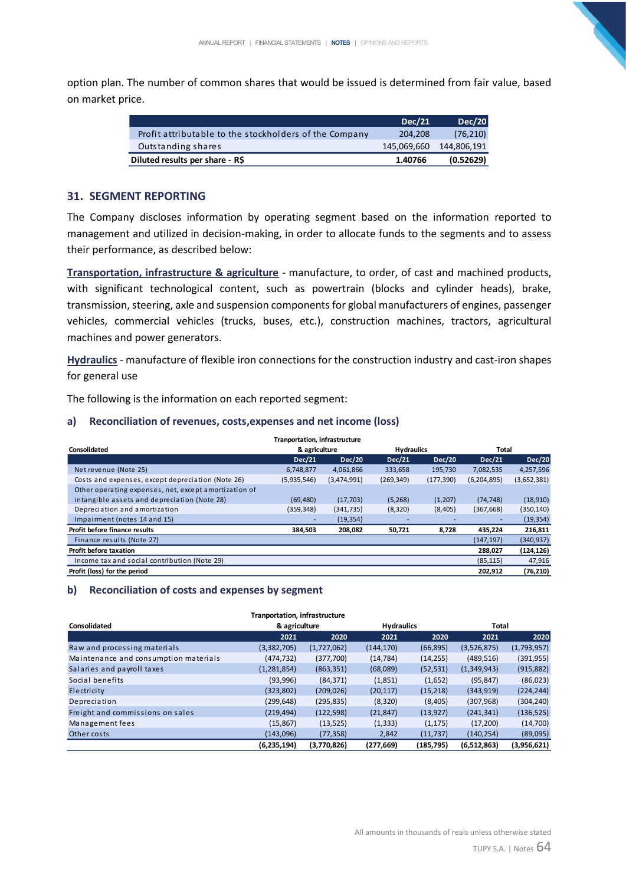option plan. The number of common shares that would be issued is determined from fair value, based on market price.

|                                                        | Dec/21      | <b>Dec/20</b> |
|--------------------------------------------------------|-------------|---------------|
| Profit attributable to the stockholders of the Company | 204.208     | (76, 210)     |
| Outstanding shares                                     | 145,069,660 | 144.806.191   |
| Diluted results per share - R\$                        | 1.40766     | (0.52629)     |

#### **31. SEGMENT REPORTING**

The Company discloses information by operating segment based on the information reported to management and utilized in decision-making, in order to allocate funds to the segments and to assess their performance, as described below:

**Transportation, infrastructure & agriculture** - manufacture, to order, of cast and machined products, with significant technological content, such as powertrain (blocks and cylinder heads), brake, transmission, steering, axle and suspension components for global manufacturers of engines, passenger vehicles, commercial vehicles (trucks, buses, etc.), construction machines, tractors, agricultural machines and power generators.

**Hydraulics** - manufacture of flexible iron connections for the construction industry and cast-iron shapes for general use

The following is the information on each reported segment:

#### **a) Reconciliation of revenues, costs,expenses and net income (loss)**

|                                                       | <b>Tranportation, infrastructure</b> |               |                   |               |               |               |
|-------------------------------------------------------|--------------------------------------|---------------|-------------------|---------------|---------------|---------------|
| Consolidated                                          | & agriculture                        |               | <b>Hydraulics</b> |               | Total         |               |
|                                                       | <b>Dec/21</b>                        | <b>Dec/20</b> | <b>Dec/21</b>     | <b>Dec/20</b> | <b>Dec/21</b> | <b>Dec/20</b> |
| Net revenue (Note 25)                                 | 6,748,877                            | 4,061,866     | 333,658           | 195,730       | 7,082,535     | 4,257,596     |
| Costs and expenses, except depreciation (Note 26)     | (5,935,546)                          | (3,474,991)   | (269, 349)        | (177, 390)    | (6,204,895)   | (3,652,381)   |
| Other operating expenses, net, except amortization of |                                      |               |                   |               |               |               |
| intangible assets and depreciation (Note 28)          | (69, 480)                            | (17,703)      | (5,268)           | (1,207)       | (74, 748)     | (18,910)      |
| Depreciation and amortization                         | (359, 348)                           | (341, 735)    | (8,320)           | (8,405)       | (367, 668)    | (350, 140)    |
| Impairment (notes 14 and 15)                          |                                      | (19, 354)     |                   |               |               | (19, 354)     |
| Profit before finance results                         | 384.503                              | 208,082       | 50,721            | 8,728         | 435.224       | 216,811       |
| Finance results (Note 27)                             |                                      |               |                   |               | (147, 197)    | (340, 937)    |
| Profit before taxation                                |                                      |               |                   |               | 288,027       | (124, 126)    |
| Income tax and social contribution (Note 29)          |                                      |               |                   |               | (85, 115)     | 47,916        |
| Profit (loss) for the period                          |                                      |               |                   |               | 202,912       | (76, 210)     |

#### **b) Reconciliation of costs and expenses by segment**

|                                       | <b>Tranportation, infrastructure</b> |               |            |                   |             |             |
|---------------------------------------|--------------------------------------|---------------|------------|-------------------|-------------|-------------|
| <b>Consolidated</b>                   |                                      | & agriculture |            | <b>Hydraulics</b> |             | Total       |
|                                       | 2021                                 | 2020          | 2021       | 2020              | 2021        | 2020        |
| Raw and processing materials          | (3,382,705)                          | (1,727,062)   | (144, 170) | (66, 895)         | (3,526,875) | (1,793,957) |
| Maintenance and consumption materials | (474,732)                            | (377,700)     | (14, 784)  | (14, 255)         | (489, 516)  | (391, 955)  |
| Salaries and payroll taxes            | (1, 281, 854)                        | (863, 351)    | (68,089)   | (52, 531)         | (1,349,943) | (915, 882)  |
| Social benefits                       | (93,996)                             | (84, 371)     | (1,851)    | (1,652)           | (95, 847)   | (86,023)    |
| Electricity                           | (323, 802)                           | (209, 026)    | (20, 117)  | (15, 218)         | (343, 919)  | (224, 244)  |
| Depreciation                          | (299,648)                            | (295, 835)    | (8, 320)   | (8,405)           | (307, 968)  | (304, 240)  |
| Freight and commissions on sales      | (219, 494)                           | (122, 598)    | (21, 847)  | (13, 927)         | (241, 341)  | (136, 525)  |
| Management fees                       | (15, 867)                            | (13, 525)     | (1, 333)   | (1, 175)          | (17,200)    | (14,700)    |
| Other costs                           | (143,096)                            | (77, 358)     | 2,842      | (11, 737)         | (140, 254)  | (89,095)    |
|                                       | (6.235.194)                          | (3,770,826)   | (277.669)  | (185.795)         | (6,512,863) | (3,956,621) |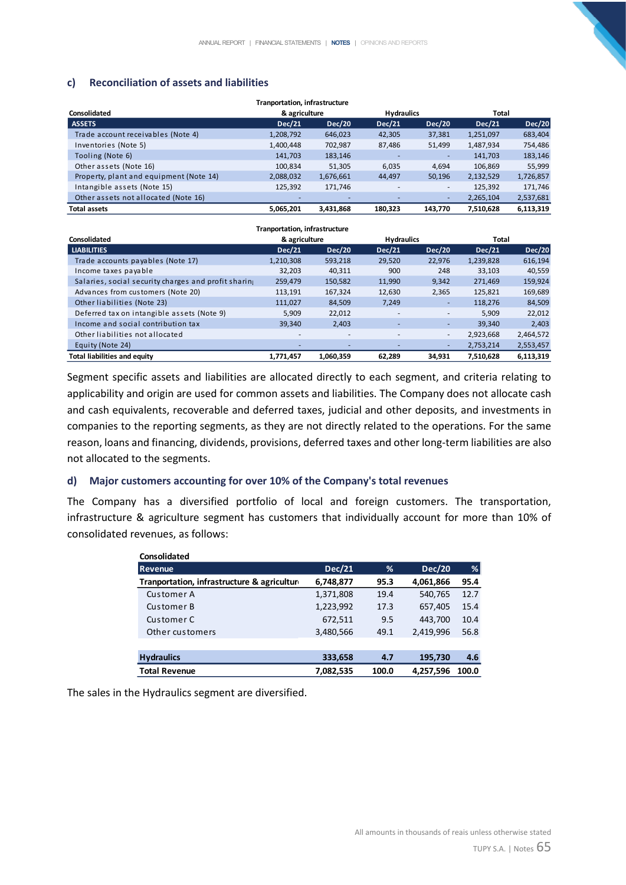## **c) Reconciliation of assets and liabilities**

|                                         | <b>Tranportation, infrastructure</b> |               |                   |               |               |               |
|-----------------------------------------|--------------------------------------|---------------|-------------------|---------------|---------------|---------------|
| Consolidated                            | & agriculture                        |               | <b>Hydraulics</b> |               | Total         |               |
| <b>ASSETS</b>                           | <b>Dec/21</b>                        | <b>Dec/20</b> | Dec/21            | <b>Dec/20</b> | <b>Dec/21</b> | <b>Dec/20</b> |
| Trade account receivables (Note 4)      | 1,208,792                            | 646,023       | 42,305            | 37,381        | 1,251,097     | 683,404       |
| Inventories (Note 5)                    | 1,400,448                            | 702,987       | 87,486            | 51,499        | 1,487,934     | 754,486       |
| Tooling (Note 6)                        | 141,703                              | 183,146       | ٠                 | ٠             | 141,703       | 183,146       |
| Other assets (Note 16)                  | 100,834                              | 51,305        | 6,035             | 4.694         | 106,869       | 55,999        |
| Property, plant and equipment (Note 14) | 2,088,032                            | 1,676,661     | 44,497            | 50,196        | 2,132,529     | 1,726,857     |
| Intangible assets (Note 15)             | 125,392                              | 171.746       |                   |               | 125,392       | 171,746       |
| Other assets not allocated (Note 16)    |                                      |               |                   | ٠             | 2,265,104     | 2,537,681     |
| <b>Total assets</b>                     | 5.065.201                            | 3,431,868     | 180.323           | 143.770       | 7,510,628     | 6,113,319     |

| <b>Tranportation, infrastructure</b>                 |               |                          |                          |               |               |               |
|------------------------------------------------------|---------------|--------------------------|--------------------------|---------------|---------------|---------------|
| Consolidated                                         | & agriculture |                          | <b>Hydraulics</b>        |               | Total         |               |
| <b>LIABILITIES</b>                                   | <b>Dec/21</b> | <b>Dec/20</b>            | Dec/21                   | <b>Dec/20</b> | <b>Dec/21</b> | <b>Dec/20</b> |
| Trade accounts payables (Note 17)                    | 1,210,308     | 593,218                  | 29,520                   | 22,976        | 1,239,828     | 616,194       |
| Income taxes payable                                 | 32.203        | 40,311                   | 900                      | 248           | 33,103        | 40,559        |
| Salaries, social security charges and profit sharing | 259,479       | 150,582                  | 11,990                   | 9,342         | 271,469       | 159,924       |
| Advances from customers (Note 20)                    | 113,191       | 167,324                  | 12,630                   | 2,365         | 125,821       | 169,689       |
| Other liabilities (Note 23)                          | 111,027       | 84,509                   | 7,249                    | ٠             | 118,276       | 84,509        |
| Deferred tax on intangible assets (Note 9)           | 5,909         | 22,012                   | $\overline{\phantom{a}}$ | ٠             | 5,909         | 22,012        |
| Income and social contribution tax                   | 39,340        | 2,403                    | ٠                        | ٠             | 39.340        | 2,403         |
| Other liabilities not allocated                      | -             | $\overline{\phantom{a}}$ | ٠                        | -             | 2,923,668     | 2,464,572     |
| Equity (Note 24)                                     | -             |                          |                          | ۰             | 2,753,214     | 2,553,457     |
| <b>Total liabilities and equity</b>                  | 1,771,457     | 1,060,359                | 62,289                   | 34,931        | 7,510,628     | 6,113,319     |

Segment specific assets and liabilities are allocated directly to each segment, and criteria relating to applicability and origin are used for common assets and liabilities. The Company does not allocate cash and cash equivalents, recoverable and deferred taxes, judicial and other deposits, and investments in companies to the reporting segments, as they are not directly related to the operations. For the same reason, loans and financing, dividends, provisions, deferred taxes and other long-term liabilities are also not allocated to the segments.

#### **d) Major customers accounting for over 10% of the Company's total revenues**

The Company has a diversified portfolio of local and foreign customers. The transportation, infrastructure & agriculture segment has customers that individually account for more than 10% of consolidated revenues, as follows:

| <b>Consolidated</b>                        |               |       |               |       |
|--------------------------------------------|---------------|-------|---------------|-------|
| <b>Revenue</b>                             | <b>Dec/21</b> | %     | <b>Dec/20</b> | %     |
| Tranportation, infrastructure & agricultur | 6,748,877     | 95.3  | 4,061,866     | 95.4  |
| Customer A                                 | 1,371,808     | 19.4  | 540,765       | 12.7  |
| Customer B                                 | 1,223,992     | 17.3  | 657,405       | 15.4  |
| Customer C                                 | 672,511       | 9.5   | 443,700       | 10.4  |
| Other customers                            | 3,480,566     | 49.1  | 2.419.996     | 56.8  |
|                                            |               |       |               |       |
| <b>Hydraulics</b>                          | 333,658       | 4.7   | 195,730       | 4.6   |
| <b>Total Revenue</b>                       | 7,082,535     | 100.0 | 4,257,596     | 100.0 |

The sales in the Hydraulics segment are diversified.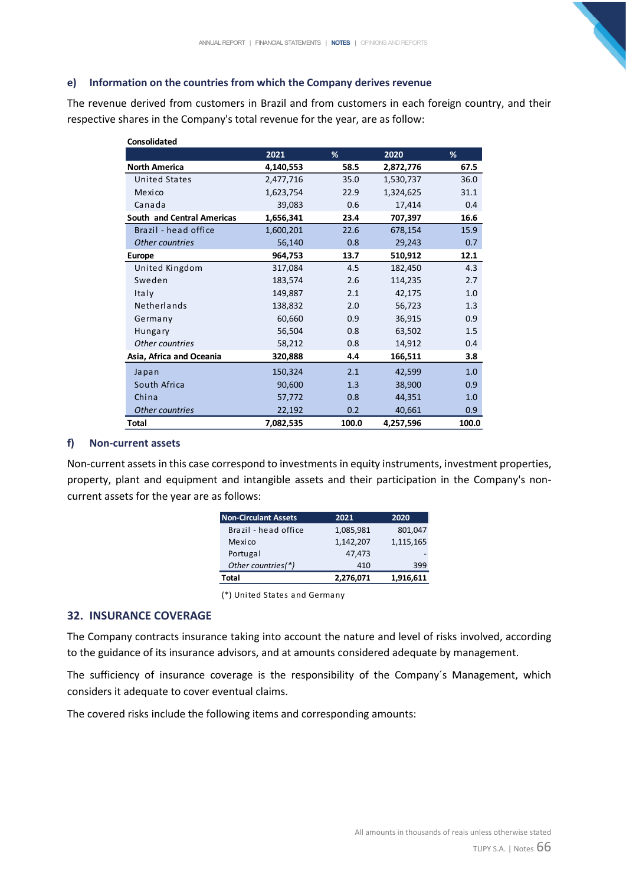#### **e) Information on the countries from which the Company derives revenue**

The revenue derived from customers in Brazil and from customers in each foreign country, and their respective shares in the Company's total revenue for the year, are as follow:

| <b>Consolidated</b>               |           |       |           |       |
|-----------------------------------|-----------|-------|-----------|-------|
|                                   | 2021      | %     | 2020      | %     |
| <b>North America</b>              | 4,140,553 | 58.5  | 2,872,776 | 67.5  |
| <b>United States</b>              | 2,477,716 | 35.0  | 1,530,737 | 36.0  |
| Mexico                            | 1,623,754 | 22.9  | 1,324,625 | 31.1  |
| Canada                            | 39,083    | 0.6   | 17,414    | 0.4   |
| <b>South and Central Americas</b> | 1,656,341 | 23.4  | 707,397   | 16.6  |
| Brazil - head office              | 1,600,201 | 22.6  | 678.154   | 15.9  |
| Other countries                   | 56,140    | 0.8   | 29,243    | 0.7   |
| <b>Europe</b>                     | 964,753   | 13.7  | 510,912   | 12.1  |
| United Kingdom                    | 317,084   | 4.5   | 182,450   | 4.3   |
| Sweden                            | 183,574   | 2.6   | 114,235   | 2.7   |
| Italy                             | 149,887   | 2.1   | 42,175    | 1.0   |
| Netherlands                       | 138,832   | 2.0   | 56,723    | 1.3   |
| Germany                           | 60,660    | 0.9   | 36,915    | 0.9   |
| <b>Hungary</b>                    | 56,504    | 0.8   | 63,502    | 1.5   |
| Other countries                   | 58,212    | 0.8   | 14,912    | 0.4   |
| Asia, Africa and Oceania          | 320,888   | 4.4   | 166,511   | 3.8   |
| Japan                             | 150,324   | 2.1   | 42,599    | 1.0   |
| South Africa                      | 90,600    | 1.3   | 38,900    | 0.9   |
| China                             | 57,772    | 0.8   | 44,351    | 1.0   |
| Other countries                   | 22,192    | 0.2   | 40,661    | 0.9   |
| Total                             | 7,082,535 | 100.0 | 4,257,596 | 100.0 |

#### **f) Non-current assets**

Non-current assets in this case correspond to investments in equity instruments, investment properties, property, plant and equipment and intangible assets and their participation in the Company's noncurrent assets for the year are as follows:

| 399       |
|-----------|
|           |
|           |
| 1,115,165 |
| 801,047   |
| 2020      |
|           |

<sup>(\*)</sup> United States and Germany

#### **32. INSURANCE COVERAGE**

The Company contracts insurance taking into account the nature and level of risks involved, according to the guidance of its insurance advisors, and at amounts considered adequate by management.

The sufficiency of insurance coverage is the responsibility of the Company´s Management, which considers it adequate to cover eventual claims.

The covered risks include the following items and corresponding amounts: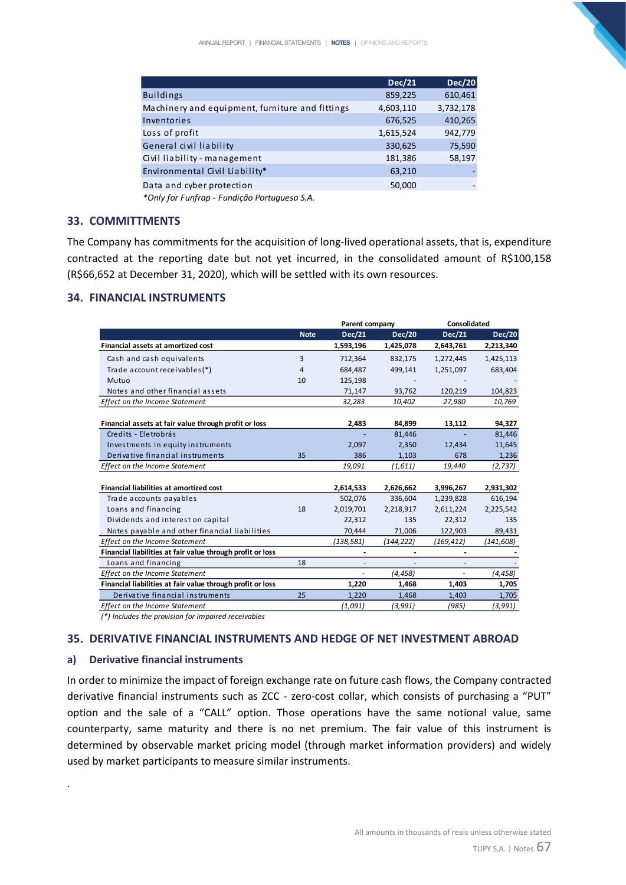|                                                 | <b>Dec/21</b> | <b>Dec/20</b> |
|-------------------------------------------------|---------------|---------------|
| <b>Buildings</b>                                | 859,225       | 610,461       |
| Machinery and equipment, furniture and fittings | 4,603,110     | 3,732,178     |
| Inventories                                     | 676,525       | 410,265       |
| Loss of profit                                  | 1,615,524     | 942,779       |
| General civil liability                         | 330,625       | 75,590        |
| Civil liability - management                    | 181,386       | 58,197        |
| Environmental Civil Liability*                  | 63,210        |               |
| Data and cyber protection                       | 50,000        |               |
|                                                 |               |               |

*\*Only for Funfrap - Fundição Portuguesa S.A.*

#### **33. COMMITTMENTS**

The Company has commitments for the acquisition of long-lived operational assets, that is, expenditure contracted at the reporting date but not yet incurred, in the consolidated amount of R\$100,158 (R\$66,652 at December 31, 2020), which will be settled with its own resources.

## **34. FINANCIAL INSTRUMENTS**

|                                                            |             | Parent company |               | Consolidated |               |
|------------------------------------------------------------|-------------|----------------|---------------|--------------|---------------|
|                                                            | <b>Note</b> | Dec/21         | <b>Dec/20</b> | Dec/21       | <b>Dec/20</b> |
| Financial assets at amortized cost                         |             | 1,593,196      | 1,425,078     | 2,643,761    | 2,213,340     |
| Cash and cash equivalents                                  | 3           | 712,364        | 832,175       | 1,272,445    | 1,425,113     |
| Trade account receivables(*)                               | 4           | 684,487        | 499,141       | 1,251,097    | 683,404       |
| Mutuo                                                      | 10          | 125,198        |               |              |               |
| Notes and other financial assets                           |             | 71,147         | 93,762        | 120,219      | 104,823       |
| <b>Effect on the Income Statement</b>                      |             | 32,283         | 10,402        | 27,980       | 10,769        |
|                                                            |             |                |               |              |               |
| Financial assets at fair value through profit or loss      |             | 2,483          | 84,899        | 13,112       | 94,327        |
| Credits - Eletrobrás                                       |             |                | 81,446        |              | 81,446        |
| Investments in equity instruments                          |             | 2,097          | 2,350         | 12,434       | 11,645        |
| Derivative financial instruments                           | 35          | 386            | 1,103         | 678          | 1,236         |
| <b>Effect on the Income Statement</b>                      |             | 19,091         | (1,611)       | 19,440       | (2,737)       |
|                                                            |             |                |               |              |               |
| <b>Financial liabilities at amortized cost</b>             |             | 2,614,533      | 2,626,662     | 3,996,267    | 2,931,302     |
| Trade accounts payables                                    |             | 502,076        | 336,604       | 1,239,828    | 616,194       |
| Loans and financing                                        | 18          | 2,019,701      | 2,218,917     | 2,611,224    | 2,225,542     |
| Dividends and interest on capital                          |             | 22,312         | 135           | 22,312       | 135           |
| Notes payable and other financial liabilities              |             | 70,444         | 71,006        | 122,903      | 89,431        |
| <b>Effect on the Income Statement</b>                      |             | (138, 581)     | (144,222)     | (169,412)    | (141,608)     |
| Financial liabilities at fair value through profit or loss |             |                |               |              |               |
| Loans and financing                                        | 18          |                |               |              |               |
| <b>Effect on the Income Statement</b>                      |             |                | (4, 458)      |              | (4,458)       |
| Financial liabilities at fair value through profit or loss |             | 1,220          | 1,468         | 1,403        | 1,705         |
| Derivative financial instruments                           | 25          | 1,220          | 1,468         | 1,403        | 1,705         |
| <b>Effect on the Income Statement</b>                      |             | (1,091)        | (3,991)       | (985)        | (3,991)       |

*(\*) Includes the provision for impaired receivables*

#### **35. DERIVATIVE FINANCIAL INSTRUMENTS AND HEDGE OF NET INVESTMENT ABROAD**

#### **a) Derivative financial instruments**

.

In order to minimize the impact of foreign exchange rate on future cash flows, the Company contracted derivative financial instruments such as ZCC - zero-cost collar, which consists of purchasing a "PUT" option and the sale of a "CALL" option. Those operations have the same notional value, same counterparty, same maturity and there is no net premium. The fair value of this instrument is determined by observable market pricing model (through market information providers) and widely used by market participants to measure similar instruments.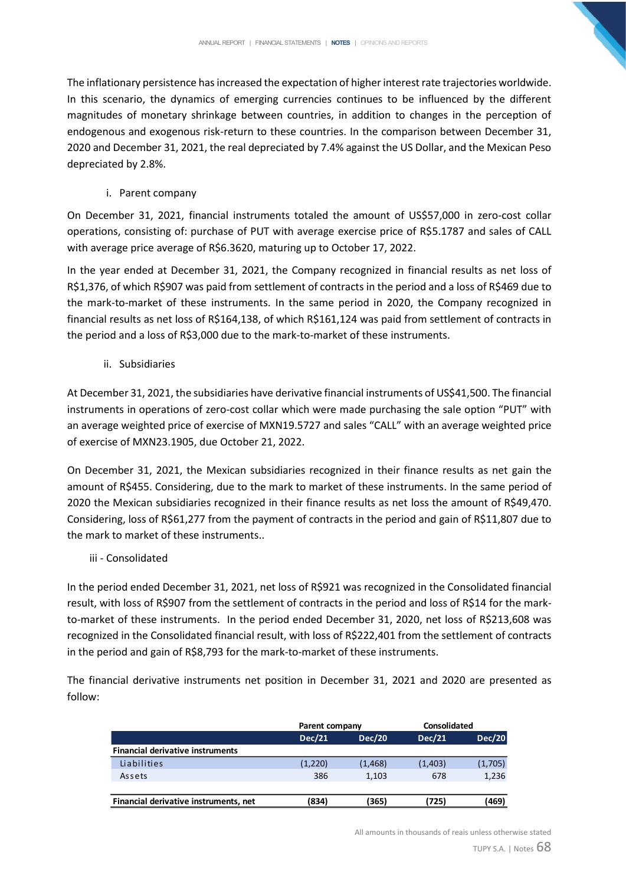The inflationary persistence has increased the expectation of higher interest rate trajectories worldwide. In this scenario, the dynamics of emerging currencies continues to be influenced by the different magnitudes of monetary shrinkage between countries, in addition to changes in the perception of endogenous and exogenous risk-return to these countries. In the comparison between December 31, 2020 and December 31, 2021, the real depreciated by 7.4% against the US Dollar, and the Mexican Peso depreciated by 2.8%.

i. Parent company

On December 31, 2021, financial instruments totaled the amount of US\$57,000 in zero-cost collar operations, consisting of: purchase of PUT with average exercise price of R\$5.1787 and sales of CALL with average price average of R\$6.3620, maturing up to October 17, 2022.

In the year ended at December 31, 2021, the Company recognized in financial results as net loss of R\$1,376, of which R\$907 was paid from settlement of contracts in the period and a loss of R\$469 due to the mark-to-market of these instruments. In the same period in 2020, the Company recognized in financial results as net loss of R\$164,138, of which R\$161,124 was paid from settlement of contracts in the period and a loss of R\$3,000 due to the mark-to-market of these instruments.

ii. Subsidiaries

At December 31, 2021, the subsidiaries have derivative financial instruments of US\$41,500. The financial instruments in operations of zero-cost collar which were made purchasing the sale option "PUT" with an average weighted price of exercise of MXN19.5727 and sales "CALL" with an average weighted price of exercise of MXN23.1905, due October 21, 2022.

On December 31, 2021, the Mexican subsidiaries recognized in their finance results as net gain the amount of R\$455. Considering, due to the mark to market of these instruments. In the same period of 2020 the Mexican subsidiaries recognized in their finance results as net loss the amount of R\$49,470. Considering, loss of R\$61,277 from the payment of contracts in the period and gain of R\$11,807 due to the mark to market of these instruments..

## iii - Consolidated

In the period ended December 31, 2021, net loss of R\$921 was recognized in the Consolidated financial result, with loss of R\$907 from the settlement of contracts in the period and loss of R\$14 for the markto-market of these instruments. In the period ended December 31, 2020, net loss of R\$213,608 was recognized in the Consolidated financial result, with loss of R\$222,401 from the settlement of contracts in the period and gain of R\$8,793 for the mark-to-market of these instruments.

The financial derivative instruments net position in December 31, 2021 and 2020 are presented as follow:

|                                         | Parent company |               | <b>Consolidated</b> |               |
|-----------------------------------------|----------------|---------------|---------------------|---------------|
|                                         | <b>Dec/21</b>  | <b>Dec/20</b> | <b>Dec/21</b>       | <b>Dec/20</b> |
| <b>Financial derivative instruments</b> |                |               |                     |               |
| Liabilities                             | (1,220)        | (1, 468)      | (1,403)             | (1,705)       |
| Assets                                  | 386            | 1,103         | 678                 | 1,236         |
|                                         |                |               |                     |               |
| Financial derivative instruments, net   | (834)          | (365)         | (725)               | (469)         |

All amounts in thousands of reais unless otherwise stated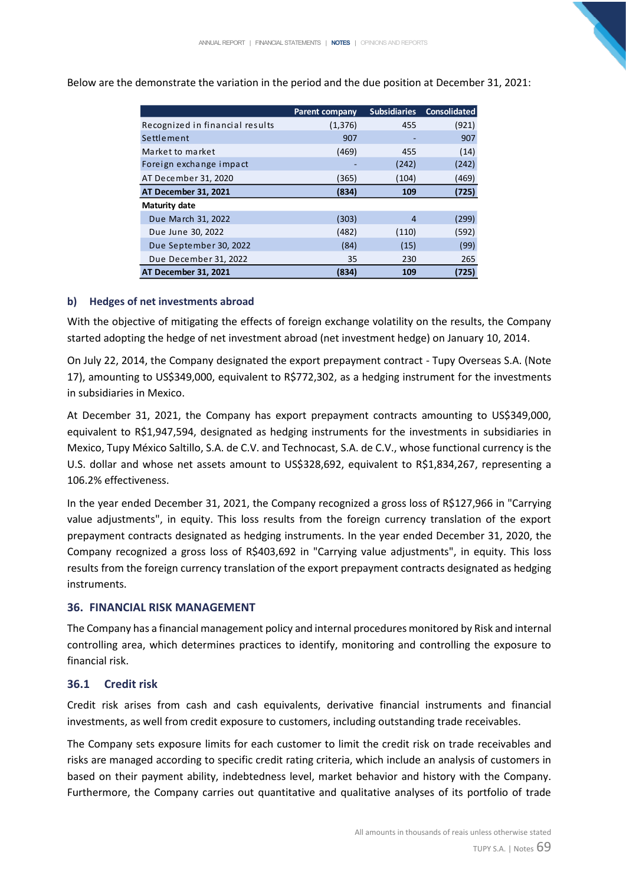|                                 | <b>Parent company</b> | <b>Subsidiaries</b> | <b>Consolidated</b> |
|---------------------------------|-----------------------|---------------------|---------------------|
| Recognized in financial results | (1, 376)              | 455                 | (921)               |
| Settlement                      | 907                   |                     | 907                 |
| Market to market                | (469)                 | 455                 | (14)                |
| Foreign exchange impact         |                       | (242)               | (242)               |
| AT December 31, 2020            | (365)                 | (104)               | (469)               |
| AT December 31, 2021            | (834)                 | 109                 | (725)               |
| <b>Maturity date</b>            |                       |                     |                     |
| Due March 31, 2022              | (303)                 | 4                   | (299)               |
| Due June 30, 2022               | (482)                 | (110)               | (592)               |
| Due September 30, 2022          | (84)                  | (15)                | (99)                |
| Due December 31, 2022           | 35                    | 230                 | 265                 |
| <b>AT December 31, 2021</b>     | (834)                 | 109                 | (725)               |

Below are the demonstrate the variation in the period and the due position at December 31, 2021:

## **b) Hedges of net investments abroad**

With the objective of mitigating the effects of foreign exchange volatility on the results, the Company started adopting the hedge of net investment abroad (net investment hedge) on January 10, 2014.

On July 22, 2014, the Company designated the export prepayment contract - Tupy Overseas S.A. (Note 17), amounting to US\$349,000, equivalent to R\$772,302, as a hedging instrument for the investments in subsidiaries in Mexico.

At December 31, 2021, the Company has export prepayment contracts amounting to US\$349,000, equivalent to R\$1,947,594, designated as hedging instruments for the investments in subsidiaries in Mexico, Tupy México Saltillo, S.A. de C.V. and Technocast, S.A. de C.V., whose functional currency is the U.S. dollar and whose net assets amount to US\$328,692, equivalent to R\$1,834,267, representing a 106.2% effectiveness.

In the year ended December 31, 2021, the Company recognized a gross loss of R\$127,966 in "Carrying value adjustments", in equity. This loss results from the foreign currency translation of the export prepayment contracts designated as hedging instruments. In the year ended December 31, 2020, the Company recognized a gross loss of R\$403,692 in "Carrying value adjustments", in equity. This loss results from the foreign currency translation of the export prepayment contracts designated as hedging instruments.

## **36. FINANCIAL RISK MANAGEMENT**

The Company has a financial management policy and internal procedures monitored by Risk and internal controlling area, which determines practices to identify, monitoring and controlling the exposure to financial risk.

#### **36.1 Credit risk**

Credit risk arises from cash and cash equivalents, derivative financial instruments and financial investments, as well from credit exposure to customers, including outstanding trade receivables.

The Company sets exposure limits for each customer to limit the credit risk on trade receivables and risks are managed according to specific credit rating criteria, which include an analysis of customers in based on their payment ability, indebtedness level, market behavior and history with the Company. Furthermore, the Company carries out quantitative and qualitative analyses of its portfolio of trade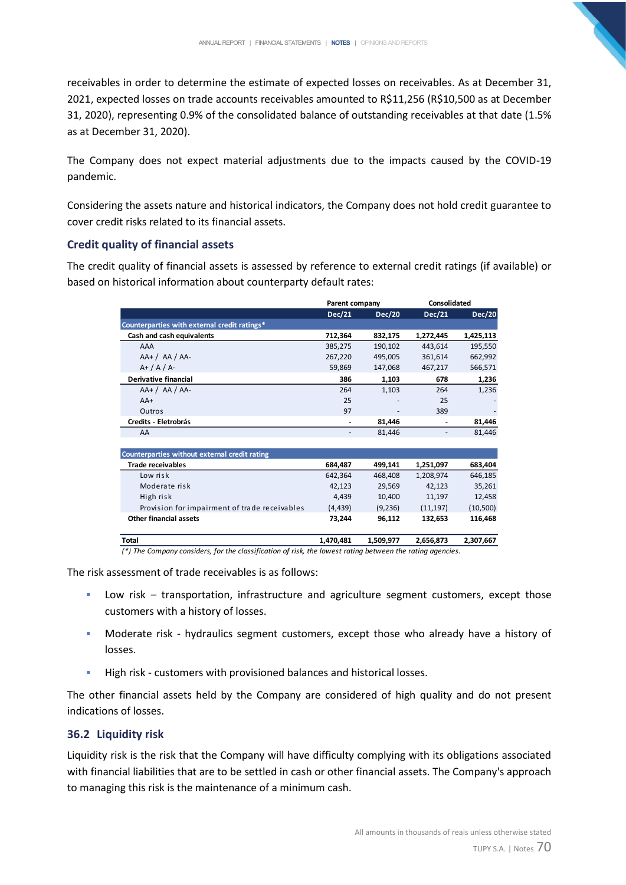receivables in order to determine the estimate of expected losses on receivables. As at December 31, 2021, expected losses on trade accounts receivables amounted to R\$11,256 (R\$10,500 as at December 31, 2020), representing 0.9% of the consolidated balance of outstanding receivables at that date (1.5% as at December 31, 2020).

The Company does not expect material adjustments due to the impacts caused by the COVID-19 pandemic.

Considering the assets nature and historical indicators, the Company does not hold credit guarantee to cover credit risks related to its financial assets.

## **Credit quality of financial assets**

The credit quality of financial assets is assessed by reference to external credit ratings (if available) or based on historical information about counterparty default rates:

| Parent company           |           | Consolidated             |           |
|--------------------------|-----------|--------------------------|-----------|
| Dec/21                   | Dec/20    | Dec/21                   | Dec/20    |
|                          |           |                          |           |
| 712.364                  | 832,175   | 1,272,445                | 1,425,113 |
| 385,275                  | 190,102   | 443.614                  | 195,550   |
| 267,220                  | 495,005   | 361,614                  | 662,992   |
| 59.869                   | 147,068   | 467,217                  | 566,571   |
| 386                      | 1,103     | 678                      | 1,236     |
| 264                      | 1,103     | 264                      | 1,236     |
| 25                       |           | 25                       |           |
| 97                       |           | 389                      |           |
|                          | 81,446    | $\overline{\phantom{a}}$ | 81,446    |
| $\overline{\phantom{a}}$ | 81,446    |                          | 81,446    |
|                          |           |                          |           |
|                          |           |                          |           |
| 684,487                  | 499,141   | 1,251,097                | 683,404   |
| 642,364                  | 468,408   | 1,208,974                | 646,185   |
| 42,123                   | 29,569    | 42,123                   | 35,261    |
| 4,439                    | 10,400    | 11,197                   | 12,458    |
| (4, 439)                 | (9,236)   | (11, 197)                | (10, 500) |
| 73,244                   | 96,112    | 132,653                  | 116,468   |
|                          |           |                          |           |
| 1,470,481                | 1,509,977 | 2,656,873                | 2,307,667 |
|                          |           |                          |           |

*(\*) The Company considers, for the classification of risk, the lowest rating between the rating agencies.*

The risk assessment of trade receivables is as follows:

- Low risk transportation, infrastructure and agriculture segment customers, except those customers with a history of losses.
- **■** Moderate risk hydraulics segment customers, except those who already have a history of losses.
- High risk customers with provisioned balances and historical losses.

The other financial assets held by the Company are considered of high quality and do not present indications of losses.

## **36.2 Liquidity risk**

Liquidity risk is the risk that the Company will have difficulty complying with its obligations associated with financial liabilities that are to be settled in cash or other financial assets. The Company's approach to managing this risk is the maintenance of a minimum cash.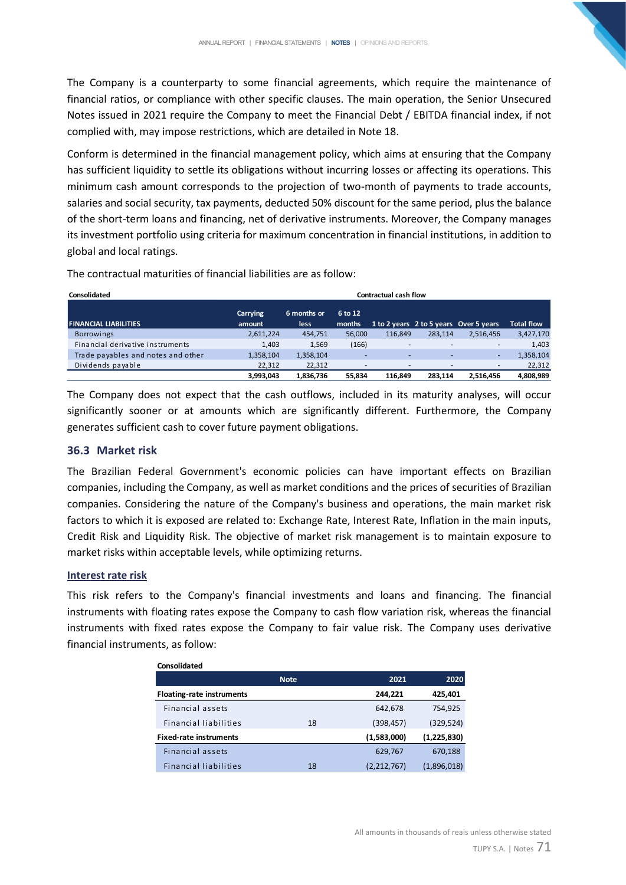The Company is a counterparty to some financial agreements, which require the maintenance of financial ratios, or compliance with other specific clauses. The main operation, the Senior Unsecured Notes issued in 2021 require the Company to meet the Financial Debt / EBITDA financial index, if not complied with, may impose restrictions, which are detailed in Note 18.

Conform is determined in the financial management policy, which aims at ensuring that the Company has sufficient liquidity to settle its obligations without incurring losses or affecting its operations. This minimum cash amount corresponds to the projection of two-month of payments to trade accounts, salaries and social security, tax payments, deducted 50% discount for the same period, plus the balance of the short-term loans and financing, net of derivative instruments. Moreover, the Company manages its investment portfolio using criteria for maximum concentration in financial institutions, in addition to global and local ratings.

| Consolidated                       | <b>Contractual cash flow</b> |                     |                   |         |         |                                        |                   |
|------------------------------------|------------------------------|---------------------|-------------------|---------|---------|----------------------------------------|-------------------|
| <b>FINANCIAL LIABILITIES</b>       | Carrying<br>amount           | 6 months or<br>less | 6 to 12<br>months |         |         | 1 to 2 years 2 to 5 years Over 5 years | <b>Total flow</b> |
| <b>Borrowings</b>                  | 2,611,224                    | 454,751             | 56,000            | 116.849 | 283.114 | 2.516.456                              | 3,427,170         |
| Financial derivative instruments   | 1,403                        | 1,569               | (166)             | -       | ۰       | $\overline{\phantom{a}}$               | 1,403             |
| Trade payables and notes and other | 1,358,104                    | 1,358,104           | ٠                 |         |         | ۰                                      | 1,358,104         |
| Dividends payable                  | 22,312                       | 22,312              | ۰                 |         |         | $\overline{\phantom{a}}$               | 22,312            |
|                                    | 3,993,043                    | 1,836,736           | 55.834            | 116.849 | 283.114 | 2,516,456                              | 4,808,989         |

The contractual maturities of financial liabilities are as follow:

The Company does not expect that the cash outflows, included in its maturity analyses, will occur significantly sooner or at amounts which are significantly different. Furthermore, the Company generates sufficient cash to cover future payment obligations.

#### **36.3 Market risk**

The Brazilian Federal Government's economic policies can have important effects on Brazilian companies, including the Company, as well as market conditions and the prices of securities of Brazilian companies. Considering the nature of the Company's business and operations, the main market risk factors to which it is exposed are related to: Exchange Rate, Interest Rate, Inflation in the main inputs, Credit Risk and Liquidity Risk. The objective of market risk management is to maintain exposure to market risks within acceptable levels, while optimizing returns.

## **Interest rate risk**

**Consolidated**

This risk refers to the Company's financial investments and loans and financing. The financial instruments with floating rates expose the Company to cash flow variation risk, whereas the financial instruments with fixed rates expose the Company to fair value risk. The Company uses derivative financial instruments, as follow:

| consolidated                     |             |             |             |
|----------------------------------|-------------|-------------|-------------|
|                                  | <b>Note</b> | 2021        | 2020        |
| <b>Floating-rate instruments</b> |             | 244,221     | 425,401     |
| Financial assets                 |             | 642,678     | 754,925     |
| <b>Financial liabilities</b>     | 18          | (398, 457)  | (329, 524)  |
| <b>Fixed-rate instruments</b>    |             | (1,583,000) | (1,225,830) |
| Financial assets                 |             | 629,767     | 670,188     |
| <b>Financial liabilities</b>     | 18          | (2,212,767) | (1,896,018) |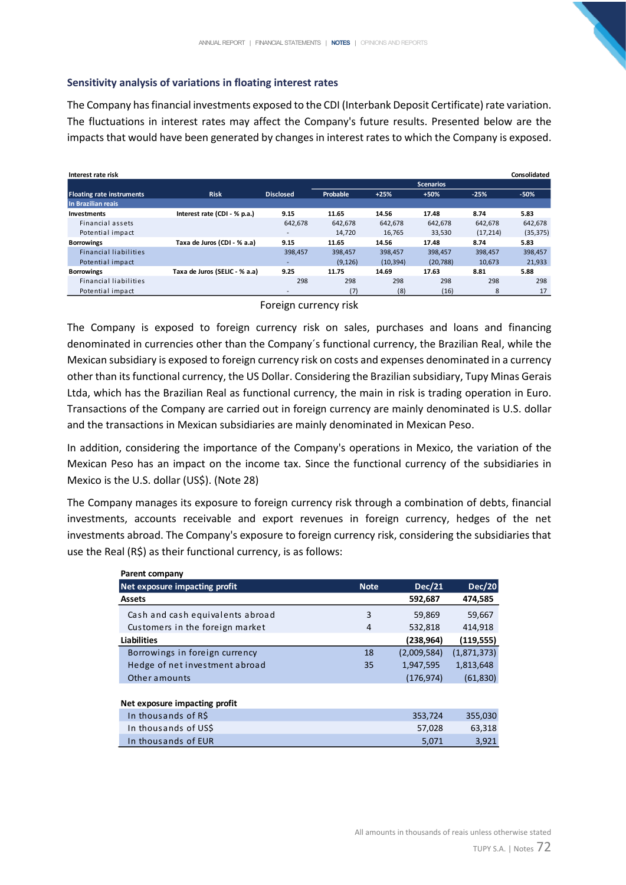#### **Sensitivity analysis of variations in floating interest rates**

The Company has financial investments exposed to the CDI (Interbank Deposit Certificate) rate variation. The fluctuations in interest rates may affect the Company's future results. Presented below are the impacts that would have been generated by changes in interest rates to which the Company is exposed.

| Interest rate risk               |                               |                          |          |           |                  |           | Consolidated |
|----------------------------------|-------------------------------|--------------------------|----------|-----------|------------------|-----------|--------------|
|                                  |                               |                          |          |           | <b>Scenarios</b> |           |              |
| <b>Floating rate instruments</b> | <b>Risk</b>                   | <b>Disclosed</b>         | Probable | $+25%$    | $+50%$           | $-25%$    | $-50%$       |
| In Brazilian reais               |                               |                          |          |           |                  |           |              |
| <b>Investments</b>               | Interest rate (CDI - % p.a.)  | 9.15                     | 11.65    | 14.56     | 17.48            | 8.74      | 5.83         |
| Financial assets                 |                               | 642.678                  | 642.678  | 642.678   | 642.678          | 642.678   | 642.678      |
| Potential impact                 |                               | $\overline{\phantom{a}}$ | 14.720   | 16.765    | 33,530           | (17, 214) | (35, 375)    |
| <b>Borrowings</b>                | Taxa de Juros (CDI - % a.a)   | 9.15                     | 11.65    | 14.56     | 17.48            | 8.74      | 5.83         |
| <b>Financial liabilities</b>     |                               | 398.457                  | 398,457  | 398,457   | 398,457          | 398.457   | 398,457      |
| Potential impact                 |                               | $\overline{\phantom{0}}$ | (9, 126) | (10, 394) | (20, 788)        | 10.673    | 21,933       |
| <b>Borrowings</b>                | Taxa de Juros (SELIC - % a.a) | 9.25                     | 11.75    | 14.69     | 17.63            | 8.81      | 5.88         |
| <b>Financial liabilities</b>     |                               | 298                      | 298      | 298       | 298              | 298       | 298          |
| Potential impact                 |                               | $\overline{\phantom{a}}$ | (7)      | (8)       | (16)             | 8         | 17           |

Foreign currency risk

The Company is exposed to foreign currency risk on sales, purchases and loans and financing denominated in currencies other than the Company´s functional currency, the Brazilian Real, while the Mexican subsidiary is exposed to foreign currency risk on costs and expenses denominated in a currency other than its functional currency, the US Dollar. Considering the Brazilian subsidiary, Tupy Minas Gerais Ltda, which has the Brazilian Real as functional currency, the main in risk is trading operation in Euro. Transactions of the Company are carried out in foreign currency are mainly denominated is U.S. dollar and the transactions in Mexican subsidiaries are mainly denominated in Mexican Peso.

In addition, considering the importance of the Company's operations in Mexico, the variation of the Mexican Peso has an impact on the income tax. Since the functional currency of the subsidiaries in Mexico is the U.S. dollar (US\$). (Note 28)

The Company manages its exposure to foreign currency risk through a combination of debts, financial investments, accounts receivable and export revenues in foreign currency, hedges of the net investments abroad. The Company's exposure to foreign currency risk, considering the subsidiaries that use the Real (R\$) as their functional currency, is as follows:

| Parent company                   |             |               |               |
|----------------------------------|-------------|---------------|---------------|
| Net exposure impacting profit    | <b>Note</b> | <b>Dec/21</b> | <b>Dec/20</b> |
| <b>Assets</b>                    |             | 592,687       | 474,585       |
| Cash and cash equivalents abroad | 3           | 59,869        | 59,667        |
| Customers in the foreign market  | 4           | 532,818       | 414,918       |
| <b>Liabilities</b>               |             | (238,964)     | (119, 555)    |
| Borrowings in foreign currency   | 18          | (2,009,584)   | (1,871,373)   |
| Hedge of net investment abroad   | 35          | 1,947,595     | 1,813,648     |
| Other amounts                    |             | (176, 974)    | (61, 830)     |
|                                  |             |               |               |
| Net exposure impacting profit    |             |               |               |
| In thousands of R\$              |             | 353,724       | 355,030       |
| In thousands of USS              |             | 57,028        | 63,318        |
| In thousands of EUR              |             | 5,071         | 3,921         |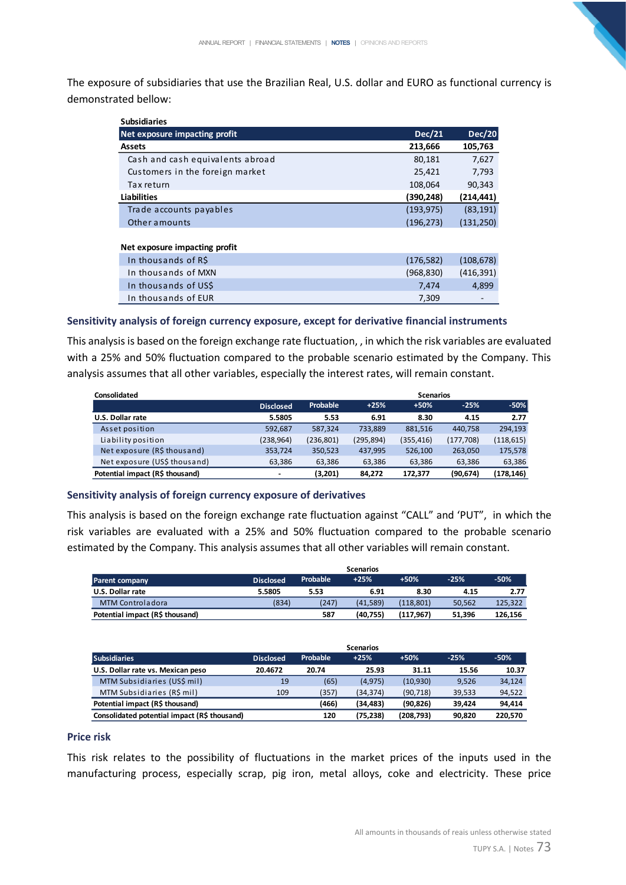The exposure of subsidiaries that use the Brazilian Real, U.S. dollar and EURO as functional currency is demonstrated bellow:

| <b>Subsidiaries</b>              |               |               |
|----------------------------------|---------------|---------------|
| Net exposure impacting profit    | <b>Dec/21</b> | <b>Dec/20</b> |
| <b>Assets</b>                    | 213,666       | 105,763       |
| Cash and cash equivalents abroad | 80,181        | 7,627         |
| Customers in the foreign market  | 25,421        | 7,793         |
| Tax return                       | 108,064       | 90,343        |
| <b>Liabilities</b>               | (390, 248)    | (214, 441)    |
| Trade accounts payables          | (193, 975)    | (83, 191)     |
| Other amounts                    | (196, 273)    | (131, 250)    |
|                                  |               |               |
| Net exposure impacting profit    |               |               |
| In thousands of R\$              | (176, 582)    | (108, 678)    |
| In thousands of MXN              | (968, 830)    | (416, 391)    |
| In thousands of USS              | 7,474         | 4,899         |
| In thousands of EUR              | 7,309         |               |

#### **Sensitivity analysis of foreign currency exposure, except for derivative financial instruments**

This analysis is based on the foreign exchange rate fluctuation, , in which the risk variables are evaluated with a 25% and 50% fluctuation compared to the probable scenario estimated by the Company. This analysis assumes that all other variables, especially the interest rates, will remain constant.

| Consolidated                    |                  | <b>Scenarios</b> |            |            |            |            |
|---------------------------------|------------------|------------------|------------|------------|------------|------------|
|                                 | <b>Disclosed</b> | Probable         | $+25%$     | $+50%$     | $-25%$     | $-50%$     |
| <b>U.S. Dollar rate</b>         | 5.5805           | 5.53             | 6.91       | 8.30       | 4.15       | 2.77       |
| Asset position                  | 592,687          | 587,324          | 733,889    | 881,516    | 440.758    | 294,193    |
| Liability position              | (238, 964)       | (236, 801)       | (295, 894) | (355, 416) | (177, 708) | (118, 615) |
| Net exposure (R\$ thousand)     | 353,724          | 350,523          | 437,995    | 526,100    | 263,050    | 175,578    |
| Net exposure (US\$ thousand)    | 63,386           | 63,386           | 63,386     | 63,386     | 63,386     | 63,386     |
| Potential impact (R\$ thousand) | $\blacksquare$   | (3,201)          | 84,272     | 172,377    | (90,674)   | (178, 146) |

## **Sensitivity analysis of foreign currency exposure of derivatives**

This analysis is based on the foreign exchange rate fluctuation against "CALL" and 'PUT", in which the risk variables are evaluated with a 25% and 50% fluctuation compared to the probable scenario estimated by the Company. This analysis assumes that all other variables will remain constant.

|                                 |                  |          | Scenarios |           |        |         |
|---------------------------------|------------------|----------|-----------|-----------|--------|---------|
| <b>Parent company</b>           | <b>Disclosed</b> | Probable | $+25%$    | $+50%$    | $-25%$ | $-50%$  |
| U.S. Dollar rate                | 5.5805           | 5.53     | 6.91      | 8.30      | 4.15   | 2.77    |
| MTM Controladora                | (834)            | (247)    | (41.589)  | (118.801) | 50.562 | 125.322 |
| Potential impact (R\$ thousand) |                  | 587      | (40.755)  | (117.967) | 51.396 | 126.156 |

|                                              |                  |          | <b>Scenarios</b> |           |        |         |
|----------------------------------------------|------------------|----------|------------------|-----------|--------|---------|
| <b>Subsidiaries</b>                          | <b>Disclosed</b> | Probable | $+25%$           | $+50%$    | $-25%$ | $-50%$  |
| U.S. Dollar rate vs. Mexican peso            | 20.4672          | 20.74    | 25.93            | 31.11     | 15.56  | 10.37   |
| MTM Subsidiaries (US\$ mil)                  | 19               | (65)     | (4,975)          | (10,930)  | 9,526  | 34,124  |
| MTM Subsidiaries (R\$ mil)                   | 109              | (357)    | (34.374)         | (90, 718) | 39,533 | 94,522  |
| Potential impact (R\$ thousand)              |                  | (466)    | (34,483)         | (90, 826) | 39.424 | 94,414  |
| Consolidated potential impact (R\$ thousand) |                  | 120      | (75,238)         | (208,793) | 90,820 | 220.570 |

#### **Price risk**

This risk relates to the possibility of fluctuations in the market prices of the inputs used in the manufacturing process, especially scrap, pig iron, metal alloys, coke and electricity. These price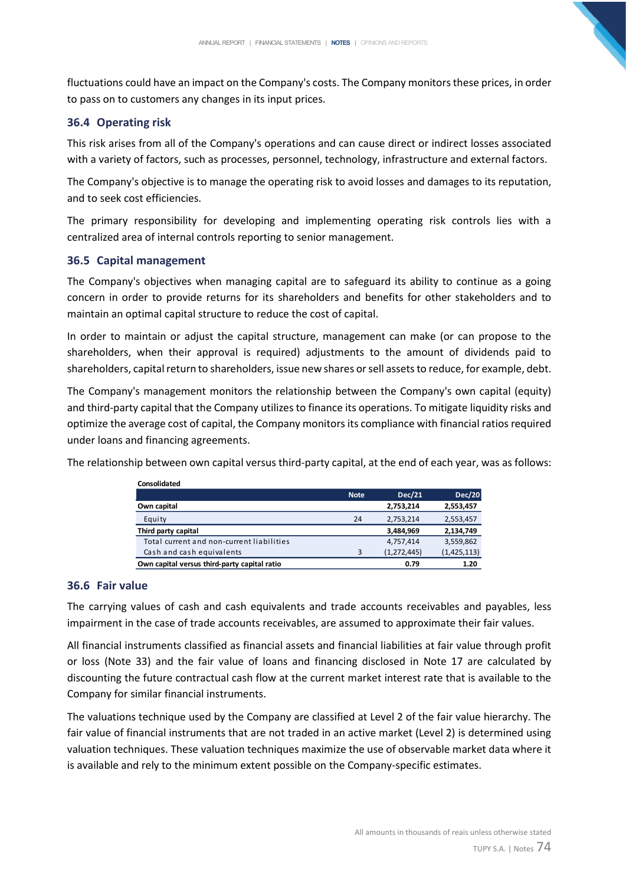fluctuations could have an impact on the Company's costs. The Company monitors these prices, in order to pass on to customers any changes in its input prices.

# **36.4 Operating risk**

This risk arises from all of the Company's operations and can cause direct or indirect losses associated with a variety of factors, such as processes, personnel, technology, infrastructure and external factors.

The Company's objective is to manage the operating risk to avoid losses and damages to its reputation, and to seek cost efficiencies.

The primary responsibility for developing and implementing operating risk controls lies with a centralized area of internal controls reporting to senior management.

# **36.5 Capital management**

The Company's objectives when managing capital are to safeguard its ability to continue as a going concern in order to provide returns for its shareholders and benefits for other stakeholders and to maintain an optimal capital structure to reduce the cost of capital.

In order to maintain or adjust the capital structure, management can make (or can propose to the shareholders, when their approval is required) adjustments to the amount of dividends paid to shareholders, capital return to shareholders, issue new shares or sell assets to reduce, for example, debt.

The Company's management monitors the relationship between the Company's own capital (equity) and third-party capital that the Company utilizes to finance its operations. To mitigate liquidity risks and optimize the average cost of capital, the Company monitors its compliance with financial ratios required under loans and financing agreements.

The relationship between own capital versus third-party capital, at the end of each year, was as follows:

| Consolidated                                 |             |               |               |
|----------------------------------------------|-------------|---------------|---------------|
|                                              | <b>Note</b> | <b>Dec/21</b> | <b>Dec/20</b> |
| Own capital                                  |             | 2,753,214     | 2,553,457     |
| Equity                                       | 24          | 2,753,214     | 2,553,457     |
| Third party capital                          |             | 3,484,969     | 2,134,749     |
| Total current and non-current liabilities    |             | 4,757,414     | 3,559,862     |
| Cash and cash equivalents                    | 3           | (1,272,445)   | (1,425,113)   |
| Own capital versus third-party capital ratio |             | 0.79          | 1.20          |

# **36.6 Fair value**

The carrying values of cash and cash equivalents and trade accounts receivables and payables, less impairment in the case of trade accounts receivables, are assumed to approximate their fair values.

All financial instruments classified as financial assets and financial liabilities at fair value through profit or loss (Note 33) and the fair value of loans and financing disclosed in Note 17 are calculated by discounting the future contractual cash flow at the current market interest rate that is available to the Company for similar financial instruments.

The valuations technique used by the Company are classified at Level 2 of the fair value hierarchy. The fair value of financial instruments that are not traded in an active market (Level 2) is determined using valuation techniques. These valuation techniques maximize the use of observable market data where it is available and rely to the minimum extent possible on the Company-specific estimates.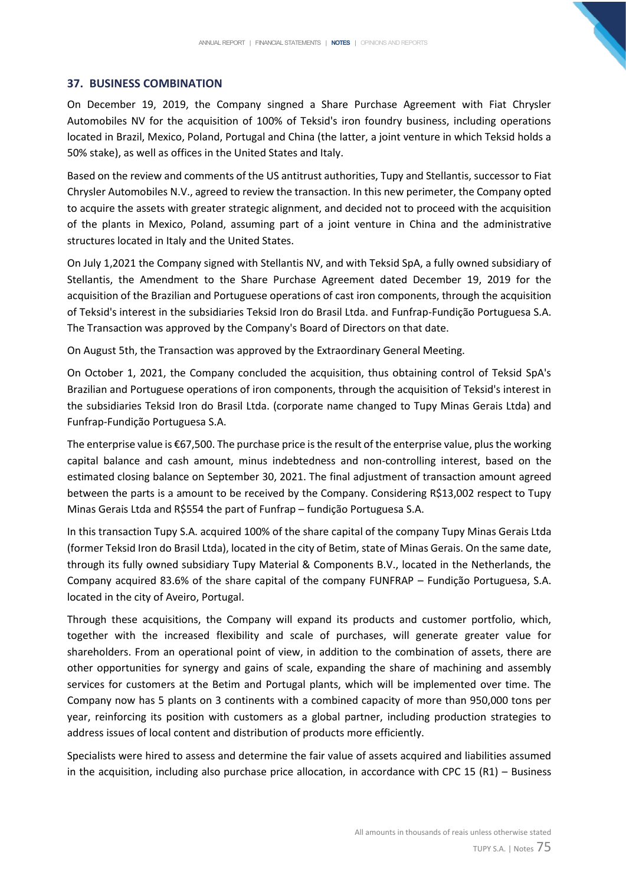### **37. BUSINESS COMBINATION**

On December 19, 2019, the Company singned a Share Purchase Agreement with Fiat Chrysler Automobiles NV for the acquisition of 100% of Teksid's iron foundry business, including operations located in Brazil, Mexico, Poland, Portugal and China (the latter, a joint venture in which Teksid holds a 50% stake), as well as offices in the United States and Italy.

Based on the review and comments of the US antitrust authorities, Tupy and Stellantis, successor to Fiat Chrysler Automobiles N.V., agreed to review the transaction. In this new perimeter, the Company opted to acquire the assets with greater strategic alignment, and decided not to proceed with the acquisition of the plants in Mexico, Poland, assuming part of a joint venture in China and the administrative structures located in Italy and the United States.

On July 1,2021 the Company signed with Stellantis NV, and with Teksid SpA, a fully owned subsidiary of Stellantis, the Amendment to the Share Purchase Agreement dated December 19, 2019 for the acquisition of the Brazilian and Portuguese operations of cast iron components, through the acquisition of Teksid's interest in the subsidiaries Teksid Iron do Brasil Ltda. and Funfrap-Fundição Portuguesa S.A. The Transaction was approved by the Company's Board of Directors on that date.

On August 5th, the Transaction was approved by the Extraordinary General Meeting.

On October 1, 2021, the Company concluded the acquisition, thus obtaining control of Teksid SpA's Brazilian and Portuguese operations of iron components, through the acquisition of Teksid's interest in the subsidiaries Teksid Iron do Brasil Ltda. (corporate name changed to Tupy Minas Gerais Ltda) and Funfrap-Fundição Portuguesa S.A.

The enterprise value is €67,500. The purchase price is the result of the enterprise value, plus the working capital balance and cash amount, minus indebtedness and non-controlling interest, based on the estimated closing balance on September 30, 2021. The final adjustment of transaction amount agreed between the parts is a amount to be received by the Company. Considering R\$13,002 respect to Tupy Minas Gerais Ltda and R\$554 the part of Funfrap – fundição Portuguesa S.A.

In this transaction Tupy S.A. acquired 100% of the share capital of the company Tupy Minas Gerais Ltda (former Teksid Iron do Brasil Ltda), located in the city of Betim, state of Minas Gerais. On the same date, through its fully owned subsidiary Tupy Material & Components B.V., located in the Netherlands, the Company acquired 83.6% of the share capital of the company FUNFRAP – Fundição Portuguesa, S.A. located in the city of Aveiro, Portugal.

Through these acquisitions, the Company will expand its products and customer portfolio, which, together with the increased flexibility and scale of purchases, will generate greater value for shareholders. From an operational point of view, in addition to the combination of assets, there are other opportunities for synergy and gains of scale, expanding the share of machining and assembly services for customers at the Betim and Portugal plants, which will be implemented over time. The Company now has 5 plants on 3 continents with a combined capacity of more than 950,000 tons per year, reinforcing its position with customers as a global partner, including production strategies to address issues of local content and distribution of products more efficiently.

Specialists were hired to assess and determine the fair value of assets acquired and liabilities assumed in the acquisition, including also purchase price allocation, in accordance with CPC 15 (R1) – Business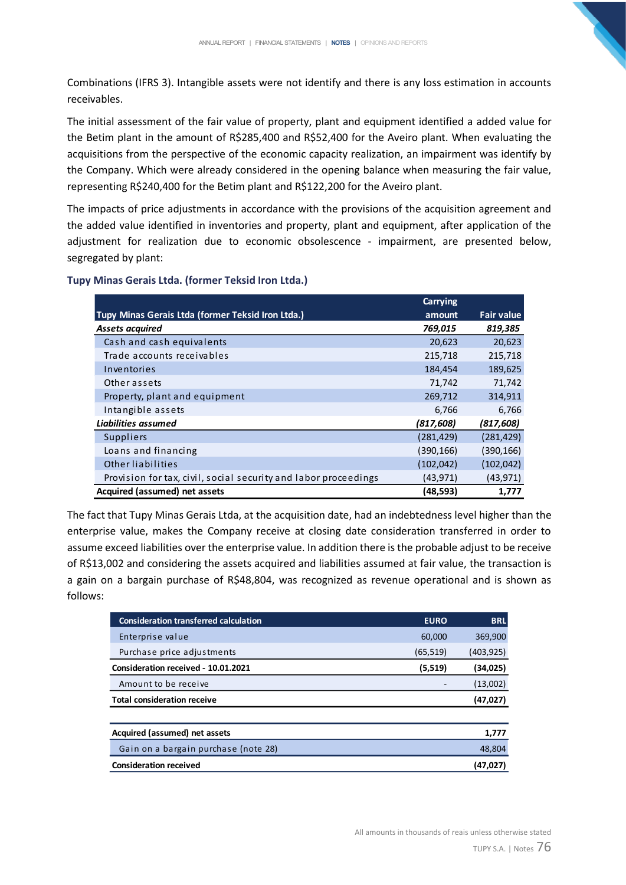Combinations (IFRS 3). Intangible assets were not identify and there is any loss estimation in accounts receivables.

The initial assessment of the fair value of property, plant and equipment identified a added value for the Betim plant in the amount of R\$285,400 and R\$52,400 for the Aveiro plant. When evaluating the acquisitions from the perspective of the economic capacity realization, an impairment was identify by the Company. Which were already considered in the opening balance when measuring the fair value, representing R\$240,400 for the Betim plant and R\$122,200 for the Aveiro plant.

The impacts of price adjustments in accordance with the provisions of the acquisition agreement and the added value identified in inventories and property, plant and equipment, after application of the adjustment for realization due to economic obsolescence - impairment, are presented below, segregated by plant:

|  | Tupy Minas Gerais Ltda. (former Teksid Iron Ltda.) |  |  |  |
|--|----------------------------------------------------|--|--|--|
|--|----------------------------------------------------|--|--|--|

|                                                                 | Carrying   |                   |
|-----------------------------------------------------------------|------------|-------------------|
| Tupy Minas Gerais Ltda (former Teksid Iron Ltda.)               | amount     | <b>Fair value</b> |
| <b>Assets acquired</b>                                          | 769,015    | 819,385           |
| Cash and cash equivalents                                       | 20,623     | 20,623            |
| Trade accounts receivables                                      | 215,718    | 215,718           |
| Inventories                                                     | 184,454    | 189,625           |
| Other assets                                                    | 71,742     | 71,742            |
| Property, plant and equipment                                   | 269,712    | 314,911           |
| Intangible assets                                               | 6,766      | 6,766             |
| Liabilities assumed                                             | (817, 608) | (817, 608)        |
| <b>Suppliers</b>                                                | (281, 429) | (281,429)         |
| Loans and financing                                             | (390, 166) | (390,166)         |
| <b>Other liabilities</b>                                        | (102, 042) | (102,042)         |
| Provision for tax, civil, social security and labor proceedings | (43, 971)  | (43,971)          |
| Acquired (assumed) net assets                                   | (48,593)   | 1,777             |

The fact that Tupy Minas Gerais Ltda, at the acquisition date, had an indebtedness level higher than the enterprise value, makes the Company receive at closing date consideration transferred in order to assume exceed liabilities over the enterprise value. In addition there is the probable adjust to be receive of R\$13,002 and considering the assets acquired and liabilities assumed at fair value, the transaction is a gain on a bargain purchase of R\$48,804, was recognized as revenue operational and is shown as follows:

| <b>Consideration transferred calculation</b> | <b>EURO</b> | <b>BRL</b> |
|----------------------------------------------|-------------|------------|
| Enterprise value                             | 60,000      | 369,900    |
| Purchase price adjustments                   | (65, 519)   | (403, 925) |
| Consideration received - 10.01.2021          | (5,519)     | (34,025)   |
| Amount to be receive                         |             | (13,002)   |
| <b>Total consideration receive</b>           |             | (47, 027)  |
|                                              |             |            |
| Acquired (assumed) net assets                |             | 1,777      |
| Gain on a bargain purchase (note 28)         |             | 48,804     |
| <b>Consideration received</b>                |             | (47,027)   |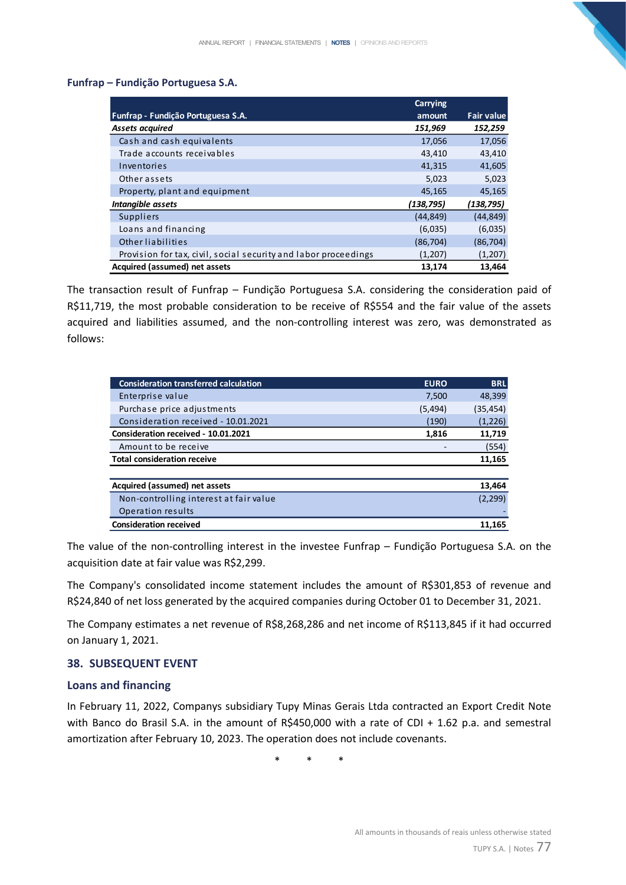## **Funfrap – Fundição Portuguesa S.A.**

|                                                                 | Carrying   |                   |
|-----------------------------------------------------------------|------------|-------------------|
| Funfrap - Fundição Portuguesa S.A.                              | amount     | <b>Fair value</b> |
| <b>Assets acquired</b>                                          | 151,969    | 152,259           |
| Cash and cash equivalents                                       | 17,056     | 17,056            |
| Trade accounts receivables                                      | 43,410     | 43,410            |
| Inventories                                                     | 41,315     | 41,605            |
| Other assets                                                    | 5,023      | 5,023             |
| Property, plant and equipment                                   | 45,165     | 45,165            |
| Intangible assets                                               | (138, 795) | (138, 795)        |
| Suppliers                                                       | (44, 849)  | (44, 849)         |
| Loans and financing                                             | (6,035)    | (6,035)           |
| Other liabilities                                               | (86, 704)  | (86, 704)         |
| Provision for tax, civil, social security and labor proceedings | (1,207)    | (1,207)           |
| Acquired (assumed) net assets                                   | 13,174     | 13,464            |

The transaction result of Funfrap – Fundição Portuguesa S.A. considering the consideration paid of R\$11,719, the most probable consideration to be receive of R\$554 and the fair value of the assets acquired and liabilities assumed, and the non-controlling interest was zero, was demonstrated as follows:

| <b>Consideration transferred calculation</b> | <b>EURO</b> | <b>BRL</b> |
|----------------------------------------------|-------------|------------|
| Enterprise value                             | 7,500       | 48,399     |
| Purchase price adjustments                   | (5,494)     | (35, 454)  |
| Consideration received - 10.01.2021          | (190)       | (1,226)    |
| Consideration received - 10.01.2021          | 1,816       | 11,719     |
| Amount to be receive                         |             | (554)      |
| <b>Total consideration receive</b>           |             | 11,165     |
|                                              |             |            |
| Acquired (assumed) net assets                |             | 13,464     |
| Non-controlling interest at fair value       |             | (2, 299)   |
| Operation results                            |             |            |
| <b>Consideration received</b>                |             | 11,165     |

The value of the non-controlling interest in the investee Funfrap – Fundição Portuguesa S.A. on the acquisition date at fair value was R\$2,299.

The Company's consolidated income statement includes the amount of R\$301,853 of revenue and R\$24,840 of net loss generated by the acquired companies during October 01 to December 31, 2021.

The Company estimates a net revenue of R\$8,268,286 and net income of R\$113,845 if it had occurred on January 1, 2021.

## **38. SUBSEQUENT EVENT**

## **Loans and financing**

In February 11, 2022, Companys subsidiary Tupy Minas Gerais Ltda contracted an Export Credit Note with Banco do Brasil S.A. in the amount of R\$450,000 with a rate of CDI + 1.62 p.a. and semestral amortization after February 10, 2023. The operation does not include covenants.

\* \* \*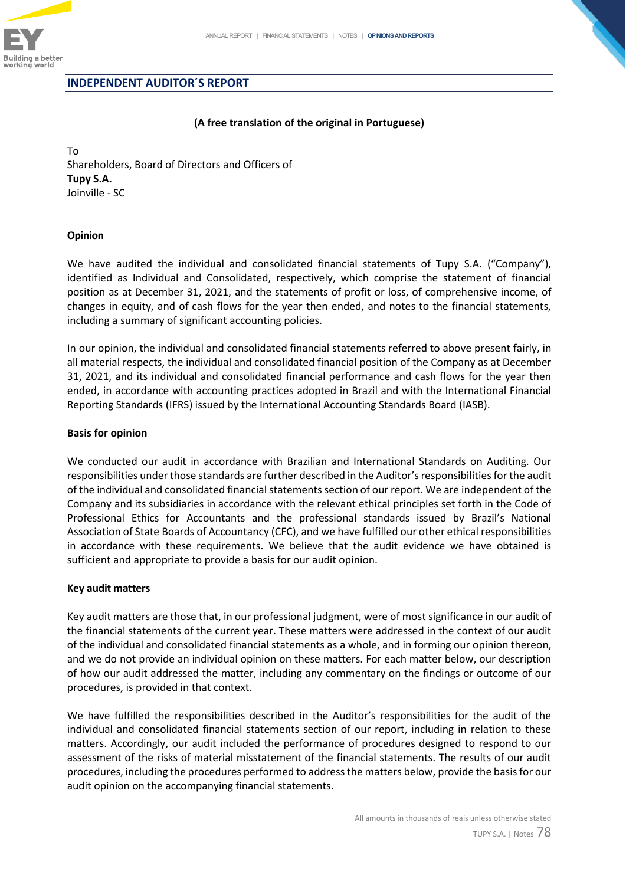

#### **INDEPENDENT AUDITOR´S REPORT**

#### **(A free translation of the original in Portuguese)**

To Shareholders, Board of Directors and Officers of **Tupy S.A.**  Joinville - SC

#### **Opinion**

We have audited the individual and consolidated financial statements of Tupy S.A. ("Company"), identified as Individual and Consolidated, respectively, which comprise the statement of financial position as at December 31, 2021, and the statements of profit or loss, of comprehensive income, of changes in equity, and of cash flows for the year then ended, and notes to the financial statements, including a summary of significant accounting policies.

In our opinion, the individual and consolidated financial statements referred to above present fairly, in all material respects, the individual and consolidated financial position of the Company as at December 31, 2021, and its individual and consolidated financial performance and cash flows for the year then ended, in accordance with accounting practices adopted in Brazil and with the International Financial Reporting Standards (IFRS) issued by the International Accounting Standards Board (IASB).

#### **Basis for opinion**

We conducted our audit in accordance with Brazilian and International Standards on Auditing. Our responsibilities under those standards are further described in the Auditor's responsibilities for the audit of the individual and consolidated financial statements section of our report. We are independent of the Company and its subsidiaries in accordance with the relevant ethical principles set forth in the Code of Professional Ethics for Accountants and the professional standards issued by Brazil's National Association of State Boards of Accountancy (CFC), and we have fulfilled our other ethical responsibilities in accordance with these requirements. We believe that the audit evidence we have obtained is sufficient and appropriate to provide a basis for our audit opinion.

#### **Key audit matters**

Key audit matters are those that, in our professional judgment, were of most significance in our audit of the financial statements of the current year. These matters were addressed in the context of our audit of the individual and consolidated financial statements as a whole, and in forming our opinion thereon, and we do not provide an individual opinion on these matters. For each matter below, our description of how our audit addressed the matter, including any commentary on the findings or outcome of our procedures, is provided in that context.

We have fulfilled the responsibilities described in the Auditor's responsibilities for the audit of the individual and consolidated financial statements section of our report, including in relation to these matters. Accordingly, our audit included the performance of procedures designed to respond to our assessment of the risks of material misstatement of the financial statements. The results of our audit procedures, including the procedures performed to address the matters below, provide the basis for our audit opinion on the accompanying financial statements.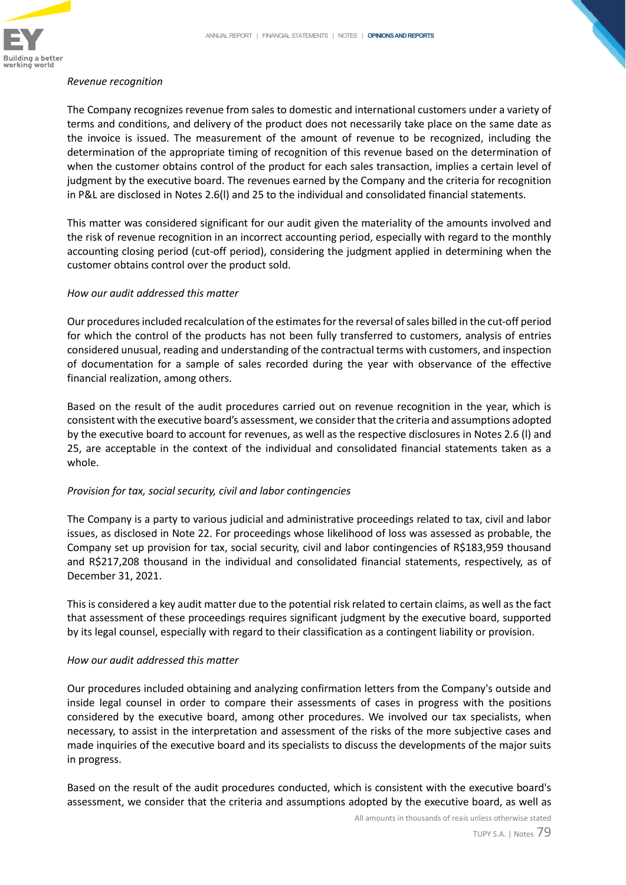

#### *Revenue recognition*

The Company recognizes revenue from sales to domestic and international customers under a variety of terms and conditions, and delivery of the product does not necessarily take place on the same date as the invoice is issued. The measurement of the amount of revenue to be recognized, including the determination of the appropriate timing of recognition of this revenue based on the determination of when the customer obtains control of the product for each sales transaction, implies a certain level of judgment by the executive board. The revenues earned by the Company and the criteria for recognition in P&L are disclosed in Notes 2.6(l) and 25 to the individual and consolidated financial statements.

This matter was considered significant for our audit given the materiality of the amounts involved and the risk of revenue recognition in an incorrect accounting period, especially with regard to the monthly accounting closing period (cut-off period), considering the judgment applied in determining when the customer obtains control over the product sold.

## *How our audit addressed this matter*

Our procedures included recalculation of the estimates for the reversal of sales billed in the cut-off period for which the control of the products has not been fully transferred to customers, analysis of entries considered unusual, reading and understanding of the contractual terms with customers, and inspection of documentation for a sample of sales recorded during the year with observance of the effective financial realization, among others.

Based on the result of the audit procedures carried out on revenue recognition in the year, which is consistent with the executive board's assessment, we consider that the criteria and assumptions adopted by the executive board to account for revenues, as well as the respective disclosures in Notes 2.6 (l) and 25, are acceptable in the context of the individual and consolidated financial statements taken as a whole.

## *Provision for tax, social security, civil and labor contingencies*

The Company is a party to various judicial and administrative proceedings related to tax, civil and labor issues, as disclosed in Note 22. For proceedings whose likelihood of loss was assessed as probable, the Company set up provision for tax, social security, civil and labor contingencies of R\$183,959 thousand and R\$217,208 thousand in the individual and consolidated financial statements, respectively, as of December 31, 2021.

This is considered a key audit matter due to the potential risk related to certain claims, as well as the fact that assessment of these proceedings requires significant judgment by the executive board, supported by its legal counsel, especially with regard to their classification as a contingent liability or provision.

## *How our audit addressed this matter*

Our procedures included obtaining and analyzing confirmation letters from the Company's outside and inside legal counsel in order to compare their assessments of cases in progress with the positions considered by the executive board, among other procedures. We involved our tax specialists, when necessary, to assist in the interpretation and assessment of the risks of the more subjective cases and made inquiries of the executive board and its specialists to discuss the developments of the major suits in progress.

Based on the result of the audit procedures conducted, which is consistent with the executive board's assessment, we consider that the criteria and assumptions adopted by the executive board, as well as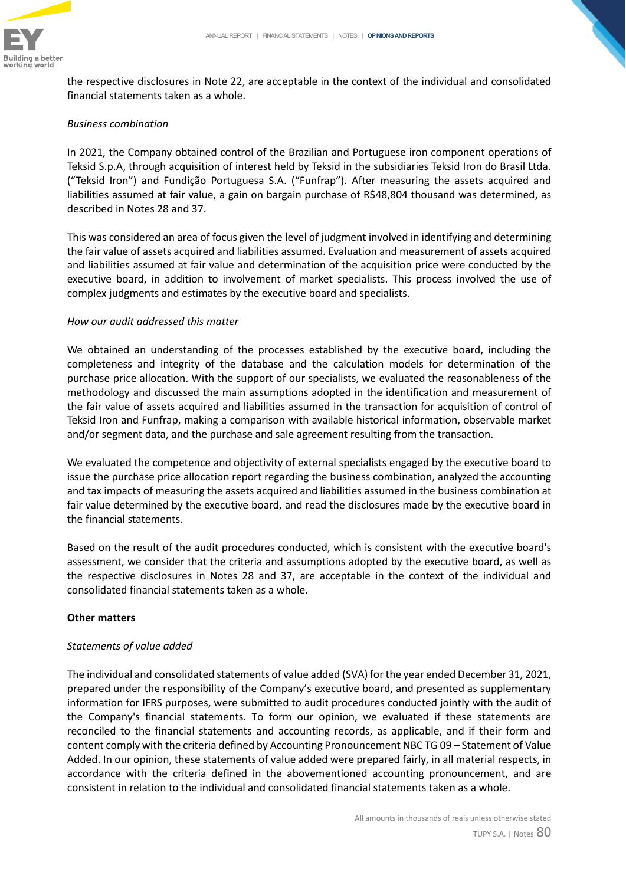

the respective disclosures in Note 22, are acceptable in the context of the individual and consolidated financial statements taken as a whole.

## *Business combination*

In 2021, the Company obtained control of the Brazilian and Portuguese iron component operations of Teksid S.p.A, through acquisition of interest held by Teksid in the subsidiaries Teksid Iron do Brasil Ltda. ("Teksid Iron") and Fundição Portuguesa S.A. ("Funfrap"). After measuring the assets acquired and liabilities assumed at fair value, a gain on bargain purchase of R\$48,804 thousand was determined, as described in Notes 28 and 37.

This was considered an area of focus given the level of judgment involved in identifying and determining the fair value of assets acquired and liabilities assumed. Evaluation and measurement of assets acquired and liabilities assumed at fair value and determination of the acquisition price were conducted by the executive board, in addition to involvement of market specialists. This process involved the use of complex judgments and estimates by the executive board and specialists.

## *How our audit addressed this matter*

We obtained an understanding of the processes established by the executive board, including the completeness and integrity of the database and the calculation models for determination of the purchase price allocation. With the support of our specialists, we evaluated the reasonableness of the methodology and discussed the main assumptions adopted in the identification and measurement of the fair value of assets acquired and liabilities assumed in the transaction for acquisition of control of Teksid Iron and Funfrap, making a comparison with available historical information, observable market and/or segment data, and the purchase and sale agreement resulting from the transaction.

We evaluated the competence and objectivity of external specialists engaged by the executive board to issue the purchase price allocation report regarding the business combination, analyzed the accounting and tax impacts of measuring the assets acquired and liabilities assumed in the business combination at fair value determined by the executive board, and read the disclosures made by the executive board in the financial statements.

Based on the result of the audit procedures conducted, which is consistent with the executive board's assessment, we consider that the criteria and assumptions adopted by the executive board, as well as the respective disclosures in Notes 28 and 37, are acceptable in the context of the individual and consolidated financial statements taken as a whole.

## **Other matters**

## *Statements of value added*

The individual and consolidated statements of value added (SVA) for the year ended December 31, 2021, prepared under the responsibility of the Company's executive board, and presented as supplementary information for IFRS purposes, were submitted to audit procedures conducted jointly with the audit of the Company's financial statements. To form our opinion, we evaluated if these statements are reconciled to the financial statements and accounting records, as applicable, and if their form and content comply with the criteria defined by Accounting Pronouncement NBC TG 09 – Statement of Value Added. In our opinion, these statements of value added were prepared fairly, in all material respects, in accordance with the criteria defined in the abovementioned accounting pronouncement, and are consistent in relation to the individual and consolidated financial statements taken as a whole.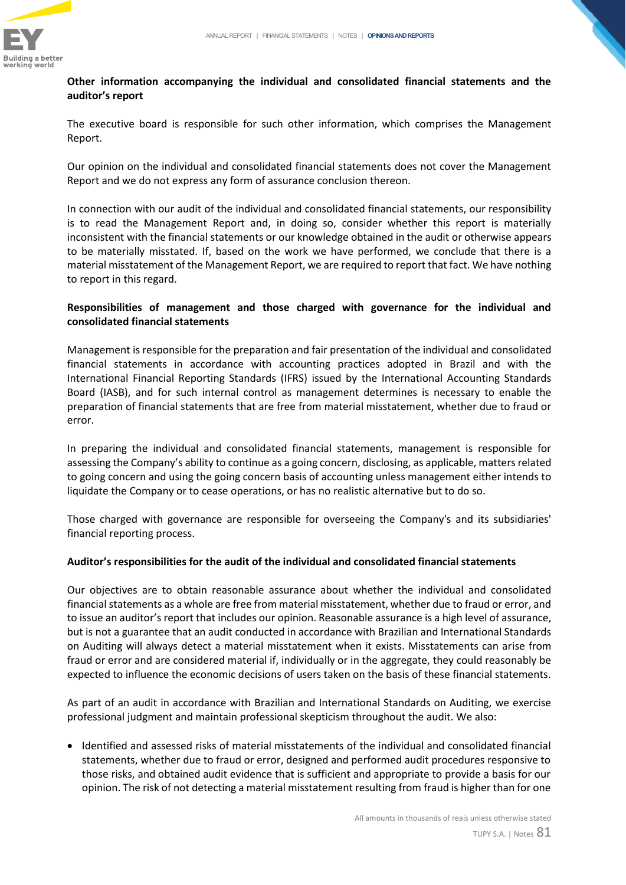

# **Other information accompanying the individual and consolidated financial statements and the auditor's report**

The executive board is responsible for such other information, which comprises the Management Report.

Our opinion on the individual and consolidated financial statements does not cover the Management Report and we do not express any form of assurance conclusion thereon.

In connection with our audit of the individual and consolidated financial statements, our responsibility is to read the Management Report and, in doing so, consider whether this report is materially inconsistent with the financial statements or our knowledge obtained in the audit or otherwise appears to be materially misstated. If, based on the work we have performed, we conclude that there is a material misstatement of the Management Report, we are required to report that fact. We have nothing to report in this regard.

# **Responsibilities of management and those charged with governance for the individual and consolidated financial statements**

Management is responsible for the preparation and fair presentation of the individual and consolidated financial statements in accordance with accounting practices adopted in Brazil and with the International Financial Reporting Standards (IFRS) issued by the International Accounting Standards Board (IASB), and for such internal control as management determines is necessary to enable the preparation of financial statements that are free from material misstatement, whether due to fraud or error.

In preparing the individual and consolidated financial statements, management is responsible for assessing the Company's ability to continue as a going concern, disclosing, as applicable, matters related to going concern and using the going concern basis of accounting unless management either intends to liquidate the Company or to cease operations, or has no realistic alternative but to do so.

Those charged with governance are responsible for overseeing the Company's and its subsidiaries' financial reporting process.

# **Auditor's responsibilities for the audit of the individual and consolidated financial statements**

Our objectives are to obtain reasonable assurance about whether the individual and consolidated financial statements as a whole are free from material misstatement, whether due to fraud or error, and to issue an auditor's report that includes our opinion. Reasonable assurance is a high level of assurance, but is not a guarantee that an audit conducted in accordance with Brazilian and International Standards on Auditing will always detect a material misstatement when it exists. Misstatements can arise from fraud or error and are considered material if, individually or in the aggregate, they could reasonably be expected to influence the economic decisions of users taken on the basis of these financial statements.

As part of an audit in accordance with Brazilian and International Standards on Auditing, we exercise professional judgment and maintain professional skepticism throughout the audit. We also:

• Identified and assessed risks of material misstatements of the individual and consolidated financial statements, whether due to fraud or error, designed and performed audit procedures responsive to those risks, and obtained audit evidence that is sufficient and appropriate to provide a basis for our opinion. The risk of not detecting a material misstatement resulting from fraud is higher than for one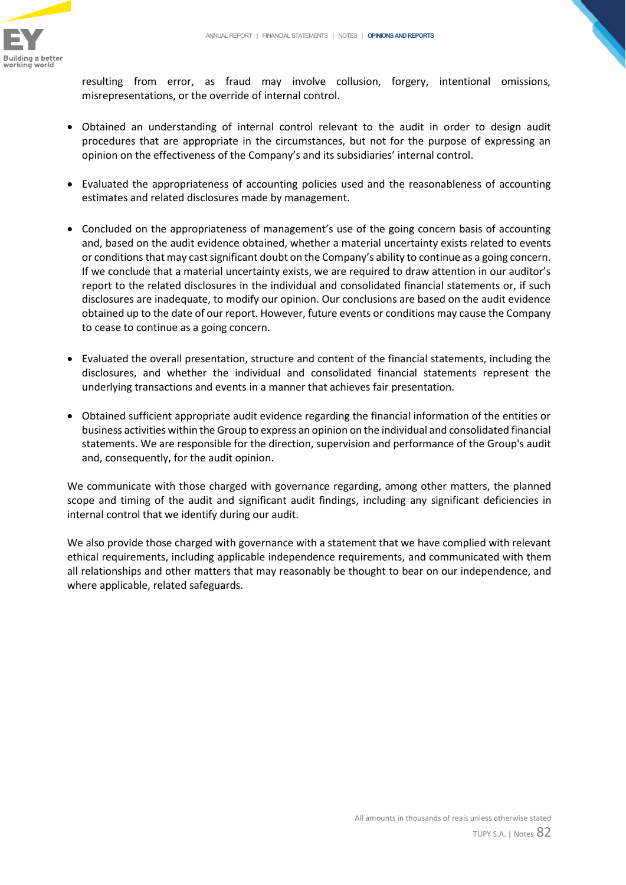

resulting from error, as fraud may involve collusion, forgery, intentional omissions, misrepresentations, or the override of internal control.

- Obtained an understanding of internal control relevant to the audit in order to design audit procedures that are appropriate in the circumstances, but not for the purpose of expressing an opinion on the effectiveness of the Company's and its subsidiaries' internal control.
- Evaluated the appropriateness of accounting policies used and the reasonableness of accounting estimates and related disclosures made by management.
- Concluded on the appropriateness of management's use of the going concern basis of accounting and, based on the audit evidence obtained, whether a material uncertainty exists related to events or conditions that may cast significant doubt on the Company's ability to continue as a going concern. If we conclude that a material uncertainty exists, we are required to draw attention in our auditor's report to the related disclosures in the individual and consolidated financial statements or, if such disclosures are inadequate, to modify our opinion. Our conclusions are based on the audit evidence obtained up to the date of our report. However, future events or conditions may cause the Company to cease to continue as a going concern.
- Evaluated the overall presentation, structure and content of the financial statements, including the disclosures, and whether the individual and consolidated financial statements represent the underlying transactions and events in a manner that achieves fair presentation.
- Obtained sufficient appropriate audit evidence regarding the financial information of the entities or business activities within the Group to express an opinion on the individual and consolidated financial statements. We are responsible for the direction, supervision and performance of the Group's audit and, consequently, for the audit opinion.

We communicate with those charged with governance regarding, among other matters, the planned scope and timing of the audit and significant audit findings, including any significant deficiencies in internal control that we identify during our audit.

We also provide those charged with governance with a statement that we have complied with relevant ethical requirements, including applicable independence requirements, and communicated with them all relationships and other matters that may reasonably be thought to bear on our independence, and where applicable, related safeguards.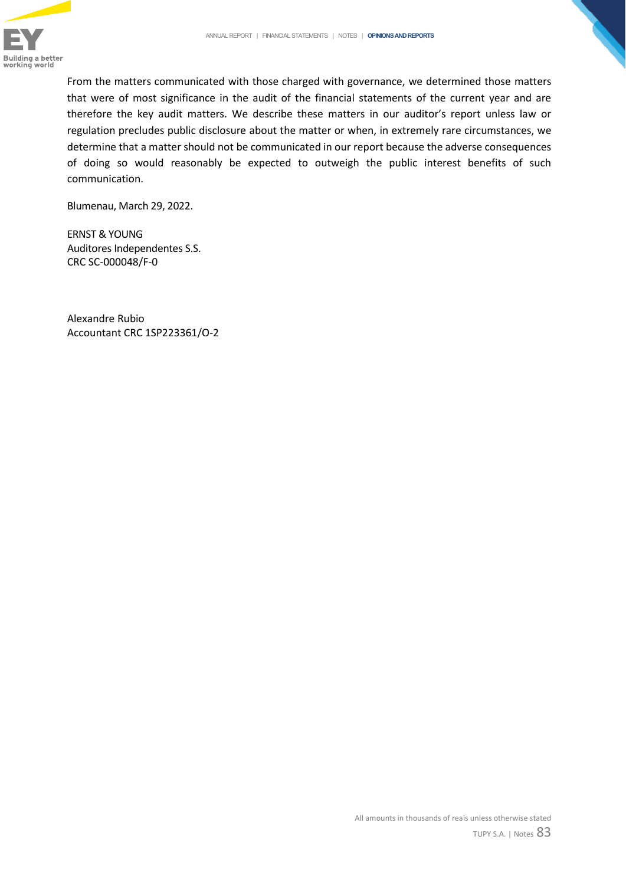

From the matters communicated with those charged with governance, we determined those matters that were of most significance in the audit of the financial statements of the current year and are therefore the key audit matters. We describe these matters in our auditor's report unless law or regulation precludes public disclosure about the matter or when, in extremely rare circumstances, we determine that a matter should not be communicated in our report because the adverse consequences of doing so would reasonably be expected to outweigh the public interest benefits of such communication.

Blumenau, March 29, 2022.

ERNST & YOUNG Auditores Independentes S.S. CRC SC-000048/F-0

Alexandre Rubio Accountant CRC 1SP223361/O-2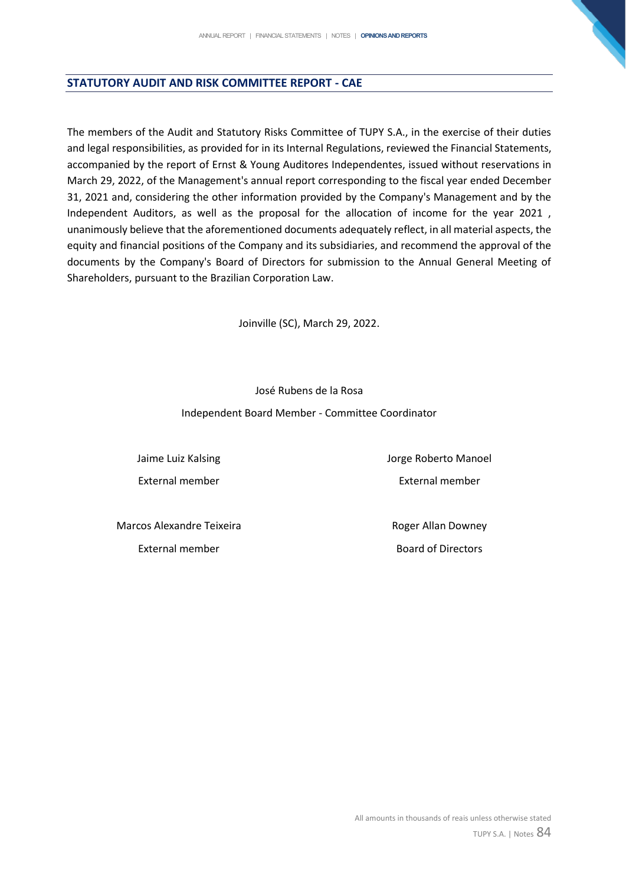## **STATUTORY AUDIT AND RISK COMMITTEE REPORT - CAE**

The members of the Audit and Statutory Risks Committee of TUPY S.A., in the exercise of their duties and legal responsibilities, as provided for in its Internal Regulations, reviewed the Financial Statements, accompanied by the report of Ernst & Young Auditores Independentes, issued without reservations in March 29, 2022, of the Management's annual report corresponding to the fiscal year ended December 31, 2021 and, considering the other information provided by the Company's Management and by the Independent Auditors, as well as the proposal for the allocation of income for the year 2021 , unanimously believe that the aforementioned documents adequately reflect, in all material aspects, the equity and financial positions of the Company and its subsidiaries, and recommend the approval of the documents by the Company's Board of Directors for submission to the Annual General Meeting of Shareholders, pursuant to the Brazilian Corporation Law.

Joinville (SC), March 29, 2022.

José Rubens de la Rosa

Independent Board Member - Committee Coordinator

Jaime Luiz Kalsing External member Jorge Roberto Manoel External member

Marcos Alexandre Teixeira

External member

Roger Allan Downey Board of Directors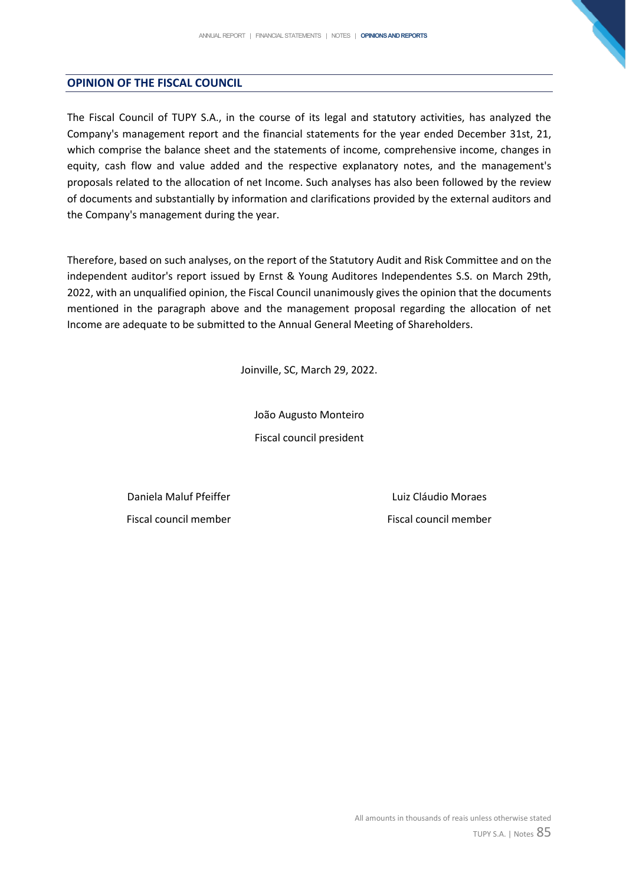#### **OPINION OF THE FISCAL COUNCIL**

The Fiscal Council of TUPY S.A., in the course of its legal and statutory activities, has analyzed the Company's management report and the financial statements for the year ended December 31st, 21, which comprise the balance sheet and the statements of income, comprehensive income, changes in equity, cash flow and value added and the respective explanatory notes, and the management's proposals related to the allocation of net Income. Such analyses has also been followed by the review of documents and substantially by information and clarifications provided by the external auditors and the Company's management during the year.

Therefore, based on such analyses, on the report of the Statutory Audit and Risk Committee and on the independent auditor's report issued by Ernst & Young Auditores Independentes S.S. on March 29th, 2022, with an unqualified opinion, the Fiscal Council unanimously gives the opinion that the documents mentioned in the paragraph above and the management proposal regarding the allocation of net Income are adequate to be submitted to the Annual General Meeting of Shareholders.

Joinville, SC, March 29, 2022.

João Augusto Monteiro Fiscal council president

Daniela Maluf Pfeiffer Fiscal council member

Luiz Cláudio Moraes Fiscal council member